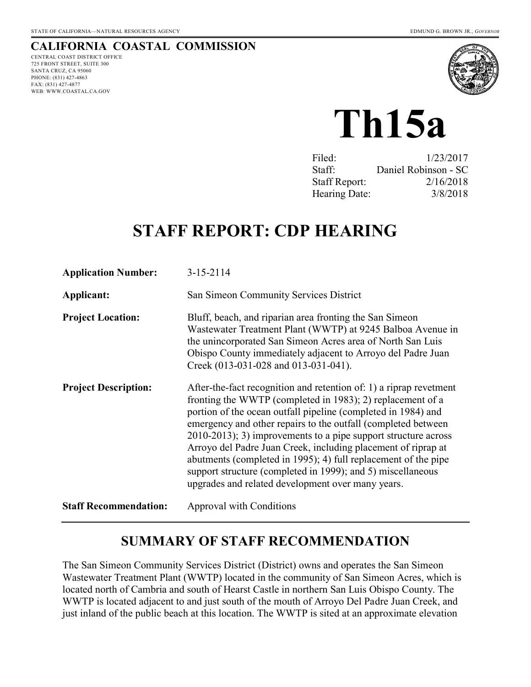## **CALIFORNIA COASTAL COMMISSION**

CENTRAL COAST DISTRICT OFFICE 725 FRONT STREET, SUITE 300 SANTA CRUZ, CA 95060 PHONE: (831) 427-4863 FAX: (831) 427-4877 WEB: WWW.COASTAL.CA.GOV



# **Th15a**

| Filed:               | 1/23/2017            |
|----------------------|----------------------|
| Staff:               | Daniel Robinson - SC |
| <b>Staff Report:</b> | 2/16/2018            |
| Hearing Date:        | 3/8/2018             |

# **STAFF REPORT: CDP HEARING**

| <b>Application Number:</b>   | $3 - 15 - 2114$                                                                                                                                                                                                                                                                                                                                                                                                                                                                                                                                                                                |
|------------------------------|------------------------------------------------------------------------------------------------------------------------------------------------------------------------------------------------------------------------------------------------------------------------------------------------------------------------------------------------------------------------------------------------------------------------------------------------------------------------------------------------------------------------------------------------------------------------------------------------|
| Applicant:                   | San Simeon Community Services District                                                                                                                                                                                                                                                                                                                                                                                                                                                                                                                                                         |
| <b>Project Location:</b>     | Bluff, beach, and riparian area fronting the San Simeon<br>Wastewater Treatment Plant (WWTP) at 9245 Balboa Avenue in<br>the unincorporated San Simeon Acres area of North San Luis<br>Obispo County immediately adjacent to Arroyo del Padre Juan<br>Creek (013-031-028 and 013-031-041).                                                                                                                                                                                                                                                                                                     |
| <b>Project Description:</b>  | After-the-fact recognition and retention of: 1) a riprap revetment<br>fronting the WWTP (completed in 1983); 2) replacement of a<br>portion of the ocean outfall pipeline (completed in 1984) and<br>emergency and other repairs to the outfall (completed between)<br>$2010-2013$ ; 3) improvements to a pipe support structure across<br>Arroyo del Padre Juan Creek, including placement of riprap at<br>abutments (completed in 1995); 4) full replacement of the pipe<br>support structure (completed in 1999); and 5) miscellaneous<br>upgrades and related development over many years. |
| <b>Staff Recommendation:</b> | Approval with Conditions                                                                                                                                                                                                                                                                                                                                                                                                                                                                                                                                                                       |

## **SUMMARY OF STAFF RECOMMENDATION**

The San Simeon Community Services District (District) owns and operates the San Simeon Wastewater Treatment Plant (WWTP) located in the community of San Simeon Acres, which is located north of Cambria and south of Hearst Castle in northern San Luis Obispo County. The WWTP is located adjacent to and just south of the mouth of Arroyo Del Padre Juan Creek, and just inland of the public beach at this location. The WWTP is sited at an approximate elevation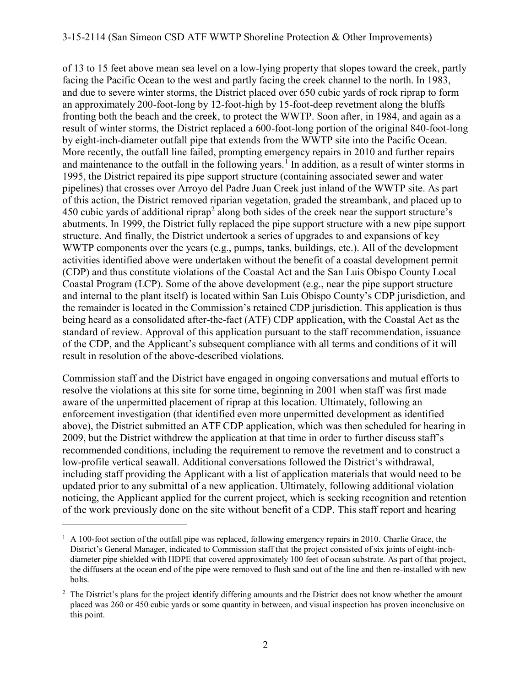#### 3-15-2114 (San Simeon CSD ATF WWTP Shoreline Protection & Other Improvements)

of 13 to 15 feet above mean sea level on a low-lying property that slopes toward the creek, partly facing the Pacific Ocean to the west and partly facing the creek channel to the north. In 1983, and due to severe winter storms, the District placed over 650 cubic yards of rock riprap to form an approximately 200-foot-long by 12-foot-high by 15-foot-deep revetment along the bluffs fronting both the beach and the creek, to protect the WWTP. Soon after, in 1984, and again as a result of winter storms, the District replaced a 600-foot-long portion of the original 840-foot-long by eight-inch-diameter outfall pipe that extends from the WWTP site into the Pacific Ocean. More recently, the outfall line failed, prompting emergency repairs in 2010 and further repairs and maintenance to the outfall in the following years.<sup>1</sup> In addition, as a result of winter storms in 1995, the District repaired its pipe support structure (containing associated sewer and water pipelines) that crosses over Arroyo del Padre Juan Creek just inland of the WWTP site. As part of this action, the District removed riparian vegetation, graded the streambank, and placed up to 450 cubic yards of additional riprap<sup>2</sup> along both sides of the creek near the support structure's abutments. In 1999, the District fully replaced the pipe support structure with a new pipe support structure. And finally, the District undertook a series of upgrades to and expansions of key WWTP components over the years (e.g., pumps, tanks, buildings, etc.). All of the development activities identified above were undertaken without the benefit of a coastal development permit (CDP) and thus constitute violations of the Coastal Act and the San Luis Obispo County Local Coastal Program (LCP). Some of the above development (e.g., near the pipe support structure and internal to the plant itself) is located within San Luis Obispo County's CDP jurisdiction, and the remainder is located in the Commission's retained CDP jurisdiction. This application is thus being heard as a consolidated after-the-fact (ATF) CDP application, with the Coastal Act as the standard of review. Approval of this application pursuant to the staff recommendation, issuance of the CDP, and the Applicant's subsequent compliance with all terms and conditions of it will result in resolution of the above-described violations.

Commission staff and the District have engaged in ongoing conversations and mutual efforts to resolve the violations at this site for some time, beginning in 2001 when staff was first made aware of the unpermitted placement of riprap at this location. Ultimately, following an enforcement investigation (that identified even more unpermitted development as identified above), the District submitted an ATF CDP application, which was then scheduled for hearing in 2009, but the District withdrew the application at that time in order to further discuss staff's recommended conditions, including the requirement to remove the revetment and to construct a low-profile vertical seawall. Additional conversations followed the District's withdrawal, including staff providing the Applicant with a list of application materials that would need to be updated prior to any submittal of a new application. Ultimately, following additional violation noticing, the Applicant applied for the current project, which is seeking recognition and retention of the work previously done on the site without benefit of a CDP. This staff report and hearing

<sup>&</sup>lt;sup>1</sup> A 100-foot section of the outfall pipe was replaced, following emergency repairs in 2010. Charlie Grace, the District's General Manager, indicated to Commission staff that the project consisted of six joints of eight-inchdiameter pipe shielded with HDPE that covered approximately 100 feet of ocean substrate. As part of that project, the diffusers at the ocean end of the pipe were removed to flush sand out of the line and then re-installed with new bolts.

<sup>&</sup>lt;sup>2</sup> The District's plans for the project identify differing amounts and the District does not know whether the amount placed was 260 or 450 cubic yards or some quantity in between, and visual inspection has proven inconclusive on this point.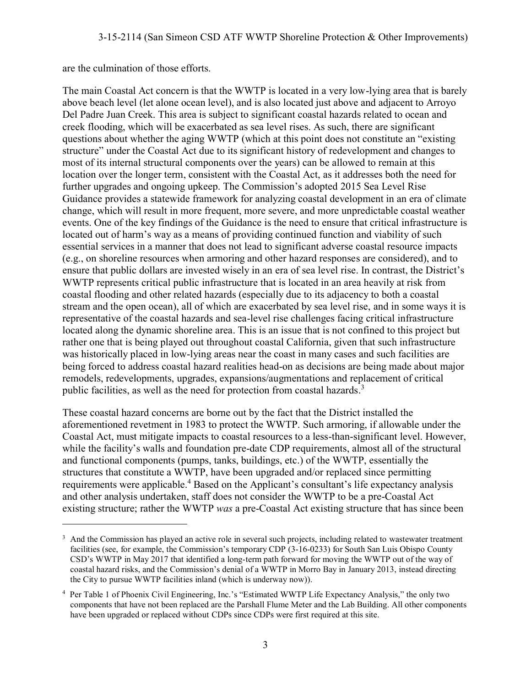are the culmination of those efforts.

 $\overline{a}$ 

The main Coastal Act concern is that the WWTP is located in a very low-lying area that is barely above beach level (let alone ocean level), and is also located just above and adjacent to Arroyo Del Padre Juan Creek. This area is subject to significant coastal hazards related to ocean and creek flooding, which will be exacerbated as sea level rises. As such, there are significant questions about whether the aging WWTP (which at this point does not constitute an "existing structure" under the Coastal Act due to its significant history of redevelopment and changes to most of its internal structural components over the years) can be allowed to remain at this location over the longer term, consistent with the Coastal Act, as it addresses both the need for further upgrades and ongoing upkeep. The Commission's adopted 2015 Sea Level Rise Guidance provides a statewide framework for analyzing coastal development in an era of climate change, which will result in more frequent, more severe, and more unpredictable coastal weather events. One of the key findings of the Guidance is the need to ensure that critical infrastructure is located out of harm's way as a means of providing continued function and viability of such essential services in a manner that does not lead to significant adverse coastal resource impacts (e.g., on shoreline resources when armoring and other hazard responses are considered), and to ensure that public dollars are invested wisely in an era of sea level rise. In contrast, the District's WWTP represents critical public infrastructure that is located in an area heavily at risk from coastal flooding and other related hazards (especially due to its adjacency to both a coastal stream and the open ocean), all of which are exacerbated by sea level rise, and in some ways it is representative of the coastal hazards and sea-level rise challenges facing critical infrastructure located along the dynamic shoreline area. This is an issue that is not confined to this project but rather one that is being played out throughout coastal California, given that such infrastructure was historically placed in low-lying areas near the coast in many cases and such facilities are being forced to address coastal hazard realities head-on as decisions are being made about major remodels, redevelopments, upgrades, expansions/augmentations and replacement of critical public facilities, as well as the need for protection from coastal hazards.<sup>3</sup>

These coastal hazard concerns are borne out by the fact that the District installed the aforementioned revetment in 1983 to protect the WWTP. Such armoring, if allowable under the Coastal Act, must mitigate impacts to coastal resources to a less-than-significant level. However, while the facility's walls and foundation pre-date CDP requirements, almost all of the structural and functional components (pumps, tanks, buildings, etc.) of the WWTP, essentially the structures that constitute a WWTP, have been upgraded and/or replaced since permitting requirements were applicable.<sup>4</sup> Based on the Applicant's consultant's life expectancy analysis and other analysis undertaken, staff does not consider the WWTP to be a pre-Coastal Act existing structure; rather the WWTP *was* a pre-Coastal Act existing structure that has since been

<sup>&</sup>lt;sup>3</sup> And the Commission has played an active role in several such projects, including related to wastewater treatment facilities (see, for example, the Commission's temporary CDP (3-16-0233) for South San Luis Obispo County CSD's WWTP in May 2017 that identified a long-term path forward for moving the WWTP out of the way of coastal hazard risks, and the Commission's denial of a WWTP in Morro Bay in January 2013, instead directing the City to pursue WWTP facilities inland (which is underway now)).

<sup>&</sup>lt;sup>4</sup> Per Table 1 of Phoenix Civil Engineering, Inc.'s "Estimated WWTP Life Expectancy Analysis," the only two components that have not been replaced are the Parshall Flume Meter and the Lab Building. All other components have been upgraded or replaced without CDPs since CDPs were first required at this site.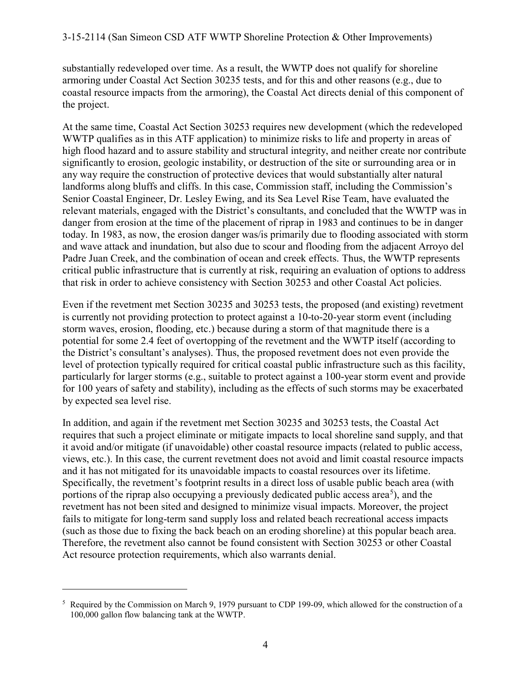substantially redeveloped over time. As a result, the WWTP does not qualify for shoreline armoring under Coastal Act Section 30235 tests, and for this and other reasons (e.g., due to coastal resource impacts from the armoring), the Coastal Act directs denial of this component of the project.

At the same time, Coastal Act Section 30253 requires new development (which the redeveloped WWTP qualifies as in this ATF application) to minimize risks to life and property in areas of high flood hazard and to assure stability and structural integrity, and neither create nor contribute significantly to erosion, geologic instability, or destruction of the site or surrounding area or in any way require the construction of protective devices that would substantially alter natural landforms along bluffs and cliffs. In this case, Commission staff, including the Commission's Senior Coastal Engineer, Dr. Lesley Ewing, and its Sea Level Rise Team, have evaluated the relevant materials, engaged with the District's consultants, and concluded that the WWTP was in danger from erosion at the time of the placement of riprap in 1983 and continues to be in danger today. In 1983, as now, the erosion danger was/is primarily due to flooding associated with storm and wave attack and inundation, but also due to scour and flooding from the adjacent Arroyo del Padre Juan Creek, and the combination of ocean and creek effects. Thus, the WWTP represents critical public infrastructure that is currently at risk, requiring an evaluation of options to address that risk in order to achieve consistency with Section 30253 and other Coastal Act policies.

Even if the revetment met Section 30235 and 30253 tests, the proposed (and existing) revetment is currently not providing protection to protect against a 10-to-20-year storm event (including storm waves, erosion, flooding, etc.) because during a storm of that magnitude there is a potential for some 2.4 feet of overtopping of the revetment and the WWTP itself (according to the District's consultant's analyses). Thus, the proposed revetment does not even provide the level of protection typically required for critical coastal public infrastructure such as this facility, particularly for larger storms (e.g., suitable to protect against a 100-year storm event and provide for 100 years of safety and stability), including as the effects of such storms may be exacerbated by expected sea level rise.

In addition, and again if the revetment met Section 30235 and 30253 tests, the Coastal Act requires that such a project eliminate or mitigate impacts to local shoreline sand supply, and that it avoid and/or mitigate (if unavoidable) other coastal resource impacts (related to public access, views, etc.). In this case, the current revetment does not avoid and limit coastal resource impacts and it has not mitigated for its unavoidable impacts to coastal resources over its lifetime. Specifically, the revetment's footprint results in a direct loss of usable public beach area (with portions of the riprap also occupying a previously dedicated public access area<sup>5</sup>), and the revetment has not been sited and designed to minimize visual impacts. Moreover, the project fails to mitigate for long-term sand supply loss and related beach recreational access impacts (such as those due to fixing the back beach on an eroding shoreline) at this popular beach area. Therefore, the revetment also cannot be found consistent with Section 30253 or other Coastal Act resource protection requirements, which also warrants denial.

<sup>&</sup>lt;sup>5</sup> Required by the Commission on March 9, 1979 pursuant to CDP 199-09, which allowed for the construction of a 100,000 gallon flow balancing tank at the WWTP.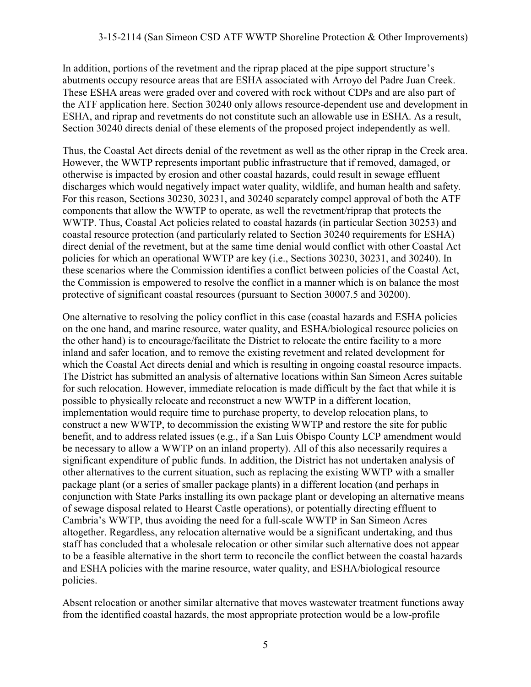In addition, portions of the revetment and the riprap placed at the pipe support structure's abutments occupy resource areas that are ESHA associated with Arroyo del Padre Juan Creek. These ESHA areas were graded over and covered with rock without CDPs and are also part of the ATF application here. Section 30240 only allows resource-dependent use and development in ESHA, and riprap and revetments do not constitute such an allowable use in ESHA. As a result, Section 30240 directs denial of these elements of the proposed project independently as well.

Thus, the Coastal Act directs denial of the revetment as well as the other riprap in the Creek area. However, the WWTP represents important public infrastructure that if removed, damaged, or otherwise is impacted by erosion and other coastal hazards, could result in sewage effluent discharges which would negatively impact water quality, wildlife, and human health and safety. For this reason, Sections 30230, 30231, and 30240 separately compel approval of both the ATF components that allow the WWTP to operate, as well the revetment/riprap that protects the WWTP. Thus, Coastal Act policies related to coastal hazards (in particular Section 30253) and coastal resource protection (and particularly related to Section 30240 requirements for ESHA) direct denial of the revetment, but at the same time denial would conflict with other Coastal Act policies for which an operational WWTP are key (i.e., Sections 30230, 30231, and 30240). In these scenarios where the Commission identifies a conflict between policies of the Coastal Act, the Commission is empowered to resolve the conflict in a manner which is on balance the most protective of significant coastal resources (pursuant to Section 30007.5 and 30200).

One alternative to resolving the policy conflict in this case (coastal hazards and ESHA policies on the one hand, and marine resource, water quality, and ESHA/biological resource policies on the other hand) is to encourage/facilitate the District to relocate the entire facility to a more inland and safer location, and to remove the existing revetment and related development for which the Coastal Act directs denial and which is resulting in ongoing coastal resource impacts. The District has submitted an analysis of alternative locations within San Simeon Acres suitable for such relocation. However, immediate relocation is made difficult by the fact that while it is possible to physically relocate and reconstruct a new WWTP in a different location, implementation would require time to purchase property, to develop relocation plans, to construct a new WWTP, to decommission the existing WWTP and restore the site for public benefit, and to address related issues (e.g., if a San Luis Obispo County LCP amendment would be necessary to allow a WWTP on an inland property). All of this also necessarily requires a significant expenditure of public funds. In addition, the District has not undertaken analysis of other alternatives to the current situation, such as replacing the existing WWTP with a smaller package plant (or a series of smaller package plants) in a different location (and perhaps in conjunction with State Parks installing its own package plant or developing an alternative means of sewage disposal related to Hearst Castle operations), or potentially directing effluent to Cambria's WWTP, thus avoiding the need for a full-scale WWTP in San Simeon Acres altogether. Regardless, any relocation alternative would be a significant undertaking, and thus staff has concluded that a wholesale relocation or other similar such alternative does not appear to be a feasible alternative in the short term to reconcile the conflict between the coastal hazards and ESHA policies with the marine resource, water quality, and ESHA/biological resource policies.

Absent relocation or another similar alternative that moves wastewater treatment functions away from the identified coastal hazards, the most appropriate protection would be a low-profile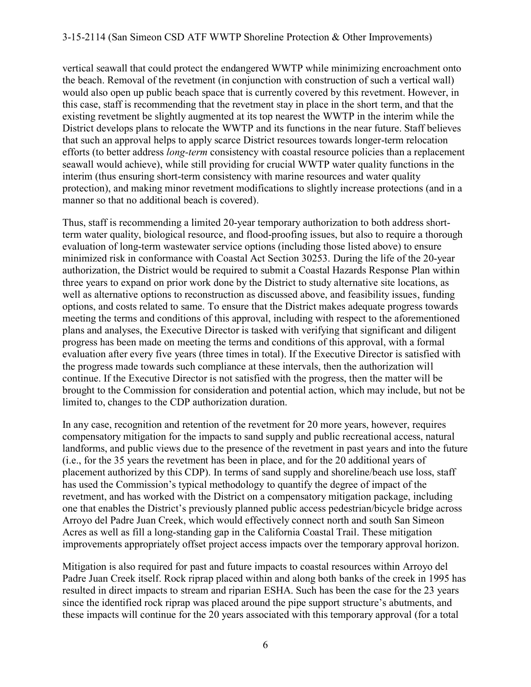vertical seawall that could protect the endangered WWTP while minimizing encroachment onto the beach. Removal of the revetment (in conjunction with construction of such a vertical wall) would also open up public beach space that is currently covered by this revetment. However, in this case, staff is recommending that the revetment stay in place in the short term, and that the existing revetment be slightly augmented at its top nearest the WWTP in the interim while the District develops plans to relocate the WWTP and its functions in the near future. Staff believes that such an approval helps to apply scarce District resources towards longer-term relocation efforts (to better address *long-term* consistency with coastal resource policies than a replacement seawall would achieve), while still providing for crucial WWTP water quality functions in the interim (thus ensuring short-term consistency with marine resources and water quality protection), and making minor revetment modifications to slightly increase protections (and in a manner so that no additional beach is covered).

Thus, staff is recommending a limited 20-year temporary authorization to both address shortterm water quality, biological resource, and flood-proofing issues, but also to require a thorough evaluation of long-term wastewater service options (including those listed above) to ensure minimized risk in conformance with Coastal Act Section 30253. During the life of the 20-year authorization, the District would be required to submit a Coastal Hazards Response Plan within three years to expand on prior work done by the District to study alternative site locations, as well as alternative options to reconstruction as discussed above, and feasibility issues, funding options, and costs related to same. To ensure that the District makes adequate progress towards meeting the terms and conditions of this approval, including with respect to the aforementioned plans and analyses, the Executive Director is tasked with verifying that significant and diligent progress has been made on meeting the terms and conditions of this approval, with a formal evaluation after every five years (three times in total). If the Executive Director is satisfied with the progress made towards such compliance at these intervals, then the authorization will continue. If the Executive Director is not satisfied with the progress, then the matter will be brought to the Commission for consideration and potential action, which may include, but not be limited to, changes to the CDP authorization duration.

In any case, recognition and retention of the revetment for 20 more years, however, requires compensatory mitigation for the impacts to sand supply and public recreational access, natural landforms, and public views due to the presence of the revetment in past years and into the future (i.e., for the 35 years the revetment has been in place, and for the 20 additional years of placement authorized by this CDP). In terms of sand supply and shoreline/beach use loss, staff has used the Commission's typical methodology to quantify the degree of impact of the revetment, and has worked with the District on a compensatory mitigation package, including one that enables the District's previously planned public access pedestrian/bicycle bridge across Arroyo del Padre Juan Creek, which would effectively connect north and south San Simeon Acres as well as fill a long-standing gap in the California Coastal Trail. These mitigation improvements appropriately offset project access impacts over the temporary approval horizon.

Mitigation is also required for past and future impacts to coastal resources within Arroyo del Padre Juan Creek itself. Rock riprap placed within and along both banks of the creek in 1995 has resulted in direct impacts to stream and riparian ESHA. Such has been the case for the 23 years since the identified rock riprap was placed around the pipe support structure's abutments, and these impacts will continue for the 20 years associated with this temporary approval (for a total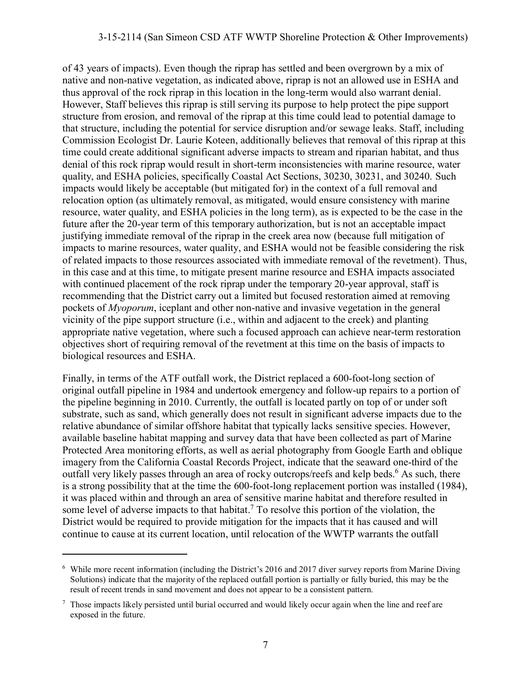#### 3-15-2114 (San Simeon CSD ATF WWTP Shoreline Protection & Other Improvements)

of 43 years of impacts). Even though the riprap has settled and been overgrown by a mix of native and non-native vegetation, as indicated above, riprap is not an allowed use in ESHA and thus approval of the rock riprap in this location in the long-term would also warrant denial. However, Staff believes this riprap is still serving its purpose to help protect the pipe support structure from erosion, and removal of the riprap at this time could lead to potential damage to that structure, including the potential for service disruption and/or sewage leaks. Staff, including Commission Ecologist Dr. Laurie Koteen, additionally believes that removal of this riprap at this time could create additional significant adverse impacts to stream and riparian habitat, and thus denial of this rock riprap would result in short-term inconsistencies with marine resource, water quality, and ESHA policies, specifically Coastal Act Sections, 30230, 30231, and 30240. Such impacts would likely be acceptable (but mitigated for) in the context of a full removal and relocation option (as ultimately removal, as mitigated, would ensure consistency with marine resource, water quality, and ESHA policies in the long term), as is expected to be the case in the future after the 20-year term of this temporary authorization, but is not an acceptable impact justifying immediate removal of the riprap in the creek area now (because full mitigation of impacts to marine resources, water quality, and ESHA would not be feasible considering the risk of related impacts to those resources associated with immediate removal of the revetment). Thus, in this case and at this time, to mitigate present marine resource and ESHA impacts associated with continued placement of the rock riprap under the temporary 20-year approval, staff is recommending that the District carry out a limited but focused restoration aimed at removing pockets of *Myoporum*, iceplant and other non-native and invasive vegetation in the general vicinity of the pipe support structure (i.e., within and adjacent to the creek) and planting appropriate native vegetation, where such a focused approach can achieve near-term restoration objectives short of requiring removal of the revetment at this time on the basis of impacts to biological resources and ESHA.

Finally, in terms of the ATF outfall work, the District replaced a 600-foot-long section of original outfall pipeline in 1984 and undertook emergency and follow-up repairs to a portion of the pipeline beginning in 2010. Currently, the outfall is located partly on top of or under soft substrate, such as sand, which generally does not result in significant adverse impacts due to the relative abundance of similar offshore habitat that typically lacks sensitive species. However, available baseline habitat mapping and survey data that have been collected as part of Marine Protected Area monitoring efforts, as well as aerial photography from Google Earth and oblique imagery from the California Coastal Records Project, indicate that the seaward one-third of the outfall very likely passes through an area of rocky outcrops/reefs and kelp beds.<sup>6</sup> As such, there is a strong possibility that at the time the 600-foot-long replacement portion was installed (1984), it was placed within and through an area of sensitive marine habitat and therefore resulted in some level of adverse impacts to that habitat.<sup>7</sup> To resolve this portion of the violation, the District would be required to provide mitigation for the impacts that it has caused and will continue to cause at its current location, until relocation of the WWTP warrants the outfall

<sup>&</sup>lt;sup>6</sup> While more recent information (including the District's 2016 and 2017 diver survey reports from Marine Diving Solutions) indicate that the majority of the replaced outfall portion is partially or fully buried, this may be the result of recent trends in sand movement and does not appear to be a consistent pattern.

<sup>&</sup>lt;sup>7</sup> Those impacts likely persisted until burial occurred and would likely occur again when the line and reef are exposed in the future.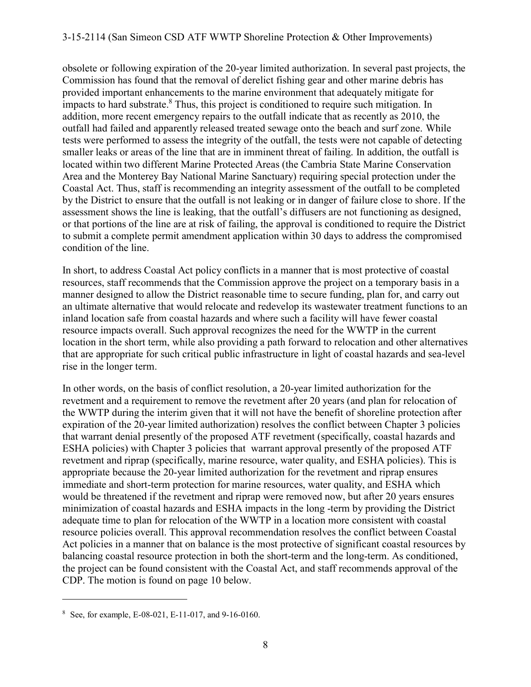obsolete or following expiration of the 20-year limited authorization. In several past projects, the Commission has found that the removal of derelict fishing gear and other marine debris has provided important enhancements to the marine environment that adequately mitigate for impacts to hard substrate.<sup>8</sup> Thus, this project is conditioned to require such mitigation. In addition, more recent emergency repairs to the outfall indicate that as recently as 2010, the outfall had failed and apparently released treated sewage onto the beach and surf zone. While tests were performed to assess the integrity of the outfall, the tests were not capable of detecting smaller leaks or areas of the line that are in imminent threat of failing. In addition, the outfall is located within two different Marine Protected Areas (the Cambria State Marine Conservation Area and the Monterey Bay National Marine Sanctuary) requiring special protection under the Coastal Act. Thus, staff is recommending an integrity assessment of the outfall to be completed by the District to ensure that the outfall is not leaking or in danger of failure close to shore. If the assessment shows the line is leaking, that the outfall's diffusers are not functioning as designed, or that portions of the line are at risk of failing, the approval is conditioned to require the District to submit a complete permit amendment application within 30 days to address the compromised condition of the line.

In short, to address Coastal Act policy conflicts in a manner that is most protective of coastal resources, staff recommends that the Commission approve the project on a temporary basis in a manner designed to allow the District reasonable time to secure funding, plan for, and carry out an ultimate alternative that would relocate and redevelop its wastewater treatment functions to an inland location safe from coastal hazards and where such a facility will have fewer coastal resource impacts overall. Such approval recognizes the need for the WWTP in the current location in the short term, while also providing a path forward to relocation and other alternatives that are appropriate for such critical public infrastructure in light of coastal hazards and sea-level rise in the longer term.

In other words, on the basis of conflict resolution, a 20-year limited authorization for the revetment and a requirement to remove the revetment after 20 years (and plan for relocation of the WWTP during the interim given that it will not have the benefit of shoreline protection after expiration of the 20-year limited authorization) resolves the conflict between Chapter 3 policies that warrant denial presently of the proposed ATF revetment (specifically, coastal hazards and ESHA policies) with Chapter 3 policies that warrant approval presently of the proposed ATF revetment and riprap (specifically, marine resource, water quality, and ESHA policies). This is appropriate because the 20-year limited authorization for the revetment and riprap ensures immediate and short-term protection for marine resources, water quality, and ESHA which would be threatened if the revetment and riprap were removed now, but after 20 years ensures minimization of coastal hazards and ESHA impacts in the long -term by providing the District adequate time to plan for relocation of the WWTP in a location more consistent with coastal resource policies overall. This approval recommendation resolves the conflict between Coastal Act policies in a manner that on balance is the most protective of significant coastal resources by balancing coastal resource protection in both the short-term and the long-term. As conditioned, the project can be found consistent with the Coastal Act, and staff recommends approval of the CDP. The motion is found on page 10 below.

<sup>8</sup> See, for example, E-08-021, E-11-017, and 9-16-0160.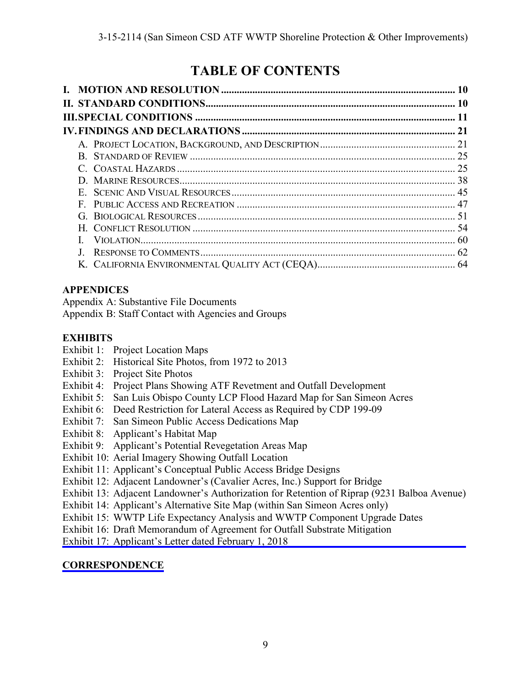## **TABLE OF CONTENTS**

| $\mathbf{G}$ |  |
|--------------|--|
|              |  |
|              |  |
|              |  |
|              |  |

## **APPENDICES**

Appendix A: Substantive File Documents

Appendix B: Staff Contact with Agencies and Groups

## **EXHIBITS**

- Exhibit 1: Project Location Maps
- Exhibit 2: Historical Site Photos, from 1972 to 2013
- Exhibit 3: Project Site Photos
- Exhibit 4: Project Plans Showing ATF Revetment and Outfall Development
- Exhibit 5: San Luis Obispo County LCP Flood Hazard Map for San Simeon Acres
- Exhibit 6: Deed Restriction for Lateral Access as Required by CDP 199-09
- Exhibit 7: San Simeon Public Access Dedications Map
- Exhibit 8: Applicant's Habitat Map
- Exhibit 9: Applicant's Potential Revegetation Areas Map
- Exhibit 10: Aerial Imagery Showing Outfall Location
- Exhibit 11: Applicant's Conceptual Public Access Bridge Designs
- Exhibit 12: Adjacent Landowner's (Cavalier Acres, Inc.) Support for Bridge
- [Exhibit 13: Adjacent Landowner's Authorization for Retention of Riprap \(9231 Balboa Avenue\)](https://documents.coastal.ca.gov/reports/2018/3/Th15a/Th15a-3-2018-exhibits.pdf)
- Exhibit 14: Applicant's Alternative Site Map (within San Simeon Acres only)
- Exhibit 15: WWTP Life Expectancy Analysis and WWTP Component Upgrade Dates
- Exhibit 16: Draft Memorandum of Agreement for Outfall Substrate Mitigation
- Exhibit 17: Applicant's Letter dated February 1, 2018

## **[CORRESPONDENCE](https://documents.coastal.ca.gov/reports/2018/3/Th15a/Th15a-3-2018-corresp.pdf)**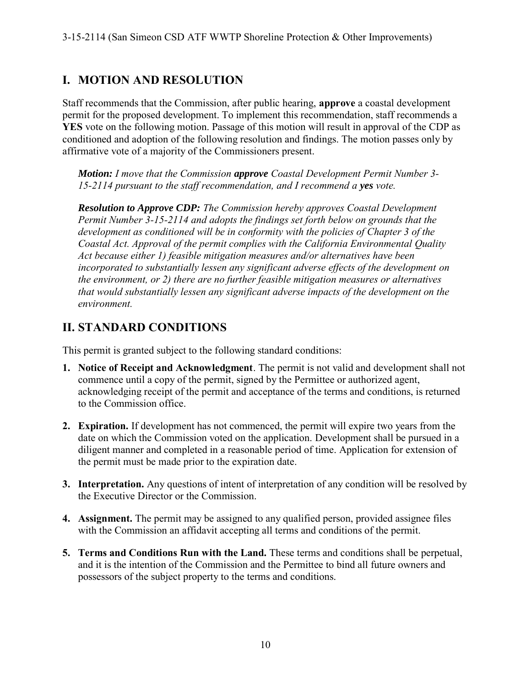## **I. MOTION AND RESOLUTION**

Staff recommends that the Commission, after public hearing, **approve** a coastal development permit for the proposed development. To implement this recommendation, staff recommends a **YES** vote on the following motion. Passage of this motion will result in approval of the CDP as conditioned and adoption of the following resolution and findings. The motion passes only by affirmative vote of a majority of the Commissioners present.

*Motion: I move that the Commission approve Coastal Development Permit Number 3- 15-2114 pursuant to the staff recommendation, and I recommend a yes vote.* 

*Resolution to Approve CDP: The Commission hereby approves Coastal Development Permit Number 3-15-2114 and adopts the findings set forth below on grounds that the development as conditioned will be in conformity with the policies of Chapter 3 of the Coastal Act. Approval of the permit complies with the California Environmental Quality Act because either 1) feasible mitigation measures and/or alternatives have been incorporated to substantially lessen any significant adverse effects of the development on the environment, or 2) there are no further feasible mitigation measures or alternatives that would substantially lessen any significant adverse impacts of the development on the environment.* 

## **II. STANDARD CONDITIONS**

This permit is granted subject to the following standard conditions:

- **1. Notice of Receipt and Acknowledgment**. The permit is not valid and development shall not commence until a copy of the permit, signed by the Permittee or authorized agent, acknowledging receipt of the permit and acceptance of the terms and conditions, is returned to the Commission office.
- **2. Expiration.** If development has not commenced, the permit will expire two years from the date on which the Commission voted on the application. Development shall be pursued in a diligent manner and completed in a reasonable period of time. Application for extension of the permit must be made prior to the expiration date.
- **3. Interpretation.** Any questions of intent of interpretation of any condition will be resolved by the Executive Director or the Commission.
- **4. Assignment.** The permit may be assigned to any qualified person, provided assignee files with the Commission an affidavit accepting all terms and conditions of the permit.
- **5. Terms and Conditions Run with the Land.** These terms and conditions shall be perpetual, and it is the intention of the Commission and the Permittee to bind all future owners and possessors of the subject property to the terms and conditions.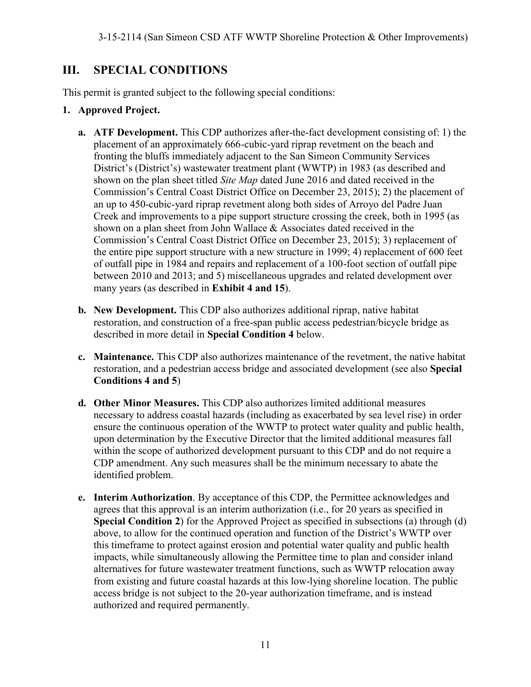## **III. SPECIAL CONDITIONS**

This permit is granted subject to the following special conditions:

#### **1. Approved Project.**

- **a. ATF Development.** This CDP authorizes after-the-fact development consisting of: 1) the placement of an approximately 666-cubic-yard riprap revetment on the beach and fronting the bluffs immediately adjacent to the San Simeon Community Services District's (District's) wastewater treatment plant (WWTP) in 1983 (as described and shown on the plan sheet titled *Site Map* dated June 2016 and dated received in the Commission's Central Coast District Office on December 23, 2015); 2) the placement of an up to 450-cubic-yard riprap revetment along both sides of Arroyo del Padre Juan Creek and improvements to a pipe support structure crossing the creek, both in 1995 (as shown on a plan sheet from John Wallace & Associates dated received in the Commission's Central Coast District Office on December 23, 2015); 3) replacement of the entire pipe support structure with a new structure in 1999; 4) replacement of 600 feet of outfall pipe in 1984 and repairs and replacement of a 100-foot section of outfall pipe between 2010 and 2013; and 5) miscellaneous upgrades and related development over many years (as described in **Exhibit 4 and 15**).
- **b. New Development.** This CDP also authorizes additional riprap, native habitat restoration, and construction of a free-span public access pedestrian/bicycle bridge as described in more detail in **Special Condition 4** below.
- **c. Maintenance.** This CDP also authorizes maintenance of the revetment, the native habitat restoration, and a pedestrian access bridge and associated development (see also **Special Conditions 4 and 5**)
- **d. Other Minor Measures.** This CDP also authorizes limited additional measures necessary to address coastal hazards (including as exacerbated by sea level rise) in order ensure the continuous operation of the WWTP to protect water quality and public health, upon determination by the Executive Director that the limited additional measures fall within the scope of authorized development pursuant to this CDP and do not require a CDP amendment. Any such measures shall be the minimum necessary to abate the identified problem.
- **e. Interim Authorization**. By acceptance of this CDP, the Permittee acknowledges and agrees that this approval is an interim authorization (i.e., for 20 years as specified in **Special Condition 2**) for the Approved Project as specified in subsections (a) through (d) above, to allow for the continued operation and function of the District's WWTP over this timeframe to protect against erosion and potential water quality and public health impacts, while simultaneously allowing the Permittee time to plan and consider inland alternatives for future wastewater treatment functions, such as WWTP relocation away from existing and future coastal hazards at this low-lying shoreline location. The public access bridge is not subject to the 20-year authorization timeframe, and is instead authorized and required permanently.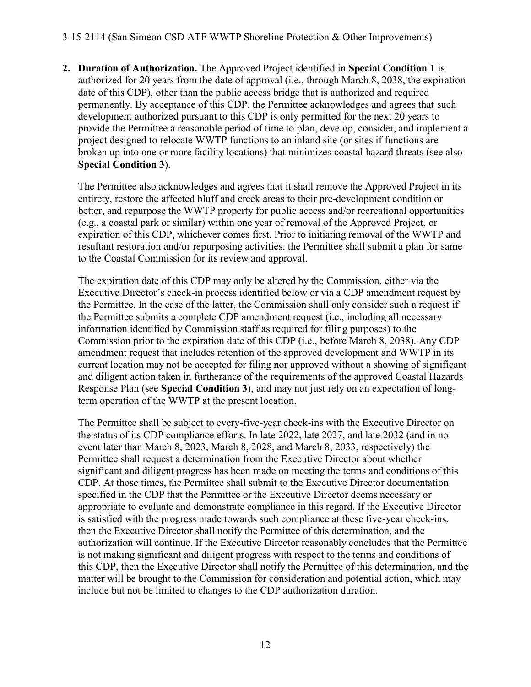**2. Duration of Authorization.** The Approved Project identified in **Special Condition 1** is authorized for 20 years from the date of approval (i.e., through March 8, 2038, the expiration date of this CDP), other than the public access bridge that is authorized and required permanently. By acceptance of this CDP, the Permittee acknowledges and agrees that such development authorized pursuant to this CDP is only permitted for the next 20 years to provide the Permittee a reasonable period of time to plan, develop, consider, and implement a project designed to relocate WWTP functions to an inland site (or sites if functions are broken up into one or more facility locations) that minimizes coastal hazard threats (see also **Special Condition 3**).

The Permittee also acknowledges and agrees that it shall remove the Approved Project in its entirety, restore the affected bluff and creek areas to their pre-development condition or better, and repurpose the WWTP property for public access and/or recreational opportunities (e.g., a coastal park or similar) within one year of removal of the Approved Project, or expiration of this CDP, whichever comes first. Prior to initiating removal of the WWTP and resultant restoration and/or repurposing activities, the Permittee shall submit a plan for same to the Coastal Commission for its review and approval.

The expiration date of this CDP may only be altered by the Commission, either via the Executive Director's check-in process identified below or via a CDP amendment request by the Permittee. In the case of the latter, the Commission shall only consider such a request if the Permittee submits a complete CDP amendment request (i.e., including all necessary information identified by Commission staff as required for filing purposes) to the Commission prior to the expiration date of this CDP (i.e., before March 8, 2038). Any CDP amendment request that includes retention of the approved development and WWTP in its current location may not be accepted for filing nor approved without a showing of significant and diligent action taken in furtherance of the requirements of the approved Coastal Hazards Response Plan (see **Special Condition 3**), and may not just rely on an expectation of longterm operation of the WWTP at the present location.

The Permittee shall be subject to every-five-year check-ins with the Executive Director on the status of its CDP compliance efforts. In late 2022, late 2027, and late 2032 (and in no event later than March 8, 2023, March 8, 2028, and March 8, 2033, respectively) the Permittee shall request a determination from the Executive Director about whether significant and diligent progress has been made on meeting the terms and conditions of this CDP. At those times, the Permittee shall submit to the Executive Director documentation specified in the CDP that the Permittee or the Executive Director deems necessary or appropriate to evaluate and demonstrate compliance in this regard. If the Executive Director is satisfied with the progress made towards such compliance at these five-year check-ins, then the Executive Director shall notify the Permittee of this determination, and the authorization will continue. If the Executive Director reasonably concludes that the Permittee is not making significant and diligent progress with respect to the terms and conditions of this CDP, then the Executive Director shall notify the Permittee of this determination, and the matter will be brought to the Commission for consideration and potential action, which may include but not be limited to changes to the CDP authorization duration.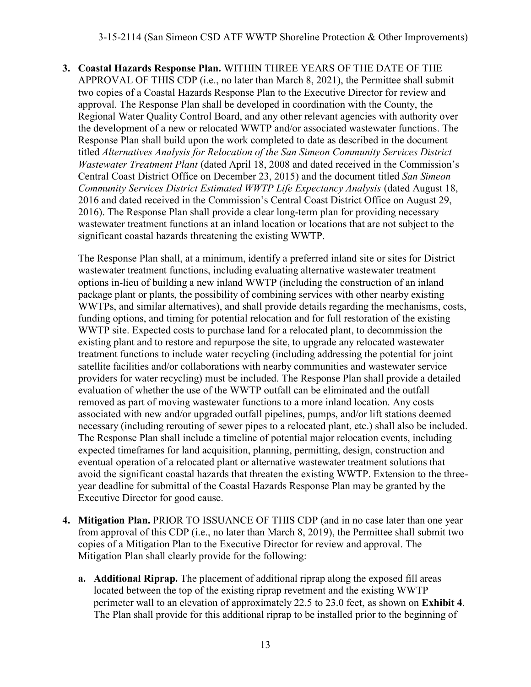**3. Coastal Hazards Response Plan.** WITHIN THREE YEARS OF THE DATE OF THE APPROVAL OF THIS CDP (i.e., no later than March 8, 2021), the Permittee shall submit two copies of a Coastal Hazards Response Plan to the Executive Director for review and approval. The Response Plan shall be developed in coordination with the County, the Regional Water Quality Control Board, and any other relevant agencies with authority over the development of a new or relocated WWTP and/or associated wastewater functions. The Response Plan shall build upon the work completed to date as described in the document titled *Alternatives Analysis for Relocation of the San Simeon Community Services District Wastewater Treatment Plant* (dated April 18, 2008 and dated received in the Commission's Central Coast District Office on December 23, 2015) and the document titled *San Simeon Community Services District Estimated WWTP Life Expectancy Analysis* (dated August 18, 2016 and dated received in the Commission's Central Coast District Office on August 29, 2016). The Response Plan shall provide a clear long-term plan for providing necessary wastewater treatment functions at an inland location or locations that are not subject to the significant coastal hazards threatening the existing WWTP.

The Response Plan shall, at a minimum, identify a preferred inland site or sites for District wastewater treatment functions, including evaluating alternative wastewater treatment options in-lieu of building a new inland WWTP (including the construction of an inland package plant or plants, the possibility of combining services with other nearby existing WWTPs, and similar alternatives), and shall provide details regarding the mechanisms, costs, funding options, and timing for potential relocation and for full restoration of the existing WWTP site. Expected costs to purchase land for a relocated plant, to decommission the existing plant and to restore and repurpose the site, to upgrade any relocated wastewater treatment functions to include water recycling (including addressing the potential for joint satellite facilities and/or collaborations with nearby communities and wastewater service providers for water recycling) must be included. The Response Plan shall provide a detailed evaluation of whether the use of the WWTP outfall can be eliminated and the outfall removed as part of moving wastewater functions to a more inland location. Any costs associated with new and/or upgraded outfall pipelines, pumps, and/or lift stations deemed necessary (including rerouting of sewer pipes to a relocated plant, etc.) shall also be included. The Response Plan shall include a timeline of potential major relocation events, including expected timeframes for land acquisition, planning, permitting, design, construction and eventual operation of a relocated plant or alternative wastewater treatment solutions that avoid the significant coastal hazards that threaten the existing WWTP. Extension to the threeyear deadline for submittal of the Coastal Hazards Response Plan may be granted by the Executive Director for good cause.

- **4. Mitigation Plan.** PRIOR TO ISSUANCE OF THIS CDP (and in no case later than one year from approval of this CDP (i.e., no later than March 8, 2019), the Permittee shall submit two copies of a Mitigation Plan to the Executive Director for review and approval. The Mitigation Plan shall clearly provide for the following:
	- **a. Additional Riprap.** The placement of additional riprap along the exposed fill areas located between the top of the existing riprap revetment and the existing WWTP perimeter wall to an elevation of approximately 22.5 to 23.0 feet, as shown on **Exhibit 4**. The Plan shall provide for this additional riprap to be installed prior to the beginning of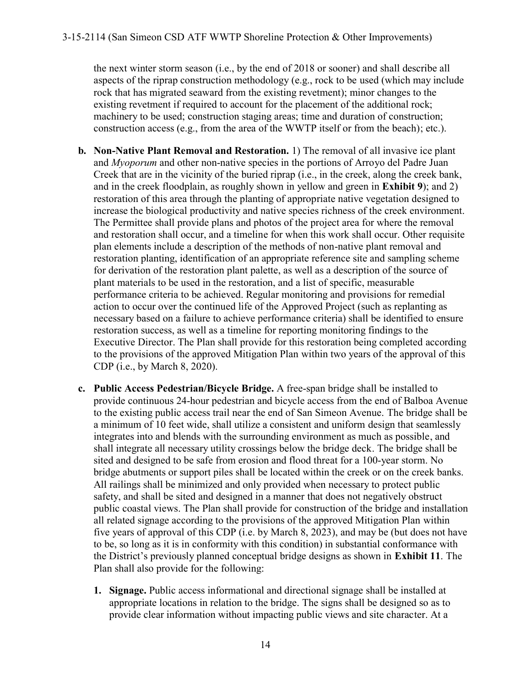the next winter storm season (i.e., by the end of 2018 or sooner) and shall describe all aspects of the riprap construction methodology (e.g., rock to be used (which may include rock that has migrated seaward from the existing revetment); minor changes to the existing revetment if required to account for the placement of the additional rock; machinery to be used; construction staging areas; time and duration of construction; construction access (e.g., from the area of the WWTP itself or from the beach); etc.).

- **b. Non-Native Plant Removal and Restoration.** 1) The removal of all invasive ice plant and *Myoporum* and other non-native species in the portions of Arroyo del Padre Juan Creek that are in the vicinity of the buried riprap (i.e., in the creek, along the creek bank, and in the creek floodplain, as roughly shown in yellow and green in **Exhibit 9**); and 2) restoration of this area through the planting of appropriate native vegetation designed to increase the biological productivity and native species richness of the creek environment. The Permittee shall provide plans and photos of the project area for where the removal and restoration shall occur, and a timeline for when this work shall occur. Other requisite plan elements include a description of the methods of non-native plant removal and restoration planting, identification of an appropriate reference site and sampling scheme for derivation of the restoration plant palette, as well as a description of the source of plant materials to be used in the restoration, and a list of specific, measurable performance criteria to be achieved. Regular monitoring and provisions for remedial action to occur over the continued life of the Approved Project (such as replanting as necessary based on a failure to achieve performance criteria) shall be identified to ensure restoration success, as well as a timeline for reporting monitoring findings to the Executive Director. The Plan shall provide for this restoration being completed according to the provisions of the approved Mitigation Plan within two years of the approval of this CDP (i.e., by March 8, 2020).
- **c. Public Access Pedestrian/Bicycle Bridge.** A free-span bridge shall be installed to provide continuous 24-hour pedestrian and bicycle access from the end of Balboa Avenue to the existing public access trail near the end of San Simeon Avenue. The bridge shall be a minimum of 10 feet wide, shall utilize a consistent and uniform design that seamlessly integrates into and blends with the surrounding environment as much as possible, and shall integrate all necessary utility crossings below the bridge deck. The bridge shall be sited and designed to be safe from erosion and flood threat for a 100-year storm. No bridge abutments or support piles shall be located within the creek or on the creek banks. All railings shall be minimized and only provided when necessary to protect public safety, and shall be sited and designed in a manner that does not negatively obstruct public coastal views. The Plan shall provide for construction of the bridge and installation all related signage according to the provisions of the approved Mitigation Plan within five years of approval of this CDP (i.e. by March 8, 2023), and may be (but does not have to be, so long as it is in conformity with this condition) in substantial conformance with the District's previously planned conceptual bridge designs as shown in **Exhibit 11**. The Plan shall also provide for the following:
	- **1. Signage.** Public access informational and directional signage shall be installed at appropriate locations in relation to the bridge. The signs shall be designed so as to provide clear information without impacting public views and site character. At a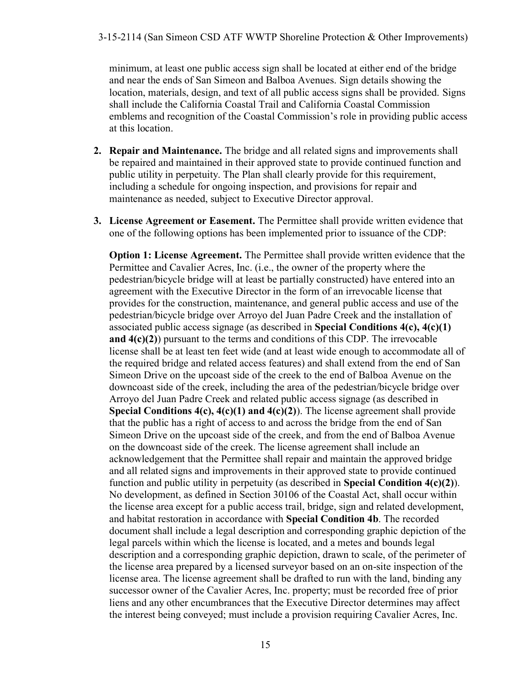minimum, at least one public access sign shall be located at either end of the bridge and near the ends of San Simeon and Balboa Avenues. Sign details showing the location, materials, design, and text of all public access signs shall be provided. Signs shall include the California Coastal Trail and California Coastal Commission emblems and recognition of the Coastal Commission's role in providing public access at this location.

- **2. Repair and Maintenance.** The bridge and all related signs and improvements shall be repaired and maintained in their approved state to provide continued function and public utility in perpetuity. The Plan shall clearly provide for this requirement, including a schedule for ongoing inspection, and provisions for repair and maintenance as needed, subject to Executive Director approval.
- **3. License Agreement or Easement.** The Permittee shall provide written evidence that one of the following options has been implemented prior to issuance of the CDP:

**Option 1: License Agreement.** The Permittee shall provide written evidence that the Permittee and Cavalier Acres, Inc. (i.e., the owner of the property where the pedestrian/bicycle bridge will at least be partially constructed) have entered into an agreement with the Executive Director in the form of an irrevocable license that provides for the construction, maintenance, and general public access and use of the pedestrian/bicycle bridge over Arroyo del Juan Padre Creek and the installation of associated public access signage (as described in **Special Conditions 4(c), 4(c)(1) and 4(c)(2)**) pursuant to the terms and conditions of this CDP. The irrevocable license shall be at least ten feet wide (and at least wide enough to accommodate all of the required bridge and related access features) and shall extend from the end of San Simeon Drive on the upcoast side of the creek to the end of Balboa Avenue on the downcoast side of the creek, including the area of the pedestrian/bicycle bridge over Arroyo del Juan Padre Creek and related public access signage (as described in **Special Conditions 4(c), 4(c)(1) and 4(c)(2)**). The license agreement shall provide that the public has a right of access to and across the bridge from the end of San Simeon Drive on the upcoast side of the creek, and from the end of Balboa Avenue on the downcoast side of the creek. The license agreement shall include an acknowledgement that the Permittee shall repair and maintain the approved bridge and all related signs and improvements in their approved state to provide continued function and public utility in perpetuity (as described in **Special Condition 4(c)(2)**). No development, as defined in Section 30106 of the Coastal Act, shall occur within the license area except for a public access trail, bridge, sign and related development, and habitat restoration in accordance with **Special Condition 4b**. The recorded document shall include a legal description and corresponding graphic depiction of the legal parcels within which the license is located, and a metes and bounds legal description and a corresponding graphic depiction, drawn to scale, of the perimeter of the license area prepared by a licensed surveyor based on an on-site inspection of the license area. The license agreement shall be drafted to run with the land, binding any successor owner of the Cavalier Acres, Inc. property; must be recorded free of prior liens and any other encumbrances that the Executive Director determines may affect the interest being conveyed; must include a provision requiring Cavalier Acres, Inc.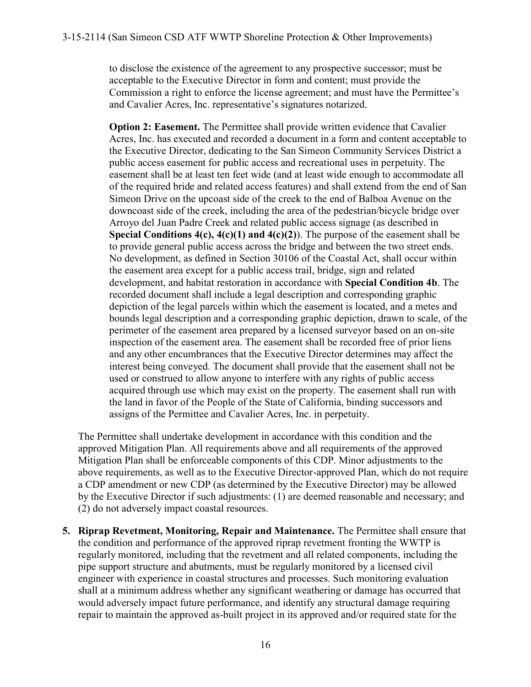to disclose the existence of the agreement to any prospective successor; must be acceptable to the Executive Director in form and content; must provide the Commission a right to enforce the license agreement; and must have the Permittee's and Cavalier Acres, Inc. representative's signatures notarized.

**Option 2: Easement.** The Permittee shall provide written evidence that Cavalier Acres, Inc. has executed and recorded a document in a form and content acceptable to the Executive Director, dedicating to the San Simeon Community Services District a public access easement for public access and recreational uses in perpetuity. The easement shall be at least ten feet wide (and at least wide enough to accommodate all of the required bride and related access features) and shall extend from the end of San Simeon Drive on the upcoast side of the creek to the end of Balboa Avenue on the downcoast side of the creek, including the area of the pedestrian/bicycle bridge over Arroyo del Juan Padre Creek and related public access signage (as described in **Special Conditions 4(c), 4(c)(1) and 4(c)(2)**). The purpose of the easement shall be to provide general public access across the bridge and between the two street ends. No development, as defined in Section 30106 of the Coastal Act, shall occur within the easement area except for a public access trail, bridge, sign and related development, and habitat restoration in accordance with **Special Condition 4b**. The recorded document shall include a legal description and corresponding graphic depiction of the legal parcels within which the easement is located, and a metes and bounds legal description and a corresponding graphic depiction, drawn to scale, of the perimeter of the easement area prepared by a licensed surveyor based on an on-site inspection of the easement area. The easement shall be recorded free of prior liens and any other encumbrances that the Executive Director determines may affect the interest being conveyed. The document shall provide that the easement shall not be used or construed to allow anyone to interfere with any rights of public access acquired through use which may exist on the property. The easement shall run with the land in favor of the People of the State of California, binding successors and assigns of the Permittee and Cavalier Acres, Inc. in perpetuity.

The Permittee shall undertake development in accordance with this condition and the approved Mitigation Plan. All requirements above and all requirements of the approved Mitigation Plan shall be enforceable components of this CDP. Minor adjustments to the above requirements, as well as to the Executive Director-approved Plan, which do not require a CDP amendment or new CDP (as determined by the Executive Director) may be allowed by the Executive Director if such adjustments: (1) are deemed reasonable and necessary; and (2) do not adversely impact coastal resources.

**5. Riprap Revetment, Monitoring, Repair and Maintenance.** The Permittee shall ensure that the condition and performance of the approved riprap revetment fronting the WWTP is regularly monitored, including that the revetment and all related components, including the pipe support structure and abutments, must be regularly monitored by a licensed civil engineer with experience in coastal structures and processes. Such monitoring evaluation shall at a minimum address whether any significant weathering or damage has occurred that would adversely impact future performance, and identify any structural damage requiring repair to maintain the approved as-built project in its approved and/or required state for the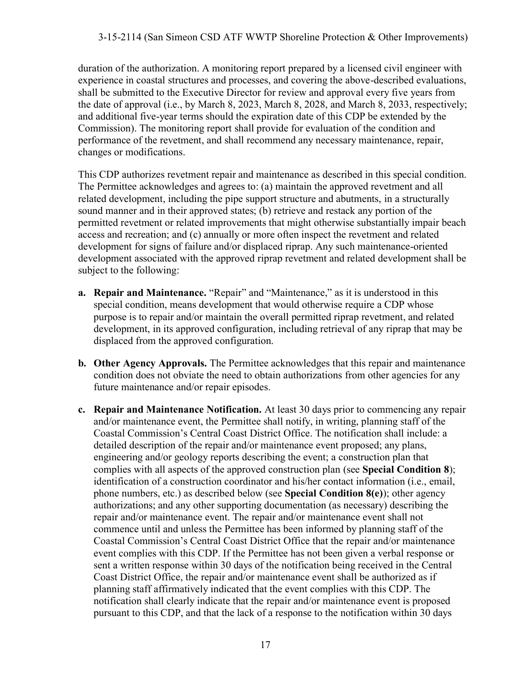duration of the authorization. A monitoring report prepared by a licensed civil engineer with experience in coastal structures and processes, and covering the above-described evaluations, shall be submitted to the Executive Director for review and approval every five years from the date of approval (i.e., by March 8, 2023, March 8, 2028, and March 8, 2033, respectively; and additional five-year terms should the expiration date of this CDP be extended by the Commission). The monitoring report shall provide for evaluation of the condition and performance of the revetment, and shall recommend any necessary maintenance, repair, changes or modifications.

This CDP authorizes revetment repair and maintenance as described in this special condition. The Permittee acknowledges and agrees to: (a) maintain the approved revetment and all related development, including the pipe support structure and abutments, in a structurally sound manner and in their approved states; (b) retrieve and restack any portion of the permitted revetment or related improvements that might otherwise substantially impair beach access and recreation; and (c) annually or more often inspect the revetment and related development for signs of failure and/or displaced riprap. Any such maintenance-oriented development associated with the approved riprap revetment and related development shall be subject to the following:

- **a. Repair and Maintenance.** "Repair" and "Maintenance," as it is understood in this special condition, means development that would otherwise require a CDP whose purpose is to repair and/or maintain the overall permitted riprap revetment, and related development, in its approved configuration, including retrieval of any riprap that may be displaced from the approved configuration.
- **b. Other Agency Approvals.** The Permittee acknowledges that this repair and maintenance condition does not obviate the need to obtain authorizations from other agencies for any future maintenance and/or repair episodes.
- **c. Repair and Maintenance Notification.** At least 30 days prior to commencing any repair and/or maintenance event, the Permittee shall notify, in writing, planning staff of the Coastal Commission's Central Coast District Office. The notification shall include: a detailed description of the repair and/or maintenance event proposed; any plans, engineering and/or geology reports describing the event; a construction plan that complies with all aspects of the approved construction plan (see **Special Condition 8**); identification of a construction coordinator and his/her contact information (i.e., email, phone numbers, etc.) as described below (see **Special Condition 8(e)**); other agency authorizations; and any other supporting documentation (as necessary) describing the repair and/or maintenance event. The repair and/or maintenance event shall not commence until and unless the Permittee has been informed by planning staff of the Coastal Commission's Central Coast District Office that the repair and/or maintenance event complies with this CDP. If the Permittee has not been given a verbal response or sent a written response within 30 days of the notification being received in the Central Coast District Office, the repair and/or maintenance event shall be authorized as if planning staff affirmatively indicated that the event complies with this CDP. The notification shall clearly indicate that the repair and/or maintenance event is proposed pursuant to this CDP, and that the lack of a response to the notification within 30 days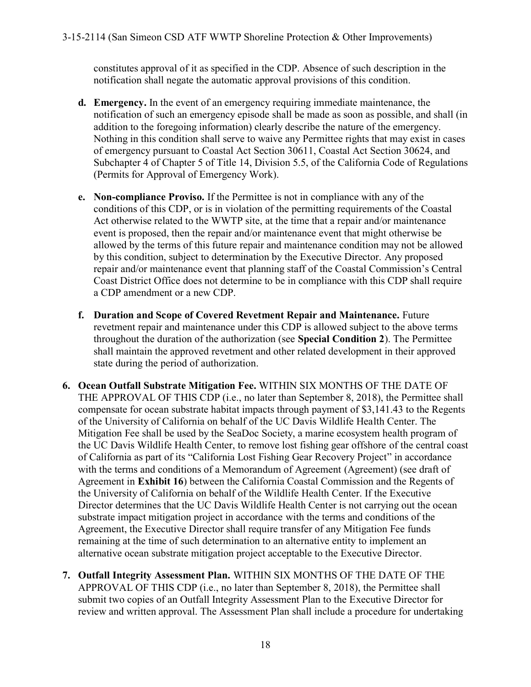constitutes approval of it as specified in the CDP. Absence of such description in the notification shall negate the automatic approval provisions of this condition.

- **d. Emergency.** In the event of an emergency requiring immediate maintenance, the notification of such an emergency episode shall be made as soon as possible, and shall (in addition to the foregoing information) clearly describe the nature of the emergency. Nothing in this condition shall serve to waive any Permittee rights that may exist in cases of emergency pursuant to Coastal Act Section 30611, Coastal Act Section 30624, and Subchapter 4 of Chapter 5 of Title 14, Division 5.5, of the California Code of Regulations (Permits for Approval of Emergency Work).
- **e. Non-compliance Proviso.** If the Permittee is not in compliance with any of the conditions of this CDP, or is in violation of the permitting requirements of the Coastal Act otherwise related to the WWTP site, at the time that a repair and/or maintenance event is proposed, then the repair and/or maintenance event that might otherwise be allowed by the terms of this future repair and maintenance condition may not be allowed by this condition, subject to determination by the Executive Director. Any proposed repair and/or maintenance event that planning staff of the Coastal Commission's Central Coast District Office does not determine to be in compliance with this CDP shall require a CDP amendment or a new CDP.
- **f. Duration and Scope of Covered Revetment Repair and Maintenance.** Future revetment repair and maintenance under this CDP is allowed subject to the above terms throughout the duration of the authorization (see **Special Condition 2**). The Permittee shall maintain the approved revetment and other related development in their approved state during the period of authorization.
- **6. Ocean Outfall Substrate Mitigation Fee.** WITHIN SIX MONTHS OF THE DATE OF THE APPROVAL OF THIS CDP (i.e., no later than September 8, 2018), the Permittee shall compensate for ocean substrate habitat impacts through payment of \$3,141.43 to the Regents of the University of California on behalf of the UC Davis Wildlife Health Center. The Mitigation Fee shall be used by the SeaDoc Society, a marine ecosystem health program of the UC Davis Wildlife Health Center, to remove lost fishing gear offshore of the central coast of California as part of its "California Lost Fishing Gear Recovery Project" in accordance with the terms and conditions of a Memorandum of Agreement (Agreement) (see draft of Agreement in **Exhibit 16**) between the California Coastal Commission and the Regents of the University of California on behalf of the Wildlife Health Center. If the Executive Director determines that the UC Davis Wildlife Health Center is not carrying out the ocean substrate impact mitigation project in accordance with the terms and conditions of the Agreement, the Executive Director shall require transfer of any Mitigation Fee funds remaining at the time of such determination to an alternative entity to implement an alternative ocean substrate mitigation project acceptable to the Executive Director.
- **7. Outfall Integrity Assessment Plan.** WITHIN SIX MONTHS OF THE DATE OF THE APPROVAL OF THIS CDP (i.e., no later than September 8, 2018), the Permittee shall submit two copies of an Outfall Integrity Assessment Plan to the Executive Director for review and written approval. The Assessment Plan shall include a procedure for undertaking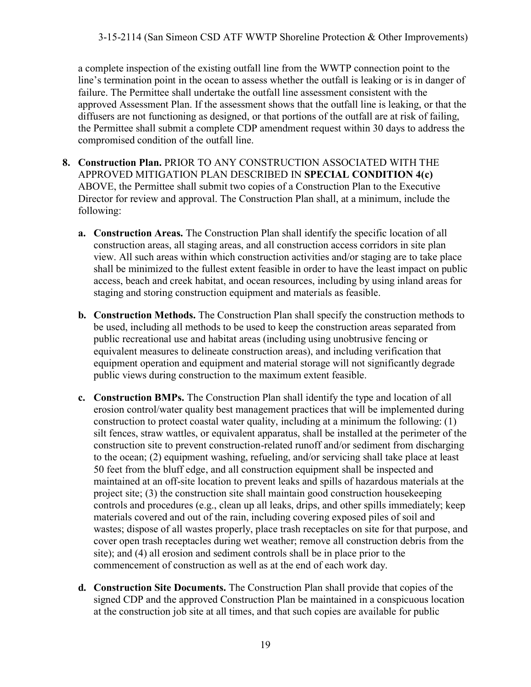a complete inspection of the existing outfall line from the WWTP connection point to the line's termination point in the ocean to assess whether the outfall is leaking or is in danger of failure. The Permittee shall undertake the outfall line assessment consistent with the approved Assessment Plan. If the assessment shows that the outfall line is leaking, or that the diffusers are not functioning as designed, or that portions of the outfall are at risk of failing, the Permittee shall submit a complete CDP amendment request within 30 days to address the compromised condition of the outfall line.

- **8. Construction Plan.** PRIOR TO ANY CONSTRUCTION ASSOCIATED WITH THE APPROVED MITIGATION PLAN DESCRIBED IN **SPECIAL CONDITION 4(c)** ABOVE, the Permittee shall submit two copies of a Construction Plan to the Executive Director for review and approval. The Construction Plan shall, at a minimum, include the following:
	- **a. Construction Areas.** The Construction Plan shall identify the specific location of all construction areas, all staging areas, and all construction access corridors in site plan view. All such areas within which construction activities and/or staging are to take place shall be minimized to the fullest extent feasible in order to have the least impact on public access, beach and creek habitat, and ocean resources, including by using inland areas for staging and storing construction equipment and materials as feasible.
	- **b. Construction Methods.** The Construction Plan shall specify the construction methods to be used, including all methods to be used to keep the construction areas separated from public recreational use and habitat areas (including using unobtrusive fencing or equivalent measures to delineate construction areas), and including verification that equipment operation and equipment and material storage will not significantly degrade public views during construction to the maximum extent feasible.
	- **c. Construction BMPs.** The Construction Plan shall identify the type and location of all erosion control/water quality best management practices that will be implemented during construction to protect coastal water quality, including at a minimum the following: (1) silt fences, straw wattles, or equivalent apparatus, shall be installed at the perimeter of the construction site to prevent construction-related runoff and/or sediment from discharging to the ocean; (2) equipment washing, refueling, and/or servicing shall take place at least 50 feet from the bluff edge, and all construction equipment shall be inspected and maintained at an off-site location to prevent leaks and spills of hazardous materials at the project site; (3) the construction site shall maintain good construction housekeeping controls and procedures (e.g., clean up all leaks, drips, and other spills immediately; keep materials covered and out of the rain, including covering exposed piles of soil and wastes; dispose of all wastes properly, place trash receptacles on site for that purpose, and cover open trash receptacles during wet weather; remove all construction debris from the site); and (4) all erosion and sediment controls shall be in place prior to the commencement of construction as well as at the end of each work day.
	- **d. Construction Site Documents.** The Construction Plan shall provide that copies of the signed CDP and the approved Construction Plan be maintained in a conspicuous location at the construction job site at all times, and that such copies are available for public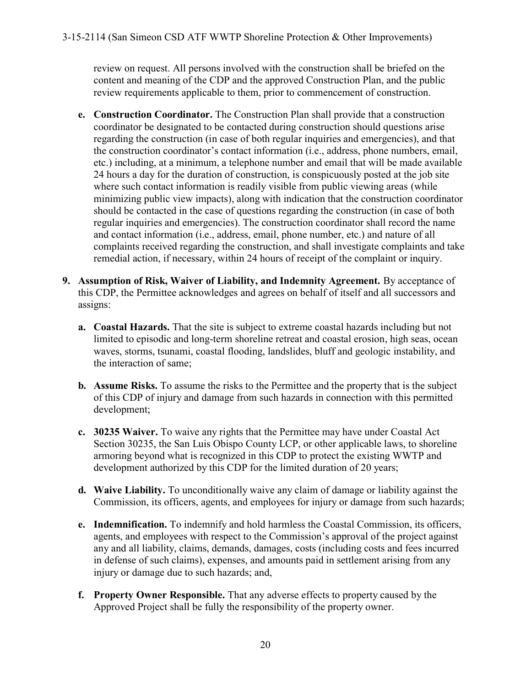review on request. All persons involved with the construction shall be briefed on the content and meaning of the CDP and the approved Construction Plan, and the public review requirements applicable to them, prior to commencement of construction.

- **e. Construction Coordinator.** The Construction Plan shall provide that a construction coordinator be designated to be contacted during construction should questions arise regarding the construction (in case of both regular inquiries and emergencies), and that the construction coordinator's contact information (i.e., address, phone numbers, email, etc.) including, at a minimum, a telephone number and email that will be made available 24 hours a day for the duration of construction, is conspicuously posted at the job site where such contact information is readily visible from public viewing areas (while minimizing public view impacts), along with indication that the construction coordinator should be contacted in the case of questions regarding the construction (in case of both regular inquiries and emergencies). The construction coordinator shall record the name and contact information (i.e., address, email, phone number, etc.) and nature of all complaints received regarding the construction, and shall investigate complaints and take remedial action, if necessary, within 24 hours of receipt of the complaint or inquiry.
- **9. Assumption of Risk, Waiver of Liability, and Indemnity Agreement.** By acceptance of this CDP, the Permittee acknowledges and agrees on behalf of itself and all successors and assigns:
	- **a. Coastal Hazards.** That the site is subject to extreme coastal hazards including but not limited to episodic and long-term shoreline retreat and coastal erosion, high seas, ocean waves, storms, tsunami, coastal flooding, landslides, bluff and geologic instability, and the interaction of same;
	- **b. Assume Risks.** To assume the risks to the Permittee and the property that is the subject of this CDP of injury and damage from such hazards in connection with this permitted development;
	- **c. 30235 Waiver.** To waive any rights that the Permittee may have under Coastal Act Section 30235, the San Luis Obispo County LCP, or other applicable laws, to shoreline armoring beyond what is recognized in this CDP to protect the existing WWTP and development authorized by this CDP for the limited duration of 20 years;
	- **d. Waive Liability.** To unconditionally waive any claim of damage or liability against the Commission, its officers, agents, and employees for injury or damage from such hazards;
	- **e. Indemnification.** To indemnify and hold harmless the Coastal Commission, its officers, agents, and employees with respect to the Commission's approval of the project against any and all liability, claims, demands, damages, costs (including costs and fees incurred in defense of such claims), expenses, and amounts paid in settlement arising from any injury or damage due to such hazards; and,
	- **f. Property Owner Responsible.** That any adverse effects to property caused by the Approved Project shall be fully the responsibility of the property owner.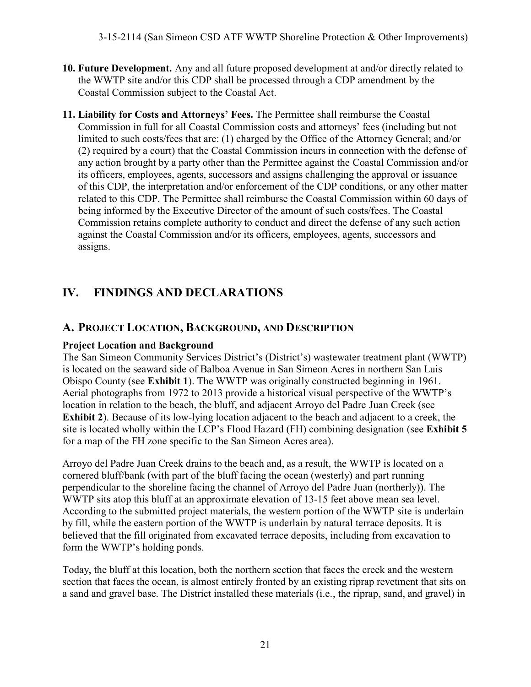- **10. Future Development.** Any and all future proposed development at and/or directly related to the WWTP site and/or this CDP shall be processed through a CDP amendment by the Coastal Commission subject to the Coastal Act.
- **11. Liability for Costs and Attorneys' Fees.** The Permittee shall reimburse the Coastal Commission in full for all Coastal Commission costs and attorneys' fees (including but not limited to such costs/fees that are: (1) charged by the Office of the Attorney General; and/or (2) required by a court) that the Coastal Commission incurs in connection with the defense of any action brought by a party other than the Permittee against the Coastal Commission and/or its officers, employees, agents, successors and assigns challenging the approval or issuance of this CDP, the interpretation and/or enforcement of the CDP conditions, or any other matter related to this CDP. The Permittee shall reimburse the Coastal Commission within 60 days of being informed by the Executive Director of the amount of such costs/fees. The Coastal Commission retains complete authority to conduct and direct the defense of any such action against the Coastal Commission and/or its officers, employees, agents, successors and assigns.

## **IV. FINDINGS AND DECLARATIONS**

## **A. PROJECT LOCATION, BACKGROUND, AND DESCRIPTION**

#### **Project Location and Background**

The San Simeon Community Services District's (District's) wastewater treatment plant (WWTP) is located on the seaward side of Balboa Avenue in San Simeon Acres in northern San Luis Obispo County (see **Exhibit 1**). The WWTP was originally constructed beginning in 1961. Aerial photographs from 1972 to 2013 provide a historical visual perspective of the WWTP's location in relation to the beach, the bluff, and adjacent Arroyo del Padre Juan Creek (see **Exhibit 2**). Because of its low-lying location adjacent to the beach and adjacent to a creek, the site is located wholly within the LCP's Flood Hazard (FH) combining designation (see **Exhibit 5**  for a map of the FH zone specific to the San Simeon Acres area).

Arroyo del Padre Juan Creek drains to the beach and, as a result, the WWTP is located on a cornered bluff/bank (with part of the bluff facing the ocean (westerly) and part running perpendicular to the shoreline facing the channel of Arroyo del Padre Juan (northerly)). The WWTP sits atop this bluff at an approximate elevation of 13-15 feet above mean sea level. According to the submitted project materials, the western portion of the WWTP site is underlain by fill, while the eastern portion of the WWTP is underlain by natural terrace deposits. It is believed that the fill originated from excavated terrace deposits, including from excavation to form the WWTP's holding ponds.

Today, the bluff at this location, both the northern section that faces the creek and the western section that faces the ocean, is almost entirely fronted by an existing riprap revetment that sits on a sand and gravel base. The District installed these materials (i.e., the riprap, sand, and gravel) in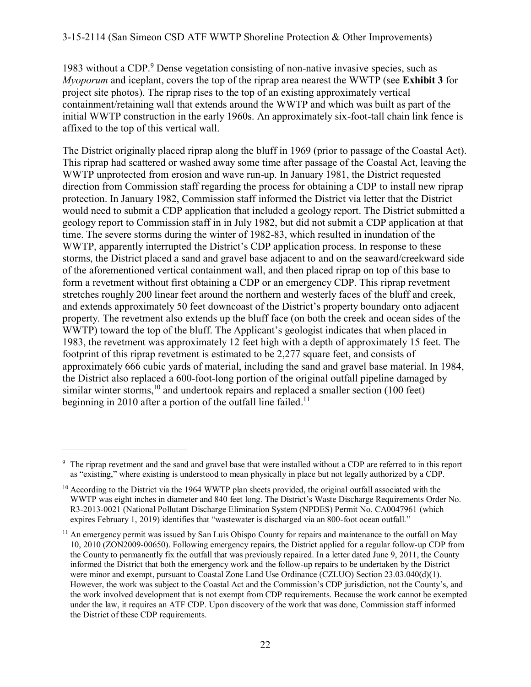1983 without a CDP.<sup>9</sup> Dense vegetation consisting of non-native invasive species, such as *Myoporum* and iceplant, covers the top of the riprap area nearest the WWTP (see **Exhibit 3** for project site photos). The riprap rises to the top of an existing approximately vertical containment/retaining wall that extends around the WWTP and which was built as part of the initial WWTP construction in the early 1960s. An approximately six-foot-tall chain link fence is affixed to the top of this vertical wall.

The District originally placed riprap along the bluff in 1969 (prior to passage of the Coastal Act). This riprap had scattered or washed away some time after passage of the Coastal Act, leaving the WWTP unprotected from erosion and wave run-up. In January 1981, the District requested direction from Commission staff regarding the process for obtaining a CDP to install new riprap protection. In January 1982, Commission staff informed the District via letter that the District would need to submit a CDP application that included a geology report. The District submitted a geology report to Commission staff in in July 1982, but did not submit a CDP application at that time. The severe storms during the winter of 1982-83, which resulted in inundation of the WWTP, apparently interrupted the District's CDP application process. In response to these storms, the District placed a sand and gravel base adjacent to and on the seaward/creekward side of the aforementioned vertical containment wall, and then placed riprap on top of this base to form a revetment without first obtaining a CDP or an emergency CDP. This riprap revetment stretches roughly 200 linear feet around the northern and westerly faces of the bluff and creek, and extends approximately 50 feet downcoast of the District's property boundary onto adjacent property. The revetment also extends up the bluff face (on both the creek and ocean sides of the WWTP) toward the top of the bluff. The Applicant's geologist indicates that when placed in 1983, the revetment was approximately 12 feet high with a depth of approximately 15 feet. The footprint of this riprap revetment is estimated to be 2,277 square feet, and consists of approximately 666 cubic yards of material, including the sand and gravel base material. In 1984, the District also replaced a 600-foot-long portion of the original outfall pipeline damaged by similar winter storms,<sup>10</sup> and undertook repairs and replaced a smaller section  $(100 \text{ feet})$ beginning in 2010 after a portion of the outfall line failed.<sup>11</sup>

<sup>&</sup>lt;sup>9</sup> The riprap revetment and the sand and gravel base that were installed without a CDP are referred to in this report as "existing," where existing is understood to mean physically in place but not legally authorized by a CDP.

<sup>&</sup>lt;sup>10</sup> According to the District via the 1964 WWTP plan sheets provided, the original outfall associated with the WWTP was eight inches in diameter and 840 feet long. The District's Waste Discharge Requirements Order No. R3-2013-0021 (National Pollutant Discharge Elimination System (NPDES) Permit No. CA0047961 (which expires February 1, 2019) identifies that "wastewater is discharged via an 800-foot ocean outfall."

<sup>&</sup>lt;sup>11</sup> An emergency permit was issued by San Luis Obispo County for repairs and maintenance to the outfall on May 10, 2010 (ZON2009-00650). Following emergency repairs, the District applied for a regular follow-up CDP from the County to permanently fix the outfall that was previously repaired. In a letter dated June 9, 2011, the County informed the District that both the emergency work and the follow-up repairs to be undertaken by the District were minor and exempt, pursuant to Coastal Zone Land Use Ordinance (CZLUO) Section 23.03.040(d)(1). However, the work was subject to the Coastal Act and the Commission's CDP jurisdiction, not the County's, and the work involved development that is not exempt from CDP requirements. Because the work cannot be exempted under the law, it requires an ATF CDP. Upon discovery of the work that was done, Commission staff informed the District of these CDP requirements.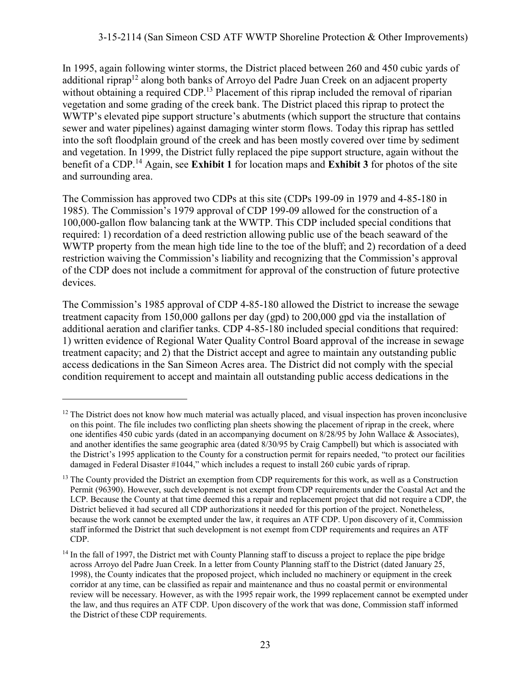#### 3-15-2114 (San Simeon CSD ATF WWTP Shoreline Protection & Other Improvements)

In 1995, again following winter storms, the District placed between 260 and 450 cubic yards of additional riprap<sup>12</sup> along both banks of Arroyo del Padre Juan Creek on an adjacent property without obtaining a required CDP.<sup>13</sup> Placement of this riprap included the removal of riparian vegetation and some grading of the creek bank. The District placed this riprap to protect the WWTP's elevated pipe support structure's abutments (which support the structure that contains sewer and water pipelines) against damaging winter storm flows. Today this riprap has settled into the soft floodplain ground of the creek and has been mostly covered over time by sediment and vegetation. In 1999, the District fully replaced the pipe support structure, again without the benefit of a CDP.<sup>14</sup> Again, see **Exhibit 1** for location maps and **Exhibit 3** for photos of the site and surrounding area.

The Commission has approved two CDPs at this site (CDPs 199-09 in 1979 and 4-85-180 in 1985). The Commission's 1979 approval of CDP 199-09 allowed for the construction of a 100,000-gallon flow balancing tank at the WWTP. This CDP included special conditions that required: 1) recordation of a deed restriction allowing public use of the beach seaward of the WWTP property from the mean high tide line to the toe of the bluff; and 2) recordation of a deed restriction waiving the Commission's liability and recognizing that the Commission's approval of the CDP does not include a commitment for approval of the construction of future protective devices.

The Commission's 1985 approval of CDP 4-85-180 allowed the District to increase the sewage treatment capacity from 150,000 gallons per day (gpd) to 200,000 gpd via the installation of additional aeration and clarifier tanks. CDP 4-85-180 included special conditions that required: 1) written evidence of Regional Water Quality Control Board approval of the increase in sewage treatment capacity; and 2) that the District accept and agree to maintain any outstanding public access dedications in the San Simeon Acres area. The District did not comply with the special condition requirement to accept and maintain all outstanding public access dedications in the

 $12$  The District does not know how much material was actually placed, and visual inspection has proven inconclusive on this point. The file includes two conflicting plan sheets showing the placement of riprap in the creek, where one identifies 450 cubic yards (dated in an accompanying document on 8/28/95 by John Wallace & Associates), and another identifies the same geographic area (dated 8/30/95 by Craig Campbell) but which is associated with the District's 1995 application to the County for a construction permit for repairs needed, "to protect our facilities damaged in Federal Disaster #1044," which includes a request to install 260 cubic yards of riprap.

<sup>&</sup>lt;sup>13</sup> The County provided the District an exemption from CDP requirements for this work, as well as a Construction Permit (96390). However, such development is not exempt from CDP requirements under the Coastal Act and the LCP. Because the County at that time deemed this a repair and replacement project that did not require a CDP, the District believed it had secured all CDP authorizations it needed for this portion of the project. Nonetheless, because the work cannot be exempted under the law, it requires an ATF CDP. Upon discovery of it, Commission staff informed the District that such development is not exempt from CDP requirements and requires an ATF CDP.

<sup>&</sup>lt;sup>14</sup> In the fall of 1997, the District met with County Planning staff to discuss a project to replace the pipe bridge across Arroyo del Padre Juan Creek. In a letter from County Planning staff to the District (dated January 25, 1998), the County indicates that the proposed project, which included no machinery or equipment in the creek corridor at any time, can be classified as repair and maintenance and thus no coastal permit or environmental review will be necessary. However, as with the 1995 repair work, the 1999 replacement cannot be exempted under the law, and thus requires an ATF CDP. Upon discovery of the work that was done, Commission staff informed the District of these CDP requirements.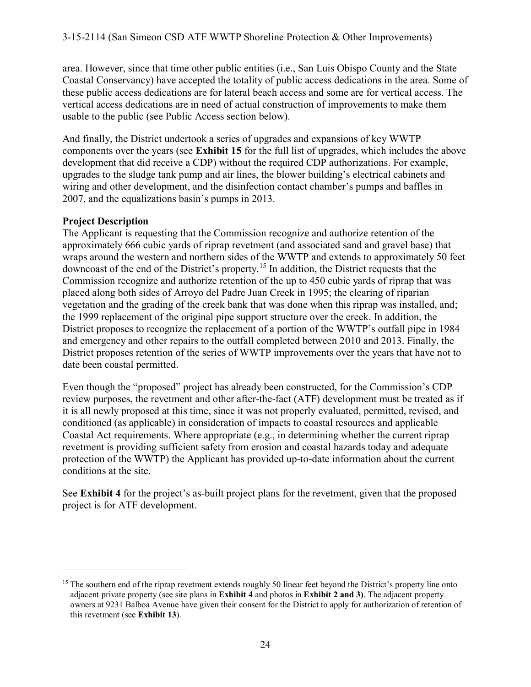area. However, since that time other public entities (i.e., San Luis Obispo County and the State Coastal Conservancy) have accepted the totality of public access dedications in the area. Some of these public access dedications are for lateral beach access and some are for vertical access. The vertical access dedications are in need of actual construction of improvements to make them usable to the public (see Public Access section below).

And finally, the District undertook a series of upgrades and expansions of key WWTP components over the years (see **Exhibit 15** for the full list of upgrades, which includes the above development that did receive a CDP) without the required CDP authorizations. For example, upgrades to the sludge tank pump and air lines, the blower building's electrical cabinets and wiring and other development, and the disinfection contact chamber's pumps and baffles in 2007, and the equalizations basin's pumps in 2013.

#### **Project Description**

 $\overline{a}$ 

The Applicant is requesting that the Commission recognize and authorize retention of the approximately 666 cubic yards of riprap revetment (and associated sand and gravel base) that wraps around the western and northern sides of the WWTP and extends to approximately 50 feet downcoast of the end of the District's property.<sup>15</sup> In addition, the District requests that the Commission recognize and authorize retention of the up to 450 cubic yards of riprap that was placed along both sides of Arroyo del Padre Juan Creek in 1995; the clearing of riparian vegetation and the grading of the creek bank that was done when this riprap was installed, and; the 1999 replacement of the original pipe support structure over the creek. In addition, the District proposes to recognize the replacement of a portion of the WWTP's outfall pipe in 1984 and emergency and other repairs to the outfall completed between 2010 and 2013. Finally, the District proposes retention of the series of WWTP improvements over the years that have not to date been coastal permitted.

Even though the "proposed" project has already been constructed, for the Commission's CDP review purposes, the revetment and other after-the-fact (ATF) development must be treated as if it is all newly proposed at this time, since it was not properly evaluated, permitted, revised, and conditioned (as applicable) in consideration of impacts to coastal resources and applicable Coastal Act requirements. Where appropriate (e.g., in determining whether the current riprap revetment is providing sufficient safety from erosion and coastal hazards today and adequate protection of the WWTP) the Applicant has provided up-to-date information about the current conditions at the site.

See **Exhibit 4** for the project's as-built project plans for the revetment, given that the proposed project is for ATF development.

<sup>&</sup>lt;sup>15</sup> The southern end of the riprap revetment extends roughly 50 linear feet beyond the District's property line onto adjacent private property (see site plans in **Exhibit 4** and photos in **Exhibit 2 and 3)**. The adjacent property owners at 9231 Balboa Avenue have given their consent for the District to apply for authorization of retention of this revetment (see **Exhibit 13**).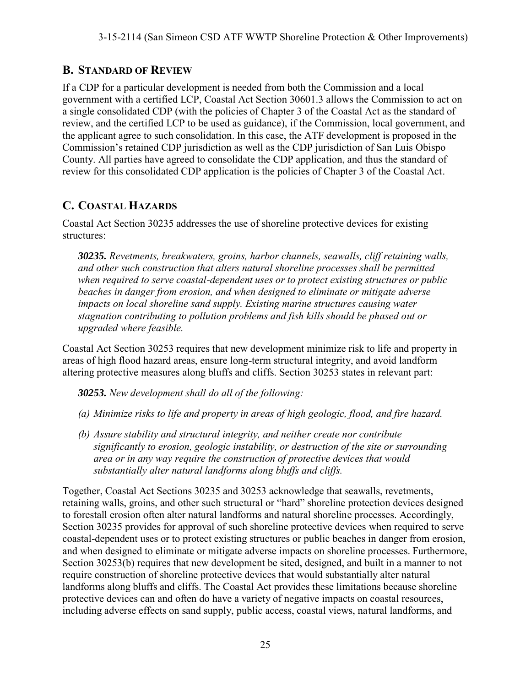## **B. STANDARD OF REVIEW**

If a CDP for a particular development is needed from both the Commission and a local government with a certified LCP, Coastal Act Section 30601.3 allows the Commission to act on a single consolidated CDP (with the policies of Chapter 3 of the Coastal Act as the standard of review, and the certified LCP to be used as guidance), if the Commission, local government, and the applicant agree to such consolidation. In this case, the ATF development is proposed in the Commission's retained CDP jurisdiction as well as the CDP jurisdiction of San Luis Obispo County. All parties have agreed to consolidate the CDP application, and thus the standard of review for this consolidated CDP application is the policies of Chapter 3 of the Coastal Act.

## **C. COASTAL HAZARDS**

Coastal Act Section 30235 addresses the use of shoreline protective devices for existing structures:

*30235. Revetments, breakwaters, groins, harbor channels, seawalls, cliff retaining walls, and other such construction that alters natural shoreline processes shall be permitted when required to serve coastal-dependent uses or to protect existing structures or public beaches in danger from erosion, and when designed to eliminate or mitigate adverse impacts on local shoreline sand supply. Existing marine structures causing water stagnation contributing to pollution problems and fish kills should be phased out or upgraded where feasible.* 

Coastal Act Section 30253 requires that new development minimize risk to life and property in areas of high flood hazard areas, ensure long-term structural integrity, and avoid landform altering protective measures along bluffs and cliffs. Section 30253 states in relevant part:

*30253. New development shall do all of the following:* 

- *(a) Minimize risks to life and property in areas of high geologic, flood, and fire hazard.*
- *(b) Assure stability and structural integrity, and neither create nor contribute significantly to erosion, geologic instability, or destruction of the site or surrounding area or in any way require the construction of protective devices that would substantially alter natural landforms along bluffs and cliffs.*

Together, Coastal Act Sections 30235 and 30253 acknowledge that seawalls, revetments, retaining walls, groins, and other such structural or "hard" shoreline protection devices designed to forestall erosion often alter natural landforms and natural shoreline processes. Accordingly, Section 30235 provides for approval of such shoreline protective devices when required to serve coastal-dependent uses or to protect existing structures or public beaches in danger from erosion, and when designed to eliminate or mitigate adverse impacts on shoreline processes. Furthermore, Section 30253(b) requires that new development be sited, designed, and built in a manner to not require construction of shoreline protective devices that would substantially alter natural landforms along bluffs and cliffs. The Coastal Act provides these limitations because shoreline protective devices can and often do have a variety of negative impacts on coastal resources, including adverse effects on sand supply, public access, coastal views, natural landforms, and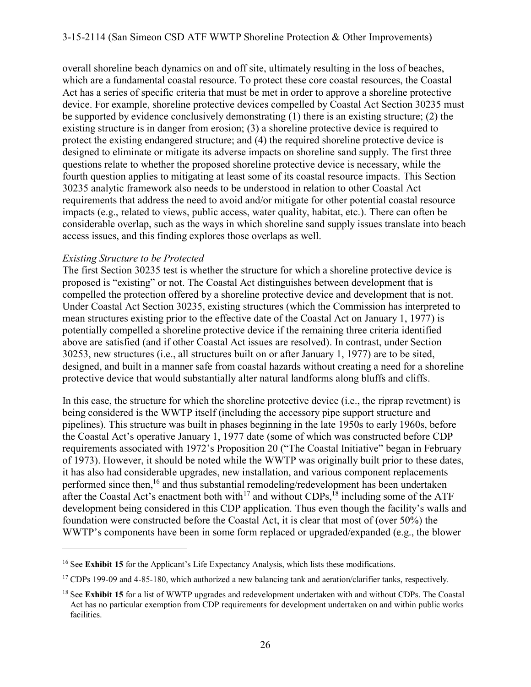overall shoreline beach dynamics on and off site, ultimately resulting in the loss of beaches, which are a fundamental coastal resource. To protect these core coastal resources, the Coastal Act has a series of specific criteria that must be met in order to approve a shoreline protective device. For example, shoreline protective devices compelled by Coastal Act Section 30235 must be supported by evidence conclusively demonstrating (1) there is an existing structure; (2) the existing structure is in danger from erosion; (3) a shoreline protective device is required to protect the existing endangered structure; and (4) the required shoreline protective device is designed to eliminate or mitigate its adverse impacts on shoreline sand supply. The first three questions relate to whether the proposed shoreline protective device is necessary, while the fourth question applies to mitigating at least some of its coastal resource impacts. This Section 30235 analytic framework also needs to be understood in relation to other Coastal Act requirements that address the need to avoid and/or mitigate for other potential coastal resource impacts (e.g., related to views, public access, water quality, habitat, etc.). There can often be considerable overlap, such as the ways in which shoreline sand supply issues translate into beach access issues, and this finding explores those overlaps as well.

#### *Existing Structure to be Protected*

 $\overline{a}$ 

The first Section 30235 test is whether the structure for which a shoreline protective device is proposed is "existing" or not. The Coastal Act distinguishes between development that is compelled the protection offered by a shoreline protective device and development that is not. Under Coastal Act Section 30235, existing structures (which the Commission has interpreted to mean structures existing prior to the effective date of the Coastal Act on January 1, 1977) is potentially compelled a shoreline protective device if the remaining three criteria identified above are satisfied (and if other Coastal Act issues are resolved). In contrast, under Section 30253, new structures (i.e., all structures built on or after January 1, 1977) are to be sited, designed, and built in a manner safe from coastal hazards without creating a need for a shoreline protective device that would substantially alter natural landforms along bluffs and cliffs.

In this case, the structure for which the shoreline protective device (i.e., the riprap revetment) is being considered is the WWTP itself (including the accessory pipe support structure and pipelines). This structure was built in phases beginning in the late 1950s to early 1960s, before the Coastal Act's operative January 1, 1977 date (some of which was constructed before CDP requirements associated with 1972's Proposition 20 ("The Coastal Initiative" began in February of 1973). However, it should be noted while the WWTP was originally built prior to these dates, it has also had considerable upgrades, new installation, and various component replacements performed since then,<sup>16</sup> and thus substantial remodeling/redevelopment has been undertaken after the Coastal Act's enactment both with<sup>17</sup> and without CDPs,<sup>18</sup> including some of the ATF development being considered in this CDP application. Thus even though the facility's walls and foundation were constructed before the Coastal Act, it is clear that most of (over 50%) the WWTP's components have been in some form replaced or upgraded/expanded (e.g., the blower

<sup>&</sup>lt;sup>16</sup> See **Exhibit 15** for the Applicant's Life Expectancy Analysis, which lists these modifications.

<sup>&</sup>lt;sup>17</sup> CDPs 199-09 and 4-85-180, which authorized a new balancing tank and aeration/clarifier tanks, respectively.

<sup>&</sup>lt;sup>18</sup> See **Exhibit 15** for a list of WWTP upgrades and redevelopment undertaken with and without CDPs. The Coastal Act has no particular exemption from CDP requirements for development undertaken on and within public works facilities.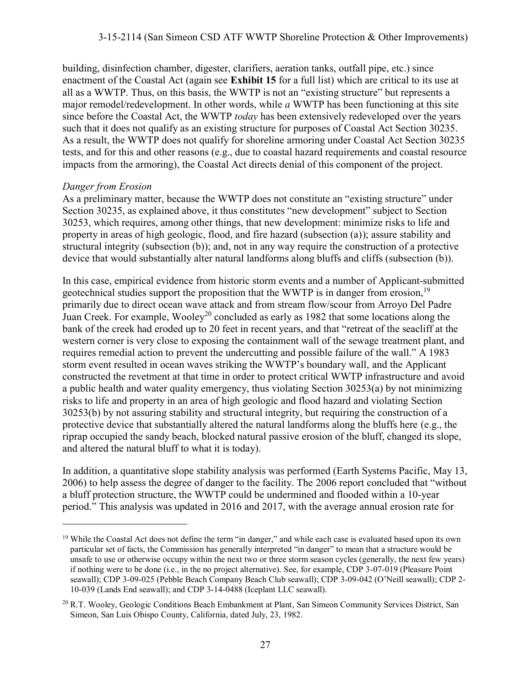building, disinfection chamber, digester, clarifiers, aeration tanks, outfall pipe, etc.) since enactment of the Coastal Act (again see **Exhibit 15** for a full list) which are critical to its use at all as a WWTP. Thus, on this basis, the WWTP is not an "existing structure" but represents a major remodel/redevelopment. In other words, while *a* WWTP has been functioning at this site since before the Coastal Act, the WWTP *today* has been extensively redeveloped over the years such that it does not qualify as an existing structure for purposes of Coastal Act Section 30235. As a result, the WWTP does not qualify for shoreline armoring under Coastal Act Section 30235 tests, and for this and other reasons (e.g., due to coastal hazard requirements and coastal resource impacts from the armoring), the Coastal Act directs denial of this component of the project.

#### *Danger from Erosion*

 $\overline{a}$ 

As a preliminary matter, because the WWTP does not constitute an "existing structure" under Section 30235, as explained above, it thus constitutes "new development" subject to Section 30253, which requires, among other things, that new development: minimize risks to life and property in areas of high geologic, flood, and fire hazard (subsection (a)); assure stability and structural integrity (subsection (b)); and, not in any way require the construction of a protective device that would substantially alter natural landforms along bluffs and cliffs (subsection (b)).

In this case, empirical evidence from historic storm events and a number of Applicant-submitted geotechnical studies support the proposition that the WWTP is in danger from erosion,<sup>19</sup> primarily due to direct ocean wave attack and from stream flow/scour from Arroyo Del Padre Juan Creek. For example, Wooley<sup>20</sup> concluded as early as 1982 that some locations along the bank of the creek had eroded up to 20 feet in recent years, and that "retreat of the seacliff at the western corner is very close to exposing the containment wall of the sewage treatment plant, and requires remedial action to prevent the undercutting and possible failure of the wall." A 1983 storm event resulted in ocean waves striking the WWTP's boundary wall, and the Applicant constructed the revetment at that time in order to protect critical WWTP infrastructure and avoid a public health and water quality emergency, thus violating Section 30253(a) by not minimizing risks to life and property in an area of high geologic and flood hazard and violating Section 30253(b) by not assuring stability and structural integrity, but requiring the construction of a protective device that substantially altered the natural landforms along the bluffs here (e.g., the riprap occupied the sandy beach, blocked natural passive erosion of the bluff, changed its slope, and altered the natural bluff to what it is today).

In addition, a quantitative slope stability analysis was performed (Earth Systems Pacific, May 13, 2006) to help assess the degree of danger to the facility. The 2006 report concluded that "without a bluff protection structure, the WWTP could be undermined and flooded within a 10-year period." This analysis was updated in 2016 and 2017, with the average annual erosion rate for

<sup>&</sup>lt;sup>19</sup> While the Coastal Act does not define the term "in danger," and while each case is evaluated based upon its own particular set of facts, the Commission has generally interpreted "in danger" to mean that a structure would be unsafe to use or otherwise occupy within the next two or three storm season cycles (generally, the next few years) if nothing were to be done (i.e., in the no project alternative). See, for example, CDP 3-07-019 (Pleasure Point seawall); CDP 3-09-025 (Pebble Beach Company Beach Club seawall); CDP 3-09-042 (O'Neill seawall); CDP 2-10-039 (Lands End seawall); and CDP 3-14-0488 (Iceplant LLC seawall).

<sup>&</sup>lt;sup>20</sup> R.T. Wooley, Geologic Conditions Beach Embankment at Plant, San Simeon Community Services District, San Simeon, San Luis Obispo County, California, dated July, 23, 1982.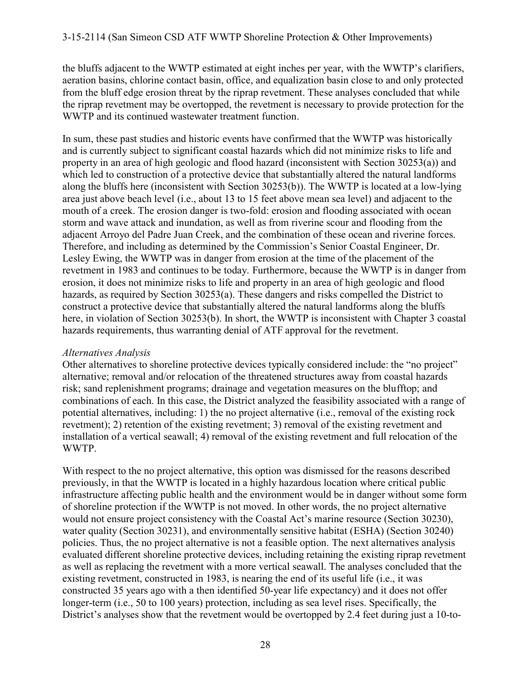the bluffs adjacent to the WWTP estimated at eight inches per year, with the WWTP's clarifiers, aeration basins, chlorine contact basin, office, and equalization basin close to and only protected from the bluff edge erosion threat by the riprap revetment. These analyses concluded that while the riprap revetment may be overtopped, the revetment is necessary to provide protection for the WWTP and its continued wastewater treatment function.

In sum, these past studies and historic events have confirmed that the WWTP was historically and is currently subject to significant coastal hazards which did not minimize risks to life and property in an area of high geologic and flood hazard (inconsistent with Section 30253(a)) and which led to construction of a protective device that substantially altered the natural landforms along the bluffs here (inconsistent with Section 30253(b)). The WWTP is located at a low-lying area just above beach level (i.e., about 13 to 15 feet above mean sea level) and adjacent to the mouth of a creek. The erosion danger is two-fold: erosion and flooding associated with ocean storm and wave attack and inundation, as well as from riverine scour and flooding from the adjacent Arroyo del Padre Juan Creek, and the combination of these ocean and riverine forces. Therefore, and including as determined by the Commission's Senior Coastal Engineer, Dr. Lesley Ewing, the WWTP was in danger from erosion at the time of the placement of the revetment in 1983 and continues to be today. Furthermore, because the WWTP is in danger from erosion, it does not minimize risks to life and property in an area of high geologic and flood hazards, as required by Section 30253(a). These dangers and risks compelled the District to construct a protective device that substantially altered the natural landforms along the bluffs here, in violation of Section 30253(b). In short, the WWTP is inconsistent with Chapter 3 coastal hazards requirements, thus warranting denial of ATF approval for the revetment.

#### *Alternatives Analysis*

Other alternatives to shoreline protective devices typically considered include: the "no project" alternative; removal and/or relocation of the threatened structures away from coastal hazards risk; sand replenishment programs; drainage and vegetation measures on the blufftop; and combinations of each. In this case, the District analyzed the feasibility associated with a range of potential alternatives, including: 1) the no project alternative (i.e., removal of the existing rock revetment); 2) retention of the existing revetment; 3) removal of the existing revetment and installation of a vertical seawall; 4) removal of the existing revetment and full relocation of the WWTP.

With respect to the no project alternative, this option was dismissed for the reasons described previously, in that the WWTP is located in a highly hazardous location where critical public infrastructure affecting public health and the environment would be in danger without some form of shoreline protection if the WWTP is not moved. In other words, the no project alternative would not ensure project consistency with the Coastal Act's marine resource (Section 30230), water quality (Section 30231), and environmentally sensitive habitat (ESHA) (Section 30240) policies. Thus, the no project alternative is not a feasible option. The next alternatives analysis evaluated different shoreline protective devices, including retaining the existing riprap revetment as well as replacing the revetment with a more vertical seawall. The analyses concluded that the existing revetment, constructed in 1983, is nearing the end of its useful life (i.e., it was constructed 35 years ago with a then identified 50-year life expectancy) and it does not offer longer-term (i.e., 50 to 100 years) protection, including as sea level rises. Specifically, the District's analyses show that the revetment would be overtopped by 2.4 feet during just a 10-to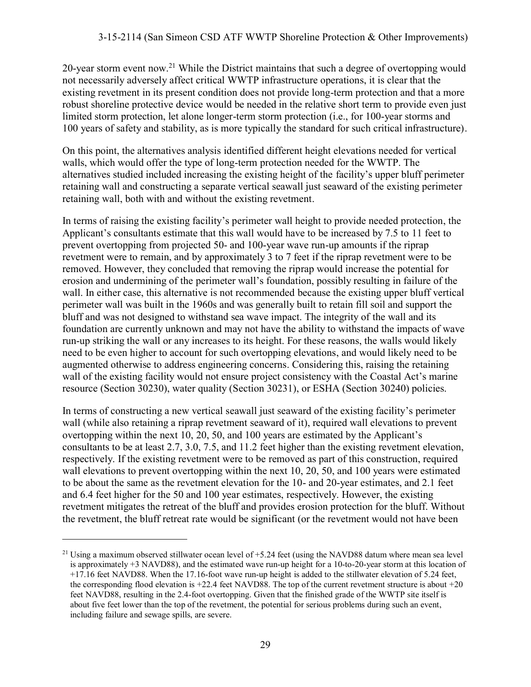20-year storm event now.<sup>21</sup> While the District maintains that such a degree of overtopping would not necessarily adversely affect critical WWTP infrastructure operations, it is clear that the existing revetment in its present condition does not provide long-term protection and that a more robust shoreline protective device would be needed in the relative short term to provide even just limited storm protection, let alone longer-term storm protection (i.e., for 100-year storms and 100 years of safety and stability, as is more typically the standard for such critical infrastructure).

On this point, the alternatives analysis identified different height elevations needed for vertical walls, which would offer the type of long-term protection needed for the WWTP. The alternatives studied included increasing the existing height of the facility's upper bluff perimeter retaining wall and constructing a separate vertical seawall just seaward of the existing perimeter retaining wall, both with and without the existing revetment.

In terms of raising the existing facility's perimeter wall height to provide needed protection, the Applicant's consultants estimate that this wall would have to be increased by 7.5 to 11 feet to prevent overtopping from projected 50- and 100-year wave run-up amounts if the riprap revetment were to remain, and by approximately 3 to 7 feet if the riprap revetment were to be removed. However, they concluded that removing the riprap would increase the potential for erosion and undermining of the perimeter wall's foundation, possibly resulting in failure of the wall. In either case, this alternative is not recommended because the existing upper bluff vertical perimeter wall was built in the 1960s and was generally built to retain fill soil and support the bluff and was not designed to withstand sea wave impact. The integrity of the wall and its foundation are currently unknown and may not have the ability to withstand the impacts of wave run-up striking the wall or any increases to its height. For these reasons, the walls would likely need to be even higher to account for such overtopping elevations, and would likely need to be augmented otherwise to address engineering concerns. Considering this, raising the retaining wall of the existing facility would not ensure project consistency with the Coastal Act's marine resource (Section 30230), water quality (Section 30231), or ESHA (Section 30240) policies.

In terms of constructing a new vertical seawall just seaward of the existing facility's perimeter wall (while also retaining a riprap revetment seaward of it), required wall elevations to prevent overtopping within the next 10, 20, 50, and 100 years are estimated by the Applicant's consultants to be at least 2.7, 3.0, 7.5, and 11.2 feet higher than the existing revetment elevation, respectively. If the existing revetment were to be removed as part of this construction, required wall elevations to prevent overtopping within the next 10, 20, 50, and 100 years were estimated to be about the same as the revetment elevation for the 10- and 20-year estimates, and 2.1 feet and 6.4 feet higher for the 50 and 100 year estimates, respectively. However, the existing revetment mitigates the retreat of the bluff and provides erosion protection for the bluff. Without the revetment, the bluff retreat rate would be significant (or the revetment would not have been

<sup>&</sup>lt;sup>21</sup> Using a maximum observed stillwater ocean level of  $+5.24$  feet (using the NAVD88 datum where mean sea level is approximately +3 NAVD88), and the estimated wave run-up height for a 10-to-20-year storm at this location of +17.16 feet NAVD88. When the 17.16-foot wave run-up height is added to the stillwater elevation of 5.24 feet, the corresponding flood elevation is  $+22.4$  feet NAVD88. The top of the current revetment structure is about  $+20$ feet NAVD88, resulting in the 2.4-foot overtopping. Given that the finished grade of the WWTP site itself is about five feet lower than the top of the revetment, the potential for serious problems during such an event, including failure and sewage spills, are severe.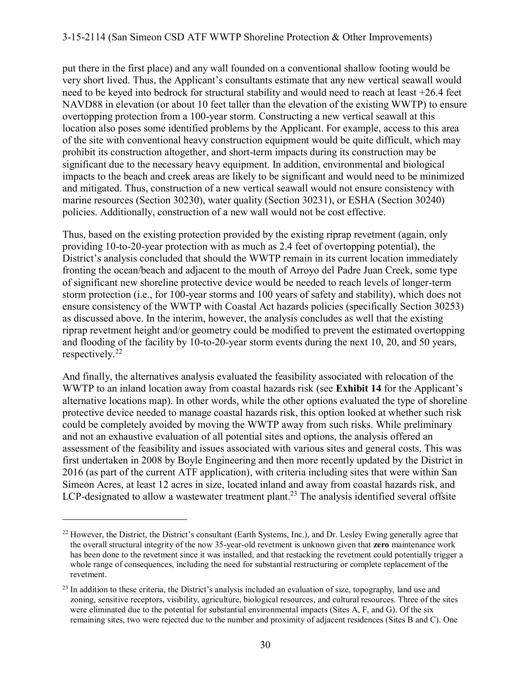#### 3-15-2114 (San Simeon CSD ATF WWTP Shoreline Protection & Other Improvements)

put there in the first place) and any wall founded on a conventional shallow footing would be very short lived. Thus, the Applicant's consultants estimate that any new vertical seawall would need to be keyed into bedrock for structural stability and would need to reach at least +26.4 feet NAVD88 in elevation (or about 10 feet taller than the elevation of the existing WWTP) to ensure overtopping protection from a 100-year storm. Constructing a new vertical seawall at this location also poses some identified problems by the Applicant. For example, access to this area of the site with conventional heavy construction equipment would be quite difficult, which may prohibit its construction altogether, and short-term impacts during its construction may be significant due to the necessary heavy equipment. In addition, environmental and biological impacts to the beach and creek areas are likely to be significant and would need to be minimized and mitigated. Thus, construction of a new vertical seawall would not ensure consistency with marine resources (Section 30230), water quality (Section 30231), or ESHA (Section 30240) policies. Additionally, construction of a new wall would not be cost effective.

Thus, based on the existing protection provided by the existing riprap revetment (again, only providing 10-to-20-year protection with as much as 2.4 feet of overtopping potential), the District's analysis concluded that should the WWTP remain in its current location immediately fronting the ocean/beach and adjacent to the mouth of Arroyo del Padre Juan Creek, some type of significant new shoreline protective device would be needed to reach levels of longer-term storm protection (i.e., for 100-year storms and 100 years of safety and stability), which does not ensure consistency of the WWTP with Coastal Act hazards policies (specifically Section 30253) as discussed above. In the interim, however, the analysis concludes as well that the existing riprap revetment height and/or geometry could be modified to prevent the estimated overtopping and flooding of the facility by 10-to-20-year storm events during the next 10, 20, and 50 years, respectively.<sup>22</sup>

And finally, the alternatives analysis evaluated the feasibility associated with relocation of the WWTP to an inland location away from coastal hazards risk (see **Exhibit 14** for the Applicant's alternative locations map). In other words, while the other options evaluated the type of shoreline protective device needed to manage coastal hazards risk, this option looked at whether such risk could be completely avoided by moving the WWTP away from such risks. While preliminary and not an exhaustive evaluation of all potential sites and options, the analysis offered an assessment of the feasibility and issues associated with various sites and general costs. This was first undertaken in 2008 by Boyle Engineering and then more recently updated by the District in 2016 (as part of the current ATF application), with criteria including sites that were within San Simeon Acres, at least 12 acres in size, located inland and away from coastal hazards risk, and LCP-designated to allow a wastewater treatment plant.<sup>23</sup> The analysis identified several offsite

<sup>&</sup>lt;sup>22</sup> However, the District, the District's consultant (Earth Systems, Inc.), and Dr. Lesley Ewing generally agree that the overall structural integrity of the now 35-year-old revetment is unknown given that **zero** maintenance work has been done to the revetment since it was installed, and that restacking the revetment could potentially trigger a whole range of consequences, including the need for substantial restructuring or complete replacement of the revetment.

 $^{23}$  In addition to these criteria, the District's analysis included an evaluation of size, topography, land use and zoning, sensitive receptors, visibility, agriculture, biological resources, and cultural resources. Three of the sites were eliminated due to the potential for substantial environmental impacts (Sites A, F, and G). Of the six remaining sites, two were rejected due to the number and proximity of adjacent residences (Sites B and C). One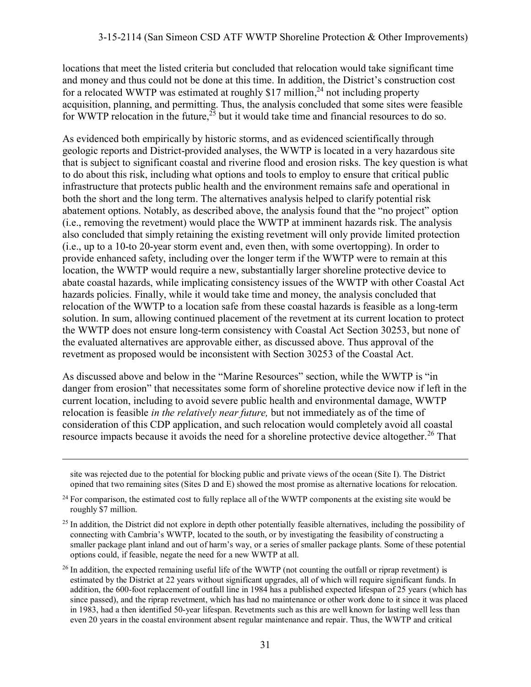locations that meet the listed criteria but concluded that relocation would take significant time and money and thus could not be done at this time. In addition, the District's construction cost for a relocated WWTP was estimated at roughly \$17 million,<sup>24</sup> not including property acquisition, planning, and permitting. Thus, the analysis concluded that some sites were feasible for WWTP relocation in the future,  $25$  but it would take time and financial resources to do so.

As evidenced both empirically by historic storms, and as evidenced scientifically through geologic reports and District-provided analyses, the WWTP is located in a very hazardous site that is subject to significant coastal and riverine flood and erosion risks. The key question is what to do about this risk, including what options and tools to employ to ensure that critical public infrastructure that protects public health and the environment remains safe and operational in both the short and the long term. The alternatives analysis helped to clarify potential risk abatement options. Notably, as described above, the analysis found that the "no project" option (i.e., removing the revetment) would place the WWTP at imminent hazards risk. The analysis also concluded that simply retaining the existing revetment will only provide limited protection (i.e., up to a 10-to 20-year storm event and, even then, with some overtopping). In order to provide enhanced safety, including over the longer term if the WWTP were to remain at this location, the WWTP would require a new, substantially larger shoreline protective device to abate coastal hazards, while implicating consistency issues of the WWTP with other Coastal Act hazards policies. Finally, while it would take time and money, the analysis concluded that relocation of the WWTP to a location safe from these coastal hazards is feasible as a long-term solution. In sum, allowing continued placement of the revetment at its current location to protect the WWTP does not ensure long-term consistency with Coastal Act Section 30253, but none of the evaluated alternatives are approvable either, as discussed above. Thus approval of the revetment as proposed would be inconsistent with Section 30253 of the Coastal Act.

As discussed above and below in the "Marine Resources" section, while the WWTP is "in danger from erosion" that necessitates some form of shoreline protective device now if left in the current location, including to avoid severe public health and environmental damage, WWTP relocation is feasible *in the relatively near future,* but not immediately as of the time of consideration of this CDP application, and such relocation would completely avoid all coastal resource impacts because it avoids the need for a shoreline protective device altogether.<sup>26</sup> That

site was rejected due to the potential for blocking public and private views of the ocean (Site I). The District opined that two remaining sites (Sites D and E) showed the most promise as alternative locations for relocation.

<sup>&</sup>lt;sup>24</sup> For comparison, the estimated cost to fully replace all of the WWTP components at the existing site would be roughly \$7 million.

 $25$  In addition, the District did not explore in depth other potentially feasible alternatives, including the possibility of connecting with Cambria's WWTP, located to the south, or by investigating the feasibility of constructing a smaller package plant inland and out of harm's way, or a series of smaller package plants. Some of these potential options could, if feasible, negate the need for a new WWTP at all.

 $^{26}$  In addition, the expected remaining useful life of the WWTP (not counting the outfall or riprap revetment) is estimated by the District at 22 years without significant upgrades, all of which will require significant funds. In addition, the 600-foot replacement of outfall line in 1984 has a published expected lifespan of 25 years (which has since passed), and the riprap revetment, which has had no maintenance or other work done to it since it was placed in 1983, had a then identified 50-year lifespan. Revetments such as this are well known for lasting well less than even 20 years in the coastal environment absent regular maintenance and repair. Thus, the WWTP and critical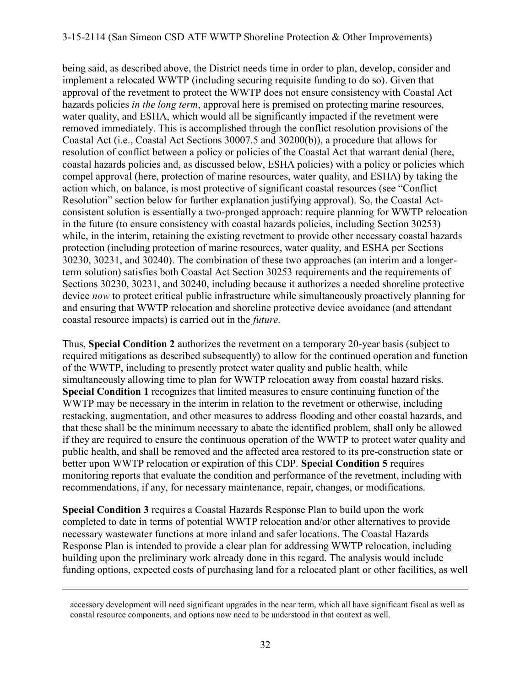#### 3-15-2114 (San Simeon CSD ATF WWTP Shoreline Protection & Other Improvements)

being said, as described above, the District needs time in order to plan, develop, consider and implement a relocated WWTP (including securing requisite funding to do so). Given that approval of the revetment to protect the WWTP does not ensure consistency with Coastal Act hazards policies *in the long term*, approval here is premised on protecting marine resources, water quality, and ESHA, which would all be significantly impacted if the revetment were removed immediately. This is accomplished through the conflict resolution provisions of the Coastal Act (i.e., Coastal Act Sections 30007.5 and 30200(b)), a procedure that allows for resolution of conflict between a policy or policies of the Coastal Act that warrant denial (here, coastal hazards policies and, as discussed below, ESHA policies) with a policy or policies which compel approval (here, protection of marine resources, water quality, and ESHA) by taking the action which, on balance, is most protective of significant coastal resources (see "Conflict Resolution" section below for further explanation justifying approval). So, the Coastal Actconsistent solution is essentially a two-pronged approach: require planning for WWTP relocation in the future (to ensure consistency with coastal hazards policies, including Section 30253) while, in the interim, retaining the existing revetment to provide other necessary coastal hazards protection (including protection of marine resources, water quality, and ESHA per Sections 30230, 30231, and 30240). The combination of these two approaches (an interim and a longerterm solution) satisfies both Coastal Act Section 30253 requirements and the requirements of Sections 30230, 30231, and 30240, including because it authorizes a needed shoreline protective device *now* to protect critical public infrastructure while simultaneously proactively planning for and ensuring that WWTP relocation and shoreline protective device avoidance (and attendant coastal resource impacts) is carried out in the *future.* 

Thus, **Special Condition 2** authorizes the revetment on a temporary 20-year basis (subject to required mitigations as described subsequently) to allow for the continued operation and function of the WWTP, including to presently protect water quality and public health, while simultaneously allowing time to plan for WWTP relocation away from coastal hazard risks. **Special Condition 1** recognizes that limited measures to ensure continuing function of the WWTP may be necessary in the interim in relation to the revetment or otherwise, including restacking, augmentation, and other measures to address flooding and other coastal hazards, and that these shall be the minimum necessary to abate the identified problem, shall only be allowed if they are required to ensure the continuous operation of the WWTP to protect water quality and public health, and shall be removed and the affected area restored to its pre-construction state or better upon WWTP relocation or expiration of this CDP. **Special Condition 5** requires monitoring reports that evaluate the condition and performance of the revetment, including with recommendations, if any, for necessary maintenance, repair, changes, or modifications.

**Special Condition 3** requires a Coastal Hazards Response Plan to build upon the work completed to date in terms of potential WWTP relocation and/or other alternatives to provide necessary wastewater functions at more inland and safer locations. The Coastal Hazards Response Plan is intended to provide a clear plan for addressing WWTP relocation, including building upon the preliminary work already done in this regard. The analysis would include funding options, expected costs of purchasing land for a relocated plant or other facilities, as well

accessory development will need significant upgrades in the near term, which all have significant fiscal as well as coastal resource components, and options now need to be understood in that context as well.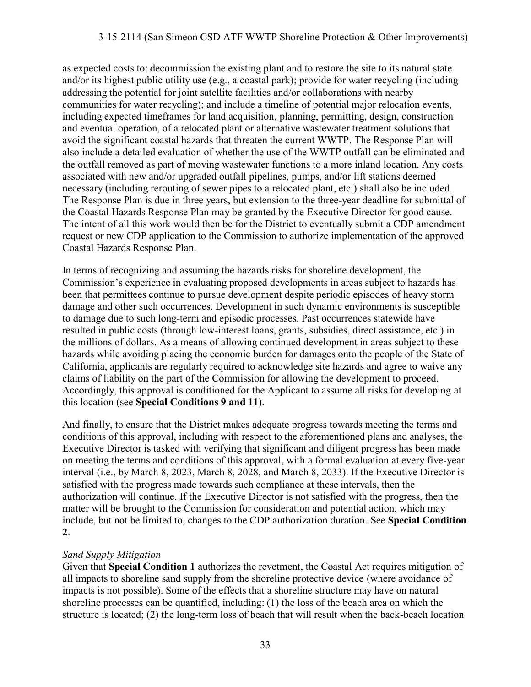#### 3-15-2114 (San Simeon CSD ATF WWTP Shoreline Protection & Other Improvements)

as expected costs to: decommission the existing plant and to restore the site to its natural state and/or its highest public utility use (e.g., a coastal park); provide for water recycling (including addressing the potential for joint satellite facilities and/or collaborations with nearby communities for water recycling); and include a timeline of potential major relocation events, including expected timeframes for land acquisition, planning, permitting, design, construction and eventual operation, of a relocated plant or alternative wastewater treatment solutions that avoid the significant coastal hazards that threaten the current WWTP. The Response Plan will also include a detailed evaluation of whether the use of the WWTP outfall can be eliminated and the outfall removed as part of moving wastewater functions to a more inland location. Any costs associated with new and/or upgraded outfall pipelines, pumps, and/or lift stations deemed necessary (including rerouting of sewer pipes to a relocated plant, etc.) shall also be included. The Response Plan is due in three years, but extension to the three-year deadline for submittal of the Coastal Hazards Response Plan may be granted by the Executive Director for good cause. The intent of all this work would then be for the District to eventually submit a CDP amendment request or new CDP application to the Commission to authorize implementation of the approved Coastal Hazards Response Plan.

In terms of recognizing and assuming the hazards risks for shoreline development, the Commission's experience in evaluating proposed developments in areas subject to hazards has been that permittees continue to pursue development despite periodic episodes of heavy storm damage and other such occurrences. Development in such dynamic environments is susceptible to damage due to such long-term and episodic processes. Past occurrences statewide have resulted in public costs (through low-interest loans, grants, subsidies, direct assistance, etc.) in the millions of dollars. As a means of allowing continued development in areas subject to these hazards while avoiding placing the economic burden for damages onto the people of the State of California, applicants are regularly required to acknowledge site hazards and agree to waive any claims of liability on the part of the Commission for allowing the development to proceed. Accordingly, this approval is conditioned for the Applicant to assume all risks for developing at this location (see **Special Conditions 9 and 11**).

And finally, to ensure that the District makes adequate progress towards meeting the terms and conditions of this approval, including with respect to the aforementioned plans and analyses, the Executive Director is tasked with verifying that significant and diligent progress has been made on meeting the terms and conditions of this approval, with a formal evaluation at every five-year interval (i.e., by March 8, 2023, March 8, 2028, and March 8, 2033). If the Executive Director is satisfied with the progress made towards such compliance at these intervals, then the authorization will continue. If the Executive Director is not satisfied with the progress, then the matter will be brought to the Commission for consideration and potential action, which may include, but not be limited to, changes to the CDP authorization duration. See **Special Condition 2**.

#### *Sand Supply Mitigation*

Given that **Special Condition 1** authorizes the revetment, the Coastal Act requires mitigation of all impacts to shoreline sand supply from the shoreline protective device (where avoidance of impacts is not possible). Some of the effects that a shoreline structure may have on natural shoreline processes can be quantified, including: (1) the loss of the beach area on which the structure is located; (2) the long-term loss of beach that will result when the back-beach location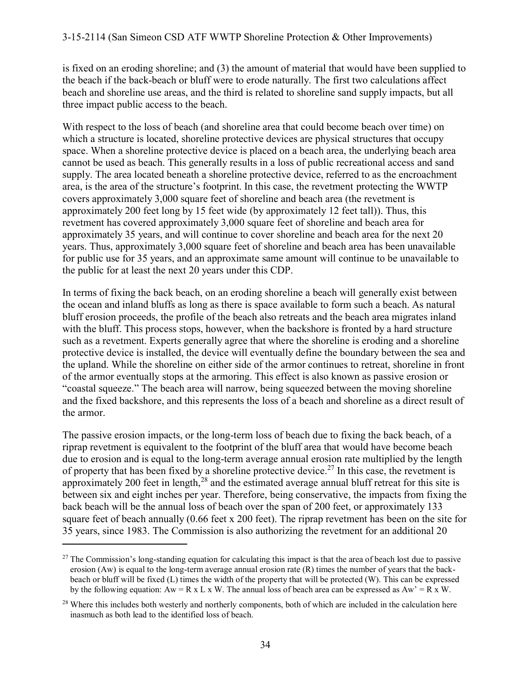is fixed on an eroding shoreline; and (3) the amount of material that would have been supplied to the beach if the back-beach or bluff were to erode naturally. The first two calculations affect beach and shoreline use areas, and the third is related to shoreline sand supply impacts, but all three impact public access to the beach.

With respect to the loss of beach (and shoreline area that could become beach over time) on which a structure is located, shoreline protective devices are physical structures that occupy space. When a shoreline protective device is placed on a beach area, the underlying beach area cannot be used as beach. This generally results in a loss of public recreational access and sand supply. The area located beneath a shoreline protective device, referred to as the encroachment area, is the area of the structure's footprint. In this case, the revetment protecting the WWTP covers approximately 3,000 square feet of shoreline and beach area (the revetment is approximately 200 feet long by 15 feet wide (by approximately 12 feet tall)). Thus, this revetment has covered approximately 3,000 square feet of shoreline and beach area for approximately 35 years, and will continue to cover shoreline and beach area for the next 20 years. Thus, approximately 3,000 square feet of shoreline and beach area has been unavailable for public use for 35 years, and an approximate same amount will continue to be unavailable to the public for at least the next 20 years under this CDP.

In terms of fixing the back beach, on an eroding shoreline a beach will generally exist between the ocean and inland bluffs as long as there is space available to form such a beach. As natural bluff erosion proceeds, the profile of the beach also retreats and the beach area migrates inland with the bluff. This process stops, however, when the backshore is fronted by a hard structure such as a revetment. Experts generally agree that where the shoreline is eroding and a shoreline protective device is installed, the device will eventually define the boundary between the sea and the upland. While the shoreline on either side of the armor continues to retreat, shoreline in front of the armor eventually stops at the armoring. This effect is also known as passive erosion or "coastal squeeze." The beach area will narrow, being squeezed between the moving shoreline and the fixed backshore, and this represents the loss of a beach and shoreline as a direct result of the armor.

The passive erosion impacts, or the long-term loss of beach due to fixing the back beach, of a riprap revetment is equivalent to the footprint of the bluff area that would have become beach due to erosion and is equal to the long-term average annual erosion rate multiplied by the length of property that has been fixed by a shoreline protective device.<sup>27</sup> In this case, the revetment is approximately 200 feet in length, $28$  and the estimated average annual bluff retreat for this site is between six and eight inches per year. Therefore, being conservative, the impacts from fixing the back beach will be the annual loss of beach over the span of 200 feet, or approximately 133 square feet of beach annually (0.66 feet x 200 feet). The riprap revetment has been on the site for 35 years, since 1983. The Commission is also authorizing the revetment for an additional 20

 $27$  The Commission's long-standing equation for calculating this impact is that the area of beach lost due to passive erosion (Aw) is equal to the long-term average annual erosion rate  $(R)$  times the number of years that the backbeach or bluff will be fixed (L) times the width of the property that will be protected (W). This can be expressed by the following equation:  $Aw = R \times L \times W$ . The annual loss of beach area can be expressed as  $Aw' = R \times W$ .

<sup>&</sup>lt;sup>28</sup> Where this includes both westerly and northerly components, both of which are included in the calculation here inasmuch as both lead to the identified loss of beach.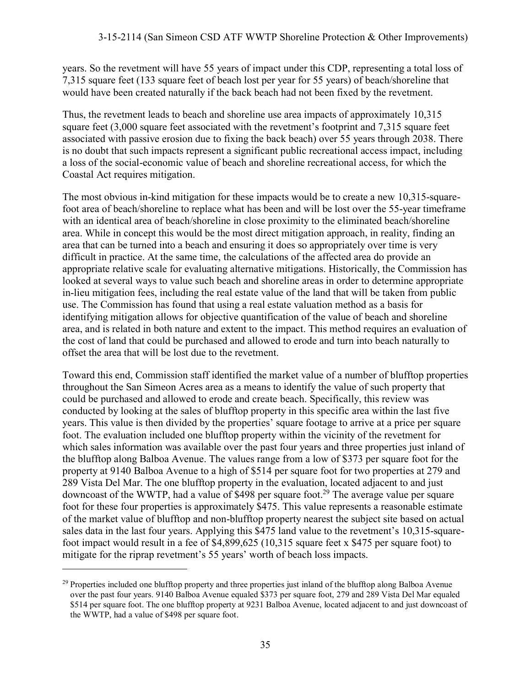years. So the revetment will have 55 years of impact under this CDP, representing a total loss of 7,315 square feet (133 square feet of beach lost per year for 55 years) of beach/shoreline that would have been created naturally if the back beach had not been fixed by the revetment.

Thus, the revetment leads to beach and shoreline use area impacts of approximately 10,315 square feet (3,000 square feet associated with the revetment's footprint and 7,315 square feet associated with passive erosion due to fixing the back beach) over 55 years through 2038. There is no doubt that such impacts represent a significant public recreational access impact, including a loss of the social-economic value of beach and shoreline recreational access, for which the Coastal Act requires mitigation.

The most obvious in-kind mitigation for these impacts would be to create a new 10.315-squarefoot area of beach/shoreline to replace what has been and will be lost over the 55-year timeframe with an identical area of beach/shoreline in close proximity to the eliminated beach/shoreline area. While in concept this would be the most direct mitigation approach, in reality, finding an area that can be turned into a beach and ensuring it does so appropriately over time is very difficult in practice. At the same time, the calculations of the affected area do provide an appropriate relative scale for evaluating alternative mitigations. Historically, the Commission has looked at several ways to value such beach and shoreline areas in order to determine appropriate in-lieu mitigation fees, including the real estate value of the land that will be taken from public use. The Commission has found that using a real estate valuation method as a basis for identifying mitigation allows for objective quantification of the value of beach and shoreline area, and is related in both nature and extent to the impact. This method requires an evaluation of the cost of land that could be purchased and allowed to erode and turn into beach naturally to offset the area that will be lost due to the revetment.

Toward this end, Commission staff identified the market value of a number of blufftop properties throughout the San Simeon Acres area as a means to identify the value of such property that could be purchased and allowed to erode and create beach. Specifically, this review was conducted by looking at the sales of blufftop property in this specific area within the last five years. This value is then divided by the properties' square footage to arrive at a price per square foot. The evaluation included one blufftop property within the vicinity of the revetment for which sales information was available over the past four years and three properties just inland of the blufftop along Balboa Avenue. The values range from a low of \$373 per square foot for the property at 9140 Balboa Avenue to a high of \$514 per square foot for two properties at 279 and 289 Vista Del Mar. The one blufftop property in the evaluation, located adjacent to and just downcoast of the WWTP, had a value of \$498 per square foot.<sup>29</sup> The average value per square foot for these four properties is approximately \$475. This value represents a reasonable estimate of the market value of blufftop and non-blufftop property nearest the subject site based on actual sales data in the last four years. Applying this \$475 land value to the revetment's 10,315-squarefoot impact would result in a fee of \$4,899,625 (10,315 square feet x \$475 per square foot) to mitigate for the riprap revetment's 55 years' worth of beach loss impacts.

<sup>&</sup>lt;sup>29</sup> Properties included one blufftop property and three properties just inland of the blufftop along Balboa Avenue over the past four years. 9140 Balboa Avenue equaled \$373 per square foot, 279 and 289 Vista Del Mar equaled \$514 per square foot. The one blufftop property at 9231 Balboa Avenue, located adjacent to and just downcoast of the WWTP, had a value of \$498 per square foot.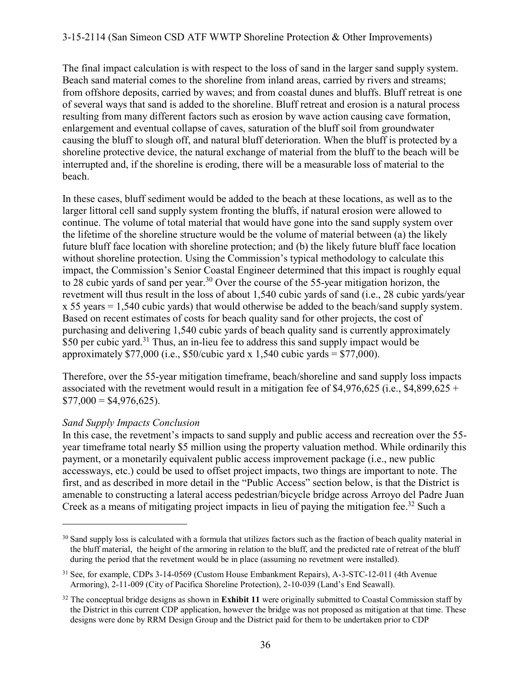The final impact calculation is with respect to the loss of sand in the larger sand supply system. Beach sand material comes to the shoreline from inland areas, carried by rivers and streams; from offshore deposits, carried by waves; and from coastal dunes and bluffs. Bluff retreat is one of several ways that sand is added to the shoreline. Bluff retreat and erosion is a natural process resulting from many different factors such as erosion by wave action causing cave formation, enlargement and eventual collapse of caves, saturation of the bluff soil from groundwater causing the bluff to slough off, and natural bluff deterioration. When the bluff is protected by a shoreline protective device, the natural exchange of material from the bluff to the beach will be interrupted and, if the shoreline is eroding, there will be a measurable loss of material to the beach.

In these cases, bluff sediment would be added to the beach at these locations, as well as to the larger littoral cell sand supply system fronting the bluffs, if natural erosion were allowed to continue. The volume of total material that would have gone into the sand supply system over the lifetime of the shoreline structure would be the volume of material between (a) the likely future bluff face location with shoreline protection; and (b) the likely future bluff face location without shoreline protection. Using the Commission's typical methodology to calculate this impact, the Commission's Senior Coastal Engineer determined that this impact is roughly equal to 28 cubic yards of sand per year.<sup>30</sup> Over the course of the 55-year mitigation horizon, the revetment will thus result in the loss of about 1,540 cubic yards of sand (i.e., 28 cubic yards/year x 55 years = 1,540 cubic yards) that would otherwise be added to the beach/sand supply system. Based on recent estimates of costs for beach quality sand for other projects, the cost of purchasing and delivering 1,540 cubic yards of beach quality sand is currently approximately \$50 per cubic yard.<sup>31</sup> Thus, an in-lieu fee to address this sand supply impact would be approximately \$77,000 (i.e., \$50/cubic yard x 1,540 cubic yards = \$77,000).

Therefore, over the 55-year mitigation timeframe, beach/shoreline and sand supply loss impacts associated with the revetment would result in a mitigation fee of \$4,976,625 (i.e., \$4,899,625 +  $$77,000 = $4,976,625$ .

#### *Sand Supply Impacts Conclusion*

 $\overline{a}$ 

In this case, the revetment's impacts to sand supply and public access and recreation over the 55 year timeframe total nearly \$5 million using the property valuation method. While ordinarily this payment, or a monetarily equivalent public access improvement package (i.e., new public accessways, etc.) could be used to offset project impacts, two things are important to note. The first, and as described in more detail in the "Public Access" section below, is that the District is amenable to constructing a lateral access pedestrian/bicycle bridge across Arroyo del Padre Juan Creek as a means of mitigating project impacts in lieu of paying the mitigation fee.<sup>32</sup> Such a

<sup>&</sup>lt;sup>30</sup> Sand supply loss is calculated with a formula that utilizes factors such as the fraction of beach quality material in the bluff material, the height of the armoring in relation to the bluff, and the predicted rate of retreat of the bluff during the period that the revetment would be in place (assuming no revetment were installed).

<sup>31</sup> See, for example, CDPs 3-14-0569 (Custom House Embankment Repairs), A-3-STC-12-011 (4th Avenue Armoring), 2-11-009 (City of Pacifica Shoreline Protection), 2-10-039 (Land's End Seawall).

<sup>&</sup>lt;sup>32</sup> The conceptual bridge designs as shown in **Exhibit 11** were originally submitted to Coastal Commission staff by the District in this current CDP application, however the bridge was not proposed as mitigation at that time. These designs were done by RRM Design Group and the District paid for them to be undertaken prior to CDP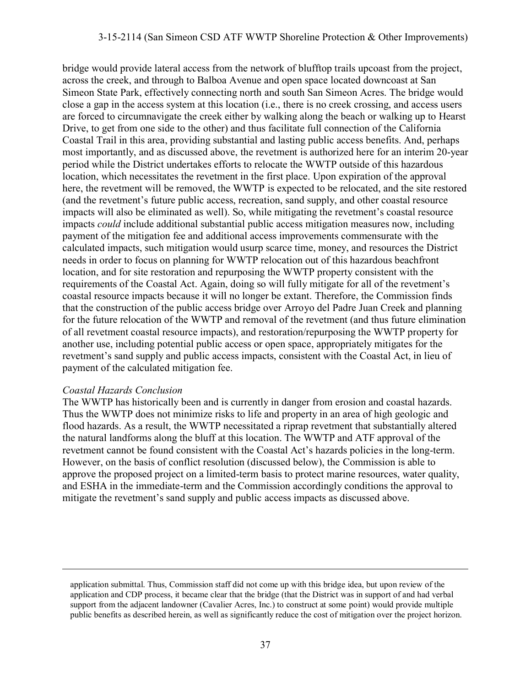#### 3-15-2114 (San Simeon CSD ATF WWTP Shoreline Protection & Other Improvements)

bridge would provide lateral access from the network of blufftop trails upcoast from the project, across the creek, and through to Balboa Avenue and open space located downcoast at San Simeon State Park, effectively connecting north and south San Simeon Acres. The bridge would close a gap in the access system at this location (i.e., there is no creek crossing, and access users are forced to circumnavigate the creek either by walking along the beach or walking up to Hearst Drive, to get from one side to the other) and thus facilitate full connection of the California Coastal Trail in this area, providing substantial and lasting public access benefits. And, perhaps most importantly, and as discussed above, the revetment is authorized here for an interim 20-year period while the District undertakes efforts to relocate the WWTP outside of this hazardous location, which necessitates the revetment in the first place. Upon expiration of the approval here, the revetment will be removed, the WWTP is expected to be relocated, and the site restored (and the revetment's future public access, recreation, sand supply, and other coastal resource impacts will also be eliminated as well). So, while mitigating the revetment's coastal resource impacts *could* include additional substantial public access mitigation measures now, including payment of the mitigation fee and additional access improvements commensurate with the calculated impacts, such mitigation would usurp scarce time, money, and resources the District needs in order to focus on planning for WWTP relocation out of this hazardous beachfront location, and for site restoration and repurposing the WWTP property consistent with the requirements of the Coastal Act. Again, doing so will fully mitigate for all of the revetment's coastal resource impacts because it will no longer be extant. Therefore, the Commission finds that the construction of the public access bridge over Arroyo del Padre Juan Creek and planning for the future relocation of the WWTP and removal of the revetment (and thus future elimination of all revetment coastal resource impacts), and restoration/repurposing the WWTP property for another use, including potential public access or open space, appropriately mitigates for the revetment's sand supply and public access impacts, consistent with the Coastal Act, in lieu of payment of the calculated mitigation fee.

#### *Coastal Hazards Conclusion*

 $\overline{a}$ 

The WWTP has historically been and is currently in danger from erosion and coastal hazards. Thus the WWTP does not minimize risks to life and property in an area of high geologic and flood hazards. As a result, the WWTP necessitated a riprap revetment that substantially altered the natural landforms along the bluff at this location. The WWTP and ATF approval of the revetment cannot be found consistent with the Coastal Act's hazards policies in the long-term. However, on the basis of conflict resolution (discussed below), the Commission is able to approve the proposed project on a limited-term basis to protect marine resources, water quality, and ESHA in the immediate-term and the Commission accordingly conditions the approval to mitigate the revetment's sand supply and public access impacts as discussed above.

application submittal. Thus, Commission staff did not come up with this bridge idea, but upon review of the application and CDP process, it became clear that the bridge (that the District was in support of and had verbal support from the adjacent landowner (Cavalier Acres, Inc.) to construct at some point) would provide multiple public benefits as described herein, as well as significantly reduce the cost of mitigation over the project horizon.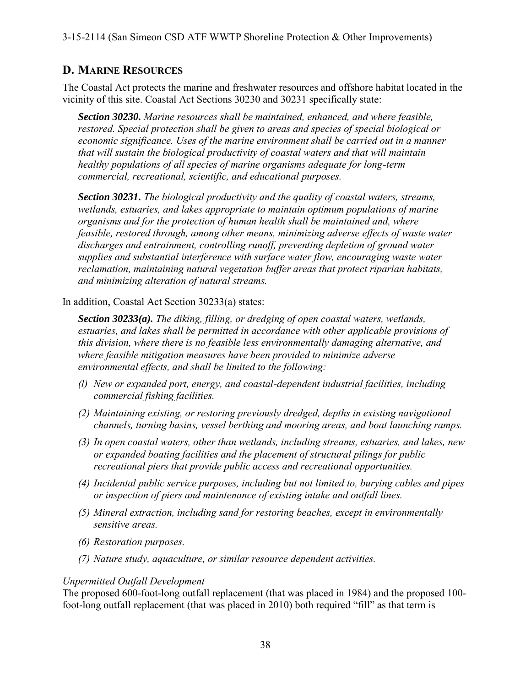3-15-2114 (San Simeon CSD ATF WWTP Shoreline Protection & Other Improvements)

## **D. MARINE RESOURCES**

The Coastal Act protects the marine and freshwater resources and offshore habitat located in the vicinity of this site. Coastal Act Sections 30230 and 30231 specifically state:

*Section 30230. Marine resources shall be maintained, enhanced, and where feasible, restored. Special protection shall be given to areas and species of special biological or economic significance. Uses of the marine environment shall be carried out in a manner that will sustain the biological productivity of coastal waters and that will maintain healthy populations of all species of marine organisms adequate for long-term commercial, recreational, scientific, and educational purposes.* 

*Section 30231. The biological productivity and the quality of coastal waters, streams, wetlands, estuaries, and lakes appropriate to maintain optimum populations of marine organisms and for the protection of human health shall be maintained and, where feasible, restored through, among other means, minimizing adverse effects of waste water discharges and entrainment, controlling runoff, preventing depletion of ground water supplies and substantial interference with surface water flow, encouraging waste water reclamation, maintaining natural vegetation buffer areas that protect riparian habitats, and minimizing alteration of natural streams.* 

In addition, Coastal Act Section 30233(a) states:

*Section 30233(a). The diking, filling, or dredging of open coastal waters, wetlands, estuaries, and lakes shall be permitted in accordance with other applicable provisions of this division, where there is no feasible less environmentally damaging alternative, and where feasible mitigation measures have been provided to minimize adverse environmental effects, and shall be limited to the following:* 

- *(l) New or expanded port, energy, and coastal-dependent industrial facilities, including commercial fishing facilities.*
- *(2) Maintaining existing, or restoring previously dredged, depths in existing navigational channels, turning basins, vessel berthing and mooring areas, and boat launching ramps.*
- *(3) In open coastal waters, other than wetlands, including streams, estuaries, and lakes, new or expanded boating facilities and the placement of structural pilings for public recreational piers that provide public access and recreational opportunities.*
- *(4) Incidental public service purposes, including but not limited to, burying cables and pipes or inspection of piers and maintenance of existing intake and outfall lines.*
- *(5) Mineral extraction, including sand for restoring beaches, except in environmentally sensitive areas.*
- *(6) Restoration purposes.*
- *(7) Nature study, aquaculture, or similar resource dependent activities.*

#### *Unpermitted Outfall Development*

The proposed 600-foot-long outfall replacement (that was placed in 1984) and the proposed 100 foot-long outfall replacement (that was placed in 2010) both required "fill" as that term is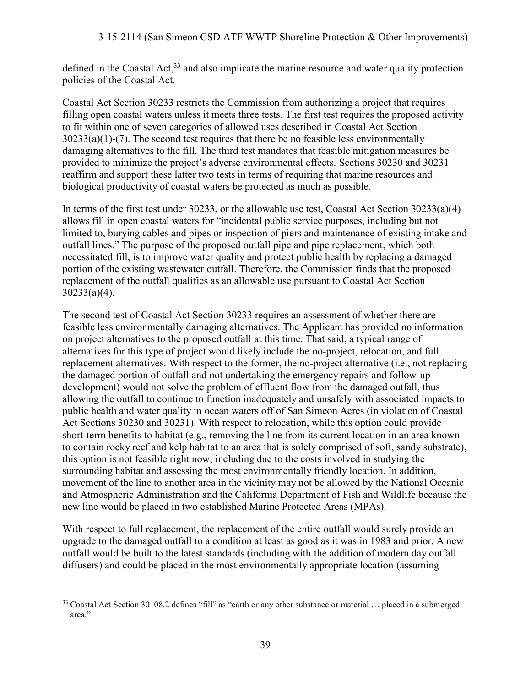defined in the Coastal Act.<sup>33</sup> and also implicate the marine resource and water quality protection policies of the Coastal Act.

Coastal Act Section 30233 restricts the Commission from authorizing a project that requires filling open coastal waters unless it meets three tests. The first test requires the proposed activity to fit within one of seven categories of allowed uses described in Coastal Act Section  $30233(a)(1)-(7)$ . The second test requires that there be no feasible less environmentally damaging alternatives to the fill. The third test mandates that feasible mitigation measures be provided to minimize the project's adverse environmental effects. Sections 30230 and 30231 reaffirm and support these latter two tests in terms of requiring that marine resources and biological productivity of coastal waters be protected as much as possible.

In terms of the first test under 30233, or the allowable use test, Coastal Act Section 30233(a)(4) allows fill in open coastal waters for "incidental public service purposes, including but not limited to, burying cables and pipes or inspection of piers and maintenance of existing intake and outfall lines." The purpose of the proposed outfall pipe and pipe replacement, which both necessitated fill, is to improve water quality and protect public health by replacing a damaged portion of the existing wastewater outfall. Therefore, the Commission finds that the proposed replacement of the outfall qualifies as an allowable use pursuant to Coastal Act Section 30233(a)(4).

The second test of Coastal Act Section 30233 requires an assessment of whether there are feasible less environmentally damaging alternatives. The Applicant has provided no information on project alternatives to the proposed outfall at this time. That said, a typical range of alternatives for this type of project would likely include the no-project, relocation, and full replacement alternatives. With respect to the former, the no-project alternative (i.e., not replacing the damaged portion of outfall and not undertaking the emergency repairs and follow-up development) would not solve the problem of effluent flow from the damaged outfall, thus allowing the outfall to continue to function inadequately and unsafely with associated impacts to public health and water quality in ocean waters off of San Simeon Acres (in violation of Coastal Act Sections 30230 and 30231). With respect to relocation, while this option could provide short-term benefits to habitat (e.g., removing the line from its current location in an area known to contain rocky reef and kelp habitat to an area that is solely comprised of soft, sandy substrate), this option is not feasible right now, including due to the costs involved in studying the surrounding habitat and assessing the most environmentally friendly location. In addition, movement of the line to another area in the vicinity may not be allowed by the National Oceanic and Atmospheric Administration and the California Department of Fish and Wildlife because the new line would be placed in two established Marine Protected Areas (MPAs).

With respect to full replacement, the replacement of the entire outfall would surely provide an upgrade to the damaged outfall to a condition at least as good as it was in 1983 and prior. A new outfall would be built to the latest standards (including with the addition of modern day outfall diffusers) and could be placed in the most environmentally appropriate location (assuming

<sup>&</sup>lt;sup>33</sup> Coastal Act Section 30108.2 defines "fill" as "earth or any other substance or material ... placed in a submerged area."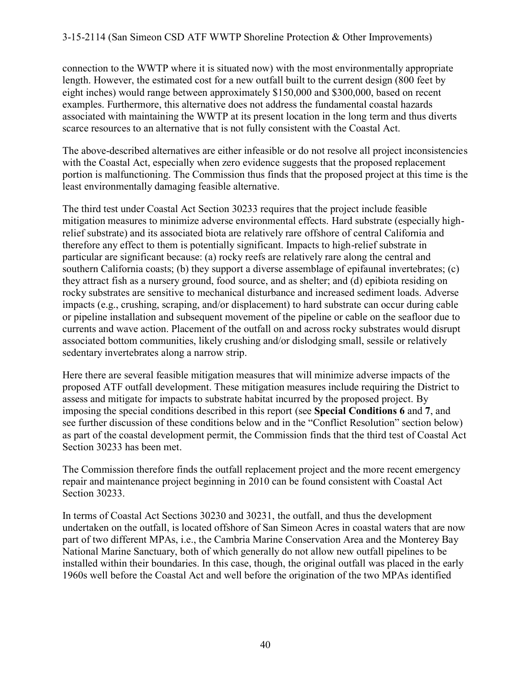connection to the WWTP where it is situated now) with the most environmentally appropriate length. However, the estimated cost for a new outfall built to the current design (800 feet by eight inches) would range between approximately \$150,000 and \$300,000, based on recent examples. Furthermore, this alternative does not address the fundamental coastal hazards associated with maintaining the WWTP at its present location in the long term and thus diverts scarce resources to an alternative that is not fully consistent with the Coastal Act.

The above-described alternatives are either infeasible or do not resolve all project inconsistencies with the Coastal Act, especially when zero evidence suggests that the proposed replacement portion is malfunctioning. The Commission thus finds that the proposed project at this time is the least environmentally damaging feasible alternative.

The third test under Coastal Act Section 30233 requires that the project include feasible mitigation measures to minimize adverse environmental effects. Hard substrate (especially highrelief substrate) and its associated biota are relatively rare offshore of central California and therefore any effect to them is potentially significant. Impacts to high-relief substrate in particular are significant because: (a) rocky reefs are relatively rare along the central and southern California coasts; (b) they support a diverse assemblage of epifaunal invertebrates; (c) they attract fish as a nursery ground, food source, and as shelter; and (d) epibiota residing on rocky substrates are sensitive to mechanical disturbance and increased sediment loads. Adverse impacts (e.g., crushing, scraping, and/or displacement) to hard substrate can occur during cable or pipeline installation and subsequent movement of the pipeline or cable on the seafloor due to currents and wave action. Placement of the outfall on and across rocky substrates would disrupt associated bottom communities, likely crushing and/or dislodging small, sessile or relatively sedentary invertebrates along a narrow strip.

Here there are several feasible mitigation measures that will minimize adverse impacts of the proposed ATF outfall development. These mitigation measures include requiring the District to assess and mitigate for impacts to substrate habitat incurred by the proposed project. By imposing the special conditions described in this report (see **Special Conditions 6** and **7**, and see further discussion of these conditions below and in the "Conflict Resolution" section below) as part of the coastal development permit, the Commission finds that the third test of Coastal Act Section 30233 has been met.

The Commission therefore finds the outfall replacement project and the more recent emergency repair and maintenance project beginning in 2010 can be found consistent with Coastal Act Section 30233.

In terms of Coastal Act Sections 30230 and 30231, the outfall, and thus the development undertaken on the outfall, is located offshore of San Simeon Acres in coastal waters that are now part of two different MPAs, i.e., the Cambria Marine Conservation Area and the Monterey Bay National Marine Sanctuary, both of which generally do not allow new outfall pipelines to be installed within their boundaries. In this case, though, the original outfall was placed in the early 1960s well before the Coastal Act and well before the origination of the two MPAs identified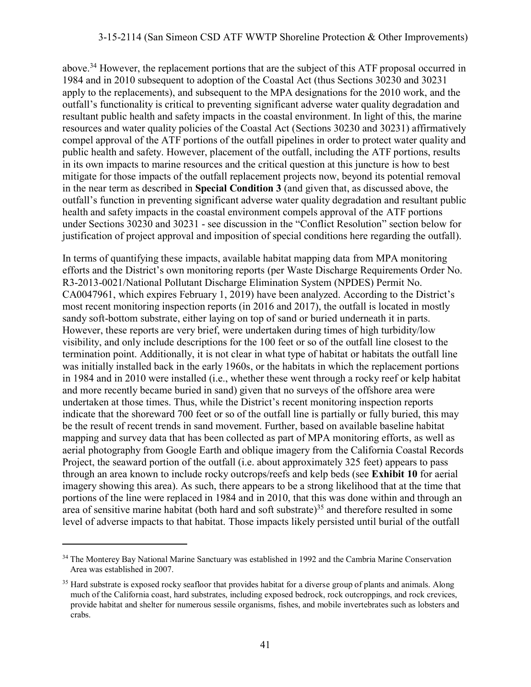#### 3-15-2114 (San Simeon CSD ATF WWTP Shoreline Protection & Other Improvements)

above.<sup>34</sup> However, the replacement portions that are the subject of this ATF proposal occurred in 1984 and in 2010 subsequent to adoption of the Coastal Act (thus Sections 30230 and 30231 apply to the replacements), and subsequent to the MPA designations for the 2010 work, and the outfall's functionality is critical to preventing significant adverse water quality degradation and resultant public health and safety impacts in the coastal environment. In light of this, the marine resources and water quality policies of the Coastal Act (Sections 30230 and 30231) affirmatively compel approval of the ATF portions of the outfall pipelines in order to protect water quality and public health and safety. However, placement of the outfall, including the ATF portions, results in its own impacts to marine resources and the critical question at this juncture is how to best mitigate for those impacts of the outfall replacement projects now, beyond its potential removal in the near term as described in **Special Condition 3** (and given that, as discussed above, the outfall's function in preventing significant adverse water quality degradation and resultant public health and safety impacts in the coastal environment compels approval of the ATF portions under Sections 30230 and 30231 - see discussion in the "Conflict Resolution" section below for justification of project approval and imposition of special conditions here regarding the outfall).

In terms of quantifying these impacts, available habitat mapping data from MPA monitoring efforts and the District's own monitoring reports (per Waste Discharge Requirements Order No. R3-2013-0021/National Pollutant Discharge Elimination System (NPDES) Permit No. CA0047961, which expires February 1, 2019) have been analyzed. According to the District's most recent monitoring inspection reports (in 2016 and 2017), the outfall is located in mostly sandy soft-bottom substrate, either laying on top of sand or buried underneath it in parts. However, these reports are very brief, were undertaken during times of high turbidity/low visibility, and only include descriptions for the 100 feet or so of the outfall line closest to the termination point. Additionally, it is not clear in what type of habitat or habitats the outfall line was initially installed back in the early 1960s, or the habitats in which the replacement portions in 1984 and in 2010 were installed (i.e., whether these went through a rocky reef or kelp habitat and more recently became buried in sand) given that no surveys of the offshore area were undertaken at those times. Thus, while the District's recent monitoring inspection reports indicate that the shoreward 700 feet or so of the outfall line is partially or fully buried, this may be the result of recent trends in sand movement. Further, based on available baseline habitat mapping and survey data that has been collected as part of MPA monitoring efforts, as well as aerial photography from Google Earth and oblique imagery from the California Coastal Records Project, the seaward portion of the outfall (i.e. about approximately 325 feet) appears to pass through an area known to include rocky outcrops/reefs and kelp beds (see **Exhibit 10** for aerial imagery showing this area). As such, there appears to be a strong likelihood that at the time that portions of the line were replaced in 1984 and in 2010, that this was done within and through an area of sensitive marine habitat (both hard and soft substrate)<sup>35</sup> and therefore resulted in some level of adverse impacts to that habitat. Those impacts likely persisted until burial of the outfall

<sup>&</sup>lt;sup>34</sup> The Monterey Bay National Marine Sanctuary was established in 1992 and the Cambria Marine Conservation Area was established in 2007.

<sup>&</sup>lt;sup>35</sup> Hard substrate is exposed rocky seafloor that provides habitat for a diverse group of plants and animals. Along much of the California coast, hard substrates, including exposed bedrock, rock outcroppings, and rock crevices, provide habitat and shelter for numerous sessile organisms, fishes, and mobile invertebrates such as lobsters and crabs.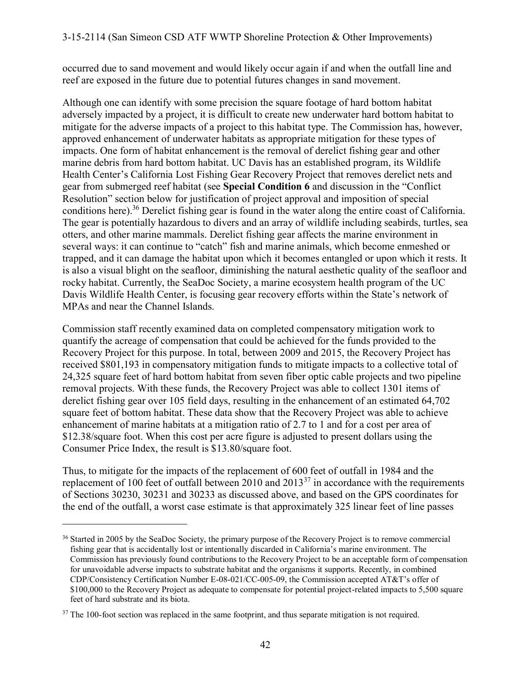occurred due to sand movement and would likely occur again if and when the outfall line and reef are exposed in the future due to potential futures changes in sand movement.

Although one can identify with some precision the square footage of hard bottom habitat adversely impacted by a project, it is difficult to create new underwater hard bottom habitat to mitigate for the adverse impacts of a project to this habitat type. The Commission has, however, approved enhancement of underwater habitats as appropriate mitigation for these types of impacts. One form of habitat enhancement is the removal of derelict fishing gear and other marine debris from hard bottom habitat. UC Davis has an established program, its Wildlife Health Center's California Lost Fishing Gear Recovery Project that removes derelict nets and gear from submerged reef habitat (see **Special Condition 6** and discussion in the "Conflict Resolution" section below for justification of project approval and imposition of special conditions here).<sup>36</sup> Derelict fishing gear is found in the water along the entire coast of California. The gear is potentially hazardous to divers and an array of wildlife including seabirds, turtles, sea otters, and other marine mammals. Derelict fishing gear affects the marine environment in several ways: it can continue to "catch" fish and marine animals, which become enmeshed or trapped, and it can damage the habitat upon which it becomes entangled or upon which it rests. It is also a visual blight on the seafloor, diminishing the natural aesthetic quality of the seafloor and rocky habitat. Currently, the SeaDoc Society, a marine ecosystem health program of the UC Davis Wildlife Health Center, is focusing gear recovery efforts within the State's network of MPAs and near the Channel Islands.

Commission staff recently examined data on completed compensatory mitigation work to quantify the acreage of compensation that could be achieved for the funds provided to the Recovery Project for this purpose. In total, between 2009 and 2015, the Recovery Project has received \$801,193 in compensatory mitigation funds to mitigate impacts to a collective total of 24,325 square feet of hard bottom habitat from seven fiber optic cable projects and two pipeline removal projects. With these funds, the Recovery Project was able to collect 1301 items of derelict fishing gear over 105 field days, resulting in the enhancement of an estimated 64,702 square feet of bottom habitat. These data show that the Recovery Project was able to achieve enhancement of marine habitats at a mitigation ratio of 2.7 to 1 and for a cost per area of \$12.38/square foot. When this cost per acre figure is adjusted to present dollars using the Consumer Price Index, the result is \$13.80/square foot.

Thus, to mitigate for the impacts of the replacement of 600 feet of outfall in 1984 and the replacement of 100 feet of outfall between 2010 and 2013<sup>37</sup> in accordance with the requirements of Sections 30230, 30231 and 30233 as discussed above, and based on the GPS coordinates for the end of the outfall, a worst case estimate is that approximately 325 linear feet of line passes

<sup>&</sup>lt;sup>36</sup> Started in 2005 by the SeaDoc Society, the primary purpose of the Recovery Project is to remove commercial fishing gear that is accidentally lost or intentionally discarded in California's marine environment. The Commission has previously found contributions to the Recovery Project to be an acceptable form of compensation for unavoidable adverse impacts to substrate habitat and the organisms it supports. Recently, in combined CDP/Consistency Certification Number E-08-021/CC-005-09, the Commission accepted AT&T's offer of \$100,000 to the Recovery Project as adequate to compensate for potential project-related impacts to 5,500 square feet of hard substrate and its biota.

 $37$  The 100-foot section was replaced in the same footprint, and thus separate mitigation is not required.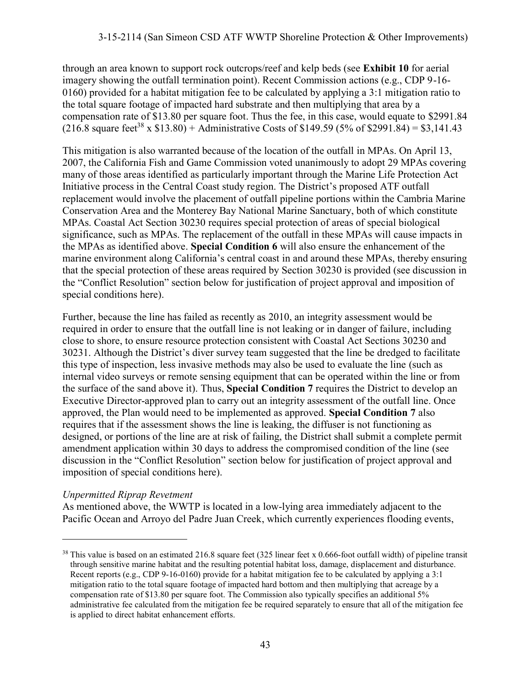through an area known to support rock outcrops/reef and kelp beds (see **Exhibit 10** for aerial imagery showing the outfall termination point). Recent Commission actions (e.g., CDP 9-16- 0160) provided for a habitat mitigation fee to be calculated by applying a 3:1 mitigation ratio to the total square footage of impacted hard substrate and then multiplying that area by a compensation rate of \$13.80 per square foot. Thus the fee, in this case, would equate to \$2991.84  $(216.8 \text{ square feet}^{38} \times $13.80) +$  Administrative Costs of \$149.59 (5% of \$2991.84) = \$3,141.43

This mitigation is also warranted because of the location of the outfall in MPAs. On April 13, 2007, the California Fish and Game Commission voted unanimously to adopt 29 MPAs covering many of those areas identified as particularly important through the Marine Life Protection Act Initiative process in the Central Coast study region. The District's proposed ATF outfall replacement would involve the placement of outfall pipeline portions within the Cambria Marine Conservation Area and the Monterey Bay National Marine Sanctuary, both of which constitute MPAs. Coastal Act Section 30230 requires special protection of areas of special biological significance, such as MPAs. The replacement of the outfall in these MPAs will cause impacts in the MPAs as identified above. **Special Condition 6** will also ensure the enhancement of the marine environment along California's central coast in and around these MPAs, thereby ensuring that the special protection of these areas required by Section 30230 is provided (see discussion in the "Conflict Resolution" section below for justification of project approval and imposition of special conditions here).

Further, because the line has failed as recently as 2010, an integrity assessment would be required in order to ensure that the outfall line is not leaking or in danger of failure, including close to shore, to ensure resource protection consistent with Coastal Act Sections 30230 and 30231. Although the District's diver survey team suggested that the line be dredged to facilitate this type of inspection, less invasive methods may also be used to evaluate the line (such as internal video surveys or remote sensing equipment that can be operated within the line or from the surface of the sand above it). Thus, **Special Condition 7** requires the District to develop an Executive Director-approved plan to carry out an integrity assessment of the outfall line. Once approved, the Plan would need to be implemented as approved. **Special Condition 7** also requires that if the assessment shows the line is leaking, the diffuser is not functioning as designed, or portions of the line are at risk of failing, the District shall submit a complete permit amendment application within 30 days to address the compromised condition of the line (see discussion in the "Conflict Resolution" section below for justification of project approval and imposition of special conditions here).

#### *Unpermitted Riprap Revetment*

 $\overline{a}$ 

As mentioned above, the WWTP is located in a low-lying area immediately adjacent to the Pacific Ocean and Arroyo del Padre Juan Creek, which currently experiences flooding events,

 $38$  This value is based on an estimated 216.8 square feet (325 linear feet x 0.666-foot outfall width) of pipeline transit through sensitive marine habitat and the resulting potential habitat loss, damage, displacement and disturbance. Recent reports (e.g., CDP 9-16-0160) provide for a habitat mitigation fee to be calculated by applying a 3:1 mitigation ratio to the total square footage of impacted hard bottom and then multiplying that acreage by a compensation rate of \$13.80 per square foot. The Commission also typically specifies an additional 5% administrative fee calculated from the mitigation fee be required separately to ensure that all of the mitigation fee is applied to direct habitat enhancement efforts.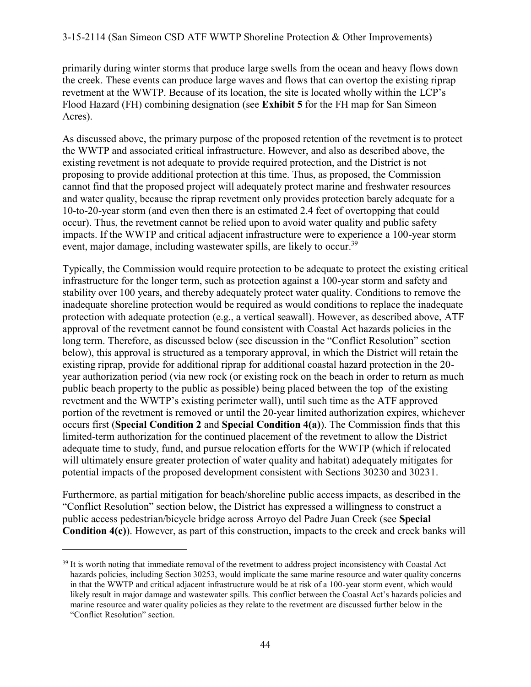primarily during winter storms that produce large swells from the ocean and heavy flows down the creek. These events can produce large waves and flows that can overtop the existing riprap revetment at the WWTP. Because of its location, the site is located wholly within the LCP's Flood Hazard (FH) combining designation (see **Exhibit 5** for the FH map for San Simeon Acres).

As discussed above, the primary purpose of the proposed retention of the revetment is to protect the WWTP and associated critical infrastructure. However, and also as described above, the existing revetment is not adequate to provide required protection, and the District is not proposing to provide additional protection at this time. Thus, as proposed, the Commission cannot find that the proposed project will adequately protect marine and freshwater resources and water quality, because the riprap revetment only provides protection barely adequate for a 10-to-20-year storm (and even then there is an estimated 2.4 feet of overtopping that could occur). Thus, the revetment cannot be relied upon to avoid water quality and public safety impacts. If the WWTP and critical adjacent infrastructure were to experience a 100-year storm event, major damage, including wastewater spills, are likely to occur.<sup>39</sup>

Typically, the Commission would require protection to be adequate to protect the existing critical infrastructure for the longer term, such as protection against a 100-year storm and safety and stability over 100 years, and thereby adequately protect water quality. Conditions to remove the inadequate shoreline protection would be required as would conditions to replace the inadequate protection with adequate protection (e.g., a vertical seawall). However, as described above, ATF approval of the revetment cannot be found consistent with Coastal Act hazards policies in the long term. Therefore, as discussed below (see discussion in the "Conflict Resolution" section below), this approval is structured as a temporary approval, in which the District will retain the existing riprap, provide for additional riprap for additional coastal hazard protection in the 20 year authorization period (via new rock (or existing rock on the beach in order to return as much public beach property to the public as possible) being placed between the top of the existing revetment and the WWTP's existing perimeter wall), until such time as the ATF approved portion of the revetment is removed or until the 20-year limited authorization expires, whichever occurs first (**Special Condition 2** and **Special Condition 4(a)**). The Commission finds that this limited-term authorization for the continued placement of the revetment to allow the District adequate time to study, fund, and pursue relocation efforts for the WWTP (which if relocated will ultimately ensure greater protection of water quality and habitat) adequately mitigates for potential impacts of the proposed development consistent with Sections 30230 and 30231.

Furthermore, as partial mitigation for beach/shoreline public access impacts, as described in the "Conflict Resolution" section below, the District has expressed a willingness to construct a public access pedestrian/bicycle bridge across Arroyo del Padre Juan Creek (see **Special Condition 4(c)**). However, as part of this construction, impacts to the creek and creek banks will

<sup>&</sup>lt;sup>39</sup> It is worth noting that immediate removal of the revetment to address project inconsistency with Coastal Act hazards policies, including Section 30253, would implicate the same marine resource and water quality concerns in that the WWTP and critical adjacent infrastructure would be at risk of a 100-year storm event, which would likely result in major damage and wastewater spills. This conflict between the Coastal Act's hazards policies and marine resource and water quality policies as they relate to the revetment are discussed further below in the "Conflict Resolution" section.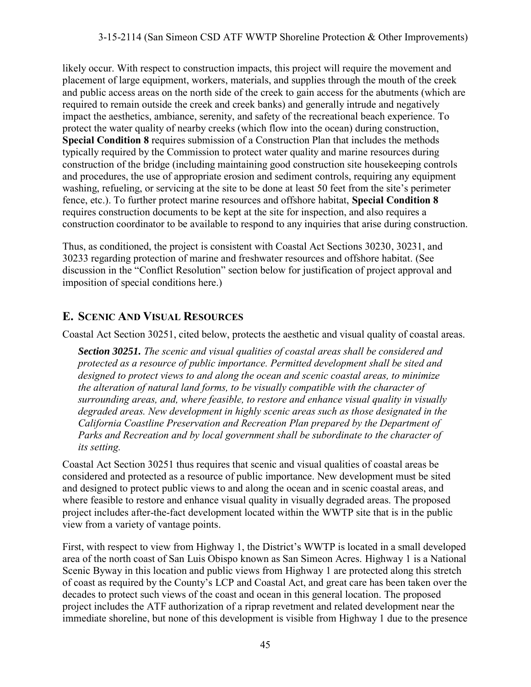#### 3-15-2114 (San Simeon CSD ATF WWTP Shoreline Protection & Other Improvements)

likely occur. With respect to construction impacts, this project will require the movement and placement of large equipment, workers, materials, and supplies through the mouth of the creek and public access areas on the north side of the creek to gain access for the abutments (which are required to remain outside the creek and creek banks) and generally intrude and negatively impact the aesthetics, ambiance, serenity, and safety of the recreational beach experience. To protect the water quality of nearby creeks (which flow into the ocean) during construction, **Special Condition 8** requires submission of a Construction Plan that includes the methods typically required by the Commission to protect water quality and marine resources during construction of the bridge (including maintaining good construction site housekeeping controls and procedures, the use of appropriate erosion and sediment controls, requiring any equipment washing, refueling, or servicing at the site to be done at least 50 feet from the site's perimeter fence, etc.). To further protect marine resources and offshore habitat, **Special Condition 8**  requires construction documents to be kept at the site for inspection, and also requires a construction coordinator to be available to respond to any inquiries that arise during construction.

Thus, as conditioned, the project is consistent with Coastal Act Sections 30230, 30231, and 30233 regarding protection of marine and freshwater resources and offshore habitat. (See discussion in the "Conflict Resolution" section below for justification of project approval and imposition of special conditions here.)

## **E. SCENIC AND VISUAL RESOURCES**

Coastal Act Section 30251, cited below, protects the aesthetic and visual quality of coastal areas.

*Section 30251. The scenic and visual qualities of coastal areas shall be considered and protected as a resource of public importance. Permitted development shall be sited and designed to protect views to and along the ocean and scenic coastal areas, to minimize the alteration of natural land forms, to be visually compatible with the character of surrounding areas, and, where feasible, to restore and enhance visual quality in visually degraded areas. New development in highly scenic areas such as those designated in the California Coastline Preservation and Recreation Plan prepared by the Department of Parks and Recreation and by local government shall be subordinate to the character of its setting.* 

Coastal Act Section 30251 thus requires that scenic and visual qualities of coastal areas be considered and protected as a resource of public importance. New development must be sited and designed to protect public views to and along the ocean and in scenic coastal areas, and where feasible to restore and enhance visual quality in visually degraded areas. The proposed project includes after-the-fact development located within the WWTP site that is in the public view from a variety of vantage points.

First, with respect to view from Highway 1, the District's WWTP is located in a small developed area of the north coast of San Luis Obispo known as San Simeon Acres. Highway 1 is a National Scenic Byway in this location and public views from Highway 1 are protected along this stretch of coast as required by the County's LCP and Coastal Act, and great care has been taken over the decades to protect such views of the coast and ocean in this general location. The proposed project includes the ATF authorization of a riprap revetment and related development near the immediate shoreline, but none of this development is visible from Highway 1 due to the presence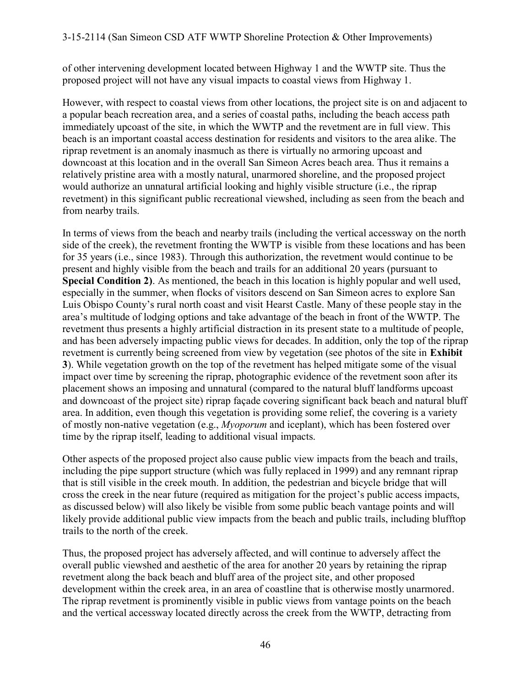of other intervening development located between Highway 1 and the WWTP site. Thus the proposed project will not have any visual impacts to coastal views from Highway 1.

However, with respect to coastal views from other locations, the project site is on and adjacent to a popular beach recreation area, and a series of coastal paths, including the beach access path immediately upcoast of the site, in which the WWTP and the revetment are in full view. This beach is an important coastal access destination for residents and visitors to the area alike. The riprap revetment is an anomaly inasmuch as there is virtually no armoring upcoast and downcoast at this location and in the overall San Simeon Acres beach area. Thus it remains a relatively pristine area with a mostly natural, unarmored shoreline, and the proposed project would authorize an unnatural artificial looking and highly visible structure (i.e., the riprap revetment) in this significant public recreational viewshed, including as seen from the beach and from nearby trails.

In terms of views from the beach and nearby trails (including the vertical accessway on the north side of the creek), the revetment fronting the WWTP is visible from these locations and has been for 35 years (i.e., since 1983). Through this authorization, the revetment would continue to be present and highly visible from the beach and trails for an additional 20 years (pursuant to **Special Condition 2)**. As mentioned, the beach in this location is highly popular and well used, especially in the summer, when flocks of visitors descend on San Simeon acres to explore San Luis Obispo County's rural north coast and visit Hearst Castle. Many of these people stay in the area's multitude of lodging options and take advantage of the beach in front of the WWTP. The revetment thus presents a highly artificial distraction in its present state to a multitude of people, and has been adversely impacting public views for decades. In addition, only the top of the riprap revetment is currently being screened from view by vegetation (see photos of the site in **Exhibit 3**). While vegetation growth on the top of the revetment has helped mitigate some of the visual impact over time by screening the riprap, photographic evidence of the revetment soon after its placement shows an imposing and unnatural (compared to the natural bluff landforms upcoast and downcoast of the project site) riprap façade covering significant back beach and natural bluff area. In addition, even though this vegetation is providing some relief, the covering is a variety of mostly non-native vegetation (e.g., *Myoporum* and iceplant), which has been fostered over time by the riprap itself, leading to additional visual impacts.

Other aspects of the proposed project also cause public view impacts from the beach and trails, including the pipe support structure (which was fully replaced in 1999) and any remnant riprap that is still visible in the creek mouth. In addition, the pedestrian and bicycle bridge that will cross the creek in the near future (required as mitigation for the project's public access impacts, as discussed below) will also likely be visible from some public beach vantage points and will likely provide additional public view impacts from the beach and public trails, including blufftop trails to the north of the creek.

Thus, the proposed project has adversely affected, and will continue to adversely affect the overall public viewshed and aesthetic of the area for another 20 years by retaining the riprap revetment along the back beach and bluff area of the project site, and other proposed development within the creek area, in an area of coastline that is otherwise mostly unarmored. The riprap revetment is prominently visible in public views from vantage points on the beach and the vertical accessway located directly across the creek from the WWTP, detracting from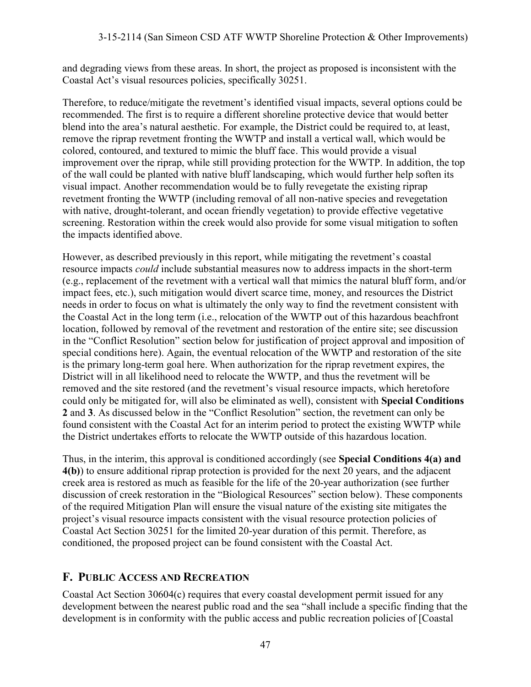and degrading views from these areas. In short, the project as proposed is inconsistent with the Coastal Act's visual resources policies, specifically 30251.

Therefore, to reduce/mitigate the revetment's identified visual impacts, several options could be recommended. The first is to require a different shoreline protective device that would better blend into the area's natural aesthetic. For example, the District could be required to, at least, remove the riprap revetment fronting the WWTP and install a vertical wall, which would be colored, contoured, and textured to mimic the bluff face. This would provide a visual improvement over the riprap, while still providing protection for the WWTP. In addition, the top of the wall could be planted with native bluff landscaping, which would further help soften its visual impact. Another recommendation would be to fully revegetate the existing riprap revetment fronting the WWTP (including removal of all non-native species and revegetation with native, drought-tolerant, and ocean friendly vegetation) to provide effective vegetative screening. Restoration within the creek would also provide for some visual mitigation to soften the impacts identified above.

However, as described previously in this report, while mitigating the revetment's coastal resource impacts *could* include substantial measures now to address impacts in the short-term (e.g., replacement of the revetment with a vertical wall that mimics the natural bluff form, and/or impact fees, etc.), such mitigation would divert scarce time, money, and resources the District needs in order to focus on what is ultimately the only way to find the revetment consistent with the Coastal Act in the long term (i.e., relocation of the WWTP out of this hazardous beachfront location, followed by removal of the revetment and restoration of the entire site; see discussion in the "Conflict Resolution" section below for justification of project approval and imposition of special conditions here). Again, the eventual relocation of the WWTP and restoration of the site is the primary long-term goal here. When authorization for the riprap revetment expires, the District will in all likelihood need to relocate the WWTP, and thus the revetment will be removed and the site restored (and the revetment's visual resource impacts, which heretofore could only be mitigated for, will also be eliminated as well), consistent with **Special Conditions 2** and **3**. As discussed below in the "Conflict Resolution" section, the revetment can only be found consistent with the Coastal Act for an interim period to protect the existing WWTP while the District undertakes efforts to relocate the WWTP outside of this hazardous location.

Thus, in the interim, this approval is conditioned accordingly (see **Special Conditions 4(a) and 4(b)**) to ensure additional riprap protection is provided for the next 20 years, and the adjacent creek area is restored as much as feasible for the life of the 20-year authorization (see further discussion of creek restoration in the "Biological Resources" section below). These components of the required Mitigation Plan will ensure the visual nature of the existing site mitigates the project's visual resource impacts consistent with the visual resource protection policies of Coastal Act Section 30251 for the limited 20-year duration of this permit. Therefore, as conditioned, the proposed project can be found consistent with the Coastal Act.

## **F. PUBLIC ACCESS AND RECREATION**

Coastal Act Section 30604(c) requires that every coastal development permit issued for any development between the nearest public road and the sea "shall include a specific finding that the development is in conformity with the public access and public recreation policies of [Coastal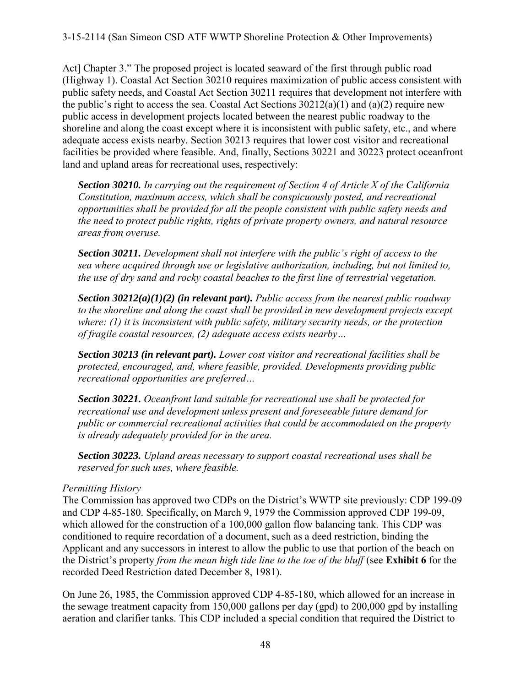Act] Chapter 3." The proposed project is located seaward of the first through public road (Highway 1). Coastal Act Section 30210 requires maximization of public access consistent with public safety needs, and Coastal Act Section 30211 requires that development not interfere with the public's right to access the sea. Coastal Act Sections  $30212(a)(1)$  and  $(a)(2)$  require new public access in development projects located between the nearest public roadway to the shoreline and along the coast except where it is inconsistent with public safety, etc., and where adequate access exists nearby. Section 30213 requires that lower cost visitor and recreational facilities be provided where feasible. And, finally, Sections 30221 and 30223 protect oceanfront land and upland areas for recreational uses, respectively:

*Section 30210. In carrying out the requirement of Section 4 of Article X of the California Constitution, maximum access, which shall be conspicuously posted, and recreational opportunities shall be provided for all the people consistent with public safety needs and the need to protect public rights, rights of private property owners, and natural resource areas from overuse.* 

*Section 30211. Development shall not interfere with the public's right of access to the sea where acquired through use or legislative authorization, including, but not limited to, the use of dry sand and rocky coastal beaches to the first line of terrestrial vegetation.* 

*Section 30212(a)(1)(2) (in relevant part). Public access from the nearest public roadway*  to the shoreline and along the coast shall be provided in new development projects except *where: (1) it is inconsistent with public safety, military security needs, or the protection of fragile coastal resources, (2) adequate access exists nearby…* 

*Section 30213 (in relevant part). Lower cost visitor and recreational facilities shall be protected, encouraged, and, where feasible, provided. Developments providing public recreational opportunities are preferred…* 

*Section 30221. Oceanfront land suitable for recreational use shall be protected for recreational use and development unless present and foreseeable future demand for public or commercial recreational activities that could be accommodated on the property is already adequately provided for in the area.* 

*Section 30223. Upland areas necessary to support coastal recreational uses shall be reserved for such uses, where feasible.* 

#### *Permitting History*

The Commission has approved two CDPs on the District's WWTP site previously: CDP 199-09 and CDP 4-85-180. Specifically, on March 9, 1979 the Commission approved CDP 199-09, which allowed for the construction of a 100,000 gallon flow balancing tank. This CDP was conditioned to require recordation of a document, such as a deed restriction, binding the Applicant and any successors in interest to allow the public to use that portion of the beach on the District's property *from the mean high tide line to the toe of the bluff* (see **Exhibit 6** for the recorded Deed Restriction dated December 8, 1981).

On June 26, 1985, the Commission approved CDP 4-85-180, which allowed for an increase in the sewage treatment capacity from 150,000 gallons per day (gpd) to 200,000 gpd by installing aeration and clarifier tanks. This CDP included a special condition that required the District to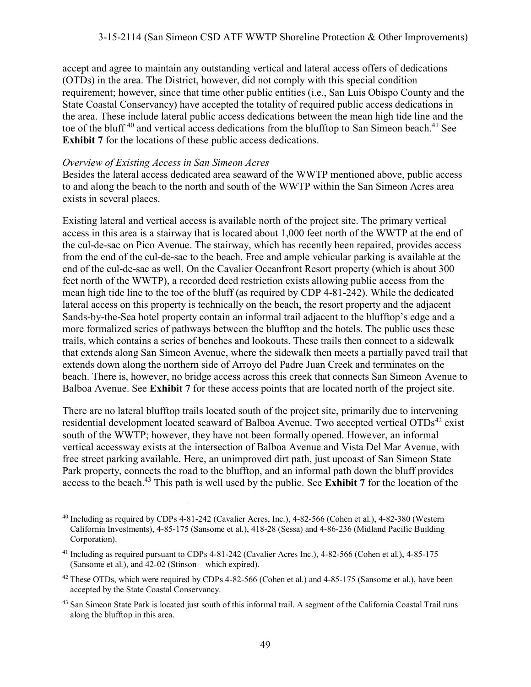#### 3-15-2114 (San Simeon CSD ATF WWTP Shoreline Protection & Other Improvements)

accept and agree to maintain any outstanding vertical and lateral access offers of dedications (OTDs) in the area. The District, however, did not comply with this special condition requirement; however, since that time other public entities (i.e., San Luis Obispo County and the State Coastal Conservancy) have accepted the totality of required public access dedications in the area. These include lateral public access dedications between the mean high tide line and the toe of the bluff<sup>40</sup> and vertical access dedications from the blufftop to San Simeon beach.<sup>41</sup> See **Exhibit 7** for the locations of these public access dedications.

#### *Overview of Existing Access in San Simeon Acres*

 $\overline{a}$ 

Besides the lateral access dedicated area seaward of the WWTP mentioned above, public access to and along the beach to the north and south of the WWTP within the San Simeon Acres area exists in several places.

Existing lateral and vertical access is available north of the project site. The primary vertical access in this area is a stairway that is located about 1,000 feet north of the WWTP at the end of the cul-de-sac on Pico Avenue. The stairway, which has recently been repaired, provides access from the end of the cul-de-sac to the beach. Free and ample vehicular parking is available at the end of the cul-de-sac as well. On the Cavalier Oceanfront Resort property (which is about 300 feet north of the WWTP), a recorded deed restriction exists allowing public access from the mean high tide line to the toe of the bluff (as required by CDP 4-81-242). While the dedicated lateral access on this property is technically on the beach, the resort property and the adjacent Sands-by-the-Sea hotel property contain an informal trail adjacent to the blufftop's edge and a more formalized series of pathways between the blufftop and the hotels. The public uses these trails, which contains a series of benches and lookouts. These trails then connect to a sidewalk that extends along San Simeon Avenue, where the sidewalk then meets a partially paved trail that extends down along the northern side of Arroyo del Padre Juan Creek and terminates on the beach. There is, however, no bridge access across this creek that connects San Simeon Avenue to Balboa Avenue. See **Exhibit 7** for these access points that are located north of the project site.

There are no lateral blufftop trails located south of the project site, primarily due to intervening residential development located seaward of Balboa Avenue. Two accepted vertical  $OTDs<sup>42</sup>$  exist south of the WWTP; however, they have not been formally opened. However, an informal vertical accessway exists at the intersection of Balboa Avenue and Vista Del Mar Avenue, with free street parking available. Here, an unimproved dirt path, just upcoast of San Simeon State Park property, connects the road to the blufftop, and an informal path down the bluff provides access to the beach.<sup>43</sup> This path is well used by the public. See **Exhibit 7** for the location of the

<sup>40</sup> Including as required by CDPs 4-81-242 (Cavalier Acres, Inc.), 4-82-566 (Cohen et al.), 4-82-380 (Western California Investments), 4-85-175 (Sansome et al.), 418-28 (Sessa) and 4-86-236 (Midland Pacific Building Corporation).

<sup>&</sup>lt;sup>41</sup> Including as required pursuant to CDPs 4-81-242 (Cavalier Acres Inc.), 4-82-566 (Cohen et al.), 4-85-175 (Sansome et al.), and 42-02 (Stinson – which expired).

<sup>&</sup>lt;sup>42</sup> These OTDs, which were required by CDPs 4-82-566 (Cohen et al.) and 4-85-175 (Sansome et al.), have been accepted by the State Coastal Conservancy.

<sup>&</sup>lt;sup>43</sup> San Simeon State Park is located just south of this informal trail. A segment of the California Coastal Trail runs along the blufftop in this area.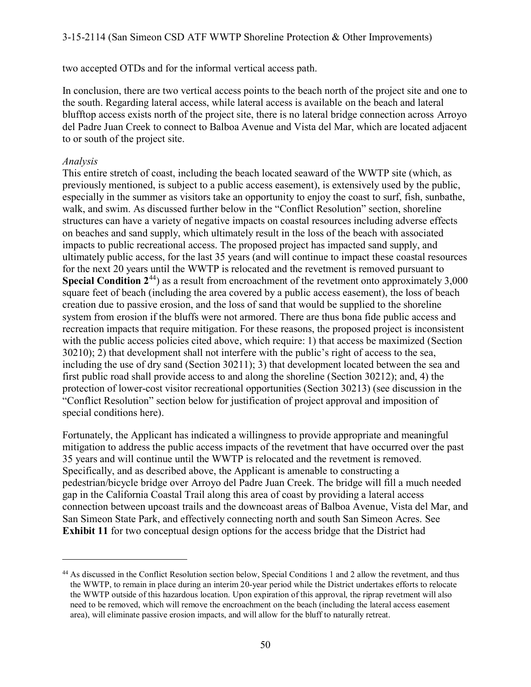two accepted OTDs and for the informal vertical access path.

In conclusion, there are two vertical access points to the beach north of the project site and one to the south. Regarding lateral access, while lateral access is available on the beach and lateral blufftop access exists north of the project site, there is no lateral bridge connection across Arroyo del Padre Juan Creek to connect to Balboa Avenue and Vista del Mar, which are located adjacent to or south of the project site.

#### *Analysis*

 $\overline{a}$ 

This entire stretch of coast, including the beach located seaward of the WWTP site (which, as previously mentioned, is subject to a public access easement), is extensively used by the public, especially in the summer as visitors take an opportunity to enjoy the coast to surf, fish, sunbathe, walk, and swim. As discussed further below in the "Conflict Resolution" section, shoreline structures can have a variety of negative impacts on coastal resources including adverse effects on beaches and sand supply, which ultimately result in the loss of the beach with associated impacts to public recreational access. The proposed project has impacted sand supply, and ultimately public access, for the last 35 years (and will continue to impact these coastal resources for the next 20 years until the WWTP is relocated and the revetment is removed pursuant to **Special Condition 2<sup>44</sup>)** as a result from encroachment of the revetment onto approximately 3,000 square feet of beach (including the area covered by a public access easement), the loss of beach creation due to passive erosion, and the loss of sand that would be supplied to the shoreline system from erosion if the bluffs were not armored. There are thus bona fide public access and recreation impacts that require mitigation. For these reasons, the proposed project is inconsistent with the public access policies cited above, which require: 1) that access be maximized (Section 30210); 2) that development shall not interfere with the public's right of access to the sea, including the use of dry sand (Section 30211); 3) that development located between the sea and first public road shall provide access to and along the shoreline (Section 30212); and, 4) the protection of lower-cost visitor recreational opportunities (Section 30213) (see discussion in the "Conflict Resolution" section below for justification of project approval and imposition of special conditions here).

Fortunately, the Applicant has indicated a willingness to provide appropriate and meaningful mitigation to address the public access impacts of the revetment that have occurred over the past 35 years and will continue until the WWTP is relocated and the revetment is removed. Specifically, and as described above, the Applicant is amenable to constructing a pedestrian/bicycle bridge over Arroyo del Padre Juan Creek. The bridge will fill a much needed gap in the California Coastal Trail along this area of coast by providing a lateral access connection between upcoast trails and the downcoast areas of Balboa Avenue, Vista del Mar, and San Simeon State Park, and effectively connecting north and south San Simeon Acres. See **Exhibit 11** for two conceptual design options for the access bridge that the District had

<sup>44</sup> As discussed in the Conflict Resolution section below, Special Conditions 1 and 2 allow the revetment, and thus the WWTP, to remain in place during an interim 20-year period while the District undertakes efforts to relocate the WWTP outside of this hazardous location. Upon expiration of this approval, the riprap revetment will also need to be removed, which will remove the encroachment on the beach (including the lateral access easement area), will eliminate passive erosion impacts, and will allow for the bluff to naturally retreat.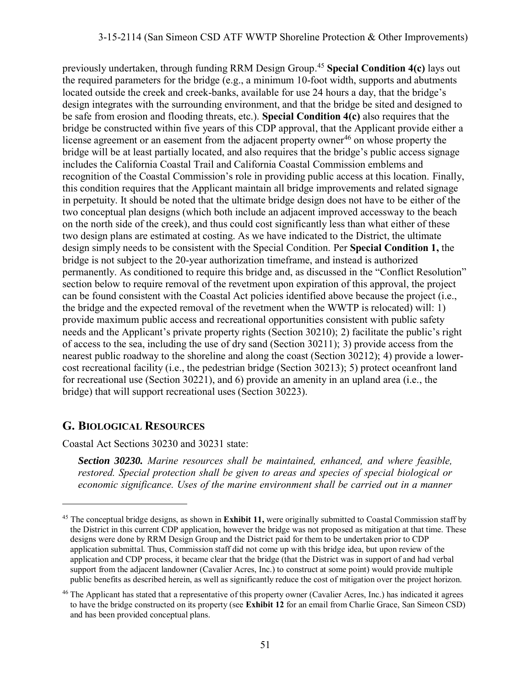previously undertaken, through funding RRM Design Group.<sup>45</sup> **Special Condition 4(c)** lays out the required parameters for the bridge (e.g., a minimum 10-foot width, supports and abutments located outside the creek and creek-banks, available for use 24 hours a day, that the bridge's design integrates with the surrounding environment, and that the bridge be sited and designed to be safe from erosion and flooding threats, etc.). **Special Condition 4(c)** also requires that the bridge be constructed within five years of this CDP approval, that the Applicant provide either a license agreement or an easement from the adjacent property owner<sup>46</sup> on whose property the bridge will be at least partially located, and also requires that the bridge's public access signage includes the California Coastal Trail and California Coastal Commission emblems and recognition of the Coastal Commission's role in providing public access at this location. Finally, this condition requires that the Applicant maintain all bridge improvements and related signage in perpetuity. It should be noted that the ultimate bridge design does not have to be either of the two conceptual plan designs (which both include an adjacent improved accessway to the beach on the north side of the creek), and thus could cost significantly less than what either of these two design plans are estimated at costing. As we have indicated to the District, the ultimate design simply needs to be consistent with the Special Condition. Per **Special Condition 1,** the bridge is not subject to the 20-year authorization timeframe, and instead is authorized permanently. As conditioned to require this bridge and, as discussed in the "Conflict Resolution" section below to require removal of the revetment upon expiration of this approval, the project can be found consistent with the Coastal Act policies identified above because the project (i.e., the bridge and the expected removal of the revetment when the WWTP is relocated) will: 1) provide maximum public access and recreational opportunities consistent with public safety needs and the Applicant's private property rights (Section 30210); 2) facilitate the public's right of access to the sea, including the use of dry sand (Section 30211); 3) provide access from the nearest public roadway to the shoreline and along the coast (Section 30212); 4) provide a lowercost recreational facility (i.e., the pedestrian bridge (Section 30213); 5) protect oceanfront land for recreational use (Section 30221), and 6) provide an amenity in an upland area (i.e., the bridge) that will support recreational uses (Section 30223).

## **G. BIOLOGICAL RESOURCES**

 $\overline{a}$ 

Coastal Act Sections 30230 and 30231 state:

*Section 30230. Marine resources shall be maintained, enhanced, and where feasible, restored. Special protection shall be given to areas and species of special biological or economic significance. Uses of the marine environment shall be carried out in a manner* 

<sup>45</sup> The conceptual bridge designs, as shown in **Exhibit 11,** were originally submitted to Coastal Commission staff by the District in this current CDP application, however the bridge was not proposed as mitigation at that time. These designs were done by RRM Design Group and the District paid for them to be undertaken prior to CDP application submittal. Thus, Commission staff did not come up with this bridge idea, but upon review of the application and CDP process, it became clear that the bridge (that the District was in support of and had verbal support from the adjacent landowner (Cavalier Acres, Inc.) to construct at some point) would provide multiple public benefits as described herein, as well as significantly reduce the cost of mitigation over the project horizon.

<sup>&</sup>lt;sup>46</sup> The Applicant has stated that a representative of this property owner (Cavalier Acres, Inc.) has indicated it agrees to have the bridge constructed on its property (see **Exhibit 12** for an email from Charlie Grace, San Simeon CSD) and has been provided conceptual plans.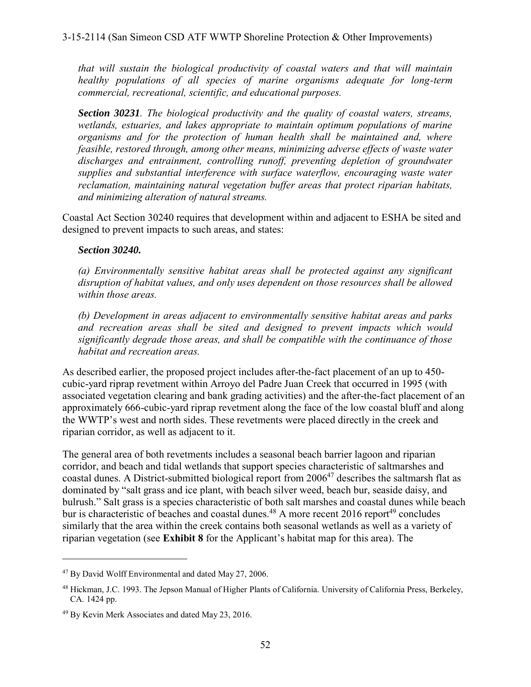*that will sustain the biological productivity of coastal waters and that will maintain healthy populations of all species of marine organisms adequate for long-term commercial, recreational, scientific, and educational purposes.* 

*Section 30231. The biological productivity and the quality of coastal waters, streams, wetlands, estuaries, and lakes appropriate to maintain optimum populations of marine organisms and for the protection of human health shall be maintained and, where feasible, restored through, among other means, minimizing adverse effects of waste water*  discharges and entrainment, controlling runoff, preventing depletion of groundwater *supplies and substantial interference with surface waterflow, encouraging waste water reclamation, maintaining natural vegetation buffer areas that protect riparian habitats, and minimizing alteration of natural streams.* 

Coastal Act Section 30240 requires that development within and adjacent to ESHA be sited and designed to prevent impacts to such areas, and states:

#### *Section 30240.*

*(a) Environmentally sensitive habitat areas shall be protected against any significant disruption of habitat values, and only uses dependent on those resources shall be allowed within those areas.* 

*(b) Development in areas adjacent to environmentally sensitive habitat areas and parks and recreation areas shall be sited and designed to prevent impacts which would significantly degrade those areas, and shall be compatible with the continuance of those habitat and recreation areas.*

As described earlier, the proposed project includes after-the-fact placement of an up to 450 cubic-yard riprap revetment within Arroyo del Padre Juan Creek that occurred in 1995 (with associated vegetation clearing and bank grading activities) and the after-the-fact placement of an approximately 666-cubic-yard riprap revetment along the face of the low coastal bluff and along the WWTP's west and north sides. These revetments were placed directly in the creek and riparian corridor, as well as adjacent to it.

The general area of both revetments includes a seasonal beach barrier lagoon and riparian corridor, and beach and tidal wetlands that support species characteristic of saltmarshes and coastal dunes. A District-submitted biological report from 2006<sup>47</sup> describes the saltmarsh flat as dominated by "salt grass and ice plant, with beach silver weed, beach bur, seaside daisy, and bulrush." Salt grass is a species characteristic of both salt marshes and coastal dunes while beach bur is characteristic of beaches and coastal dunes.<sup>48</sup> A more recent 2016 report<sup>49</sup> concludes similarly that the area within the creek contains both seasonal wetlands as well as a variety of riparian vegetation (see **Exhibit 8** for the Applicant's habitat map for this area). The

<sup>47</sup> By David Wolff Environmental and dated May 27, 2006.

<sup>&</sup>lt;sup>48</sup> Hickman, J.C. 1993. The Jepson Manual of Higher Plants of California. University of California Press, Berkeley, CA. 1424 pp.

<sup>49</sup> By Kevin Merk Associates and dated May 23, 2016.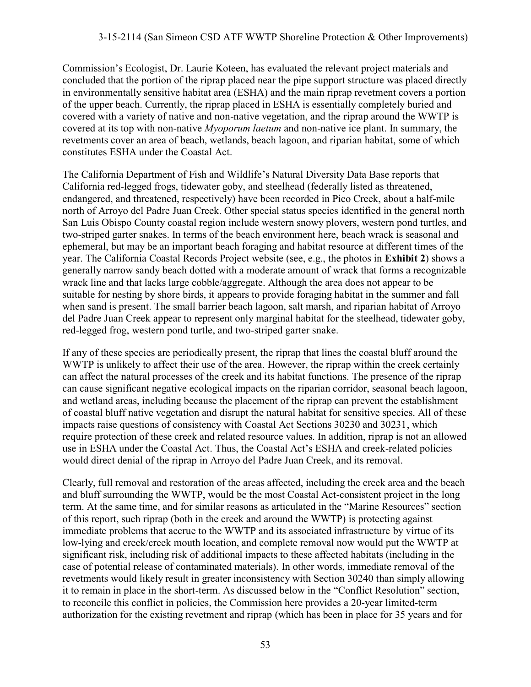Commission's Ecologist, Dr. Laurie Koteen, has evaluated the relevant project materials and concluded that the portion of the riprap placed near the pipe support structure was placed directly in environmentally sensitive habitat area (ESHA) and the main riprap revetment covers a portion of the upper beach. Currently, the riprap placed in ESHA is essentially completely buried and covered with a variety of native and non-native vegetation, and the riprap around the WWTP is covered at its top with non-native *Myoporum laetum* and non-native ice plant. In summary, the revetments cover an area of beach, wetlands, beach lagoon, and riparian habitat, some of which constitutes ESHA under the Coastal Act.

The California Department of Fish and Wildlife's Natural Diversity Data Base reports that California red-legged frogs, tidewater goby, and steelhead (federally listed as threatened, endangered, and threatened, respectively) have been recorded in Pico Creek, about a half-mile north of Arroyo del Padre Juan Creek. Other special status species identified in the general north San Luis Obispo County coastal region include western snowy plovers, western pond turtles, and two-striped garter snakes. In terms of the beach environment here, beach wrack is seasonal and ephemeral, but may be an important beach foraging and habitat resource at different times of the year. The California Coastal Records Project website (see, e.g., the photos in **Exhibit 2**) shows a generally narrow sandy beach dotted with a moderate amount of wrack that forms a recognizable wrack line and that lacks large cobble/aggregate. Although the area does not appear to be suitable for nesting by shore birds, it appears to provide foraging habitat in the summer and fall when sand is present. The small barrier beach lagoon, salt marsh, and riparian habitat of Arroyo del Padre Juan Creek appear to represent only marginal habitat for the steelhead, tidewater goby, red-legged frog, western pond turtle, and two-striped garter snake.

If any of these species are periodically present, the riprap that lines the coastal bluff around the WWTP is unlikely to affect their use of the area. However, the riprap within the creek certainly can affect the natural processes of the creek and its habitat functions. The presence of the riprap can cause significant negative ecological impacts on the riparian corridor, seasonal beach lagoon, and wetland areas, including because the placement of the riprap can prevent the establishment of coastal bluff native vegetation and disrupt the natural habitat for sensitive species. All of these impacts raise questions of consistency with Coastal Act Sections 30230 and 30231, which require protection of these creek and related resource values. In addition, riprap is not an allowed use in ESHA under the Coastal Act. Thus, the Coastal Act's ESHA and creek-related policies would direct denial of the riprap in Arroyo del Padre Juan Creek, and its removal.

Clearly, full removal and restoration of the areas affected, including the creek area and the beach and bluff surrounding the WWTP, would be the most Coastal Act-consistent project in the long term. At the same time, and for similar reasons as articulated in the "Marine Resources" section of this report, such riprap (both in the creek and around the WWTP) is protecting against immediate problems that accrue to the WWTP and its associated infrastructure by virtue of its low-lying and creek/creek mouth location, and complete removal now would put the WWTP at significant risk, including risk of additional impacts to these affected habitats (including in the case of potential release of contaminated materials). In other words, immediate removal of the revetments would likely result in greater inconsistency with Section 30240 than simply allowing it to remain in place in the short-term. As discussed below in the "Conflict Resolution" section, to reconcile this conflict in policies, the Commission here provides a 20-year limited-term authorization for the existing revetment and riprap (which has been in place for 35 years and for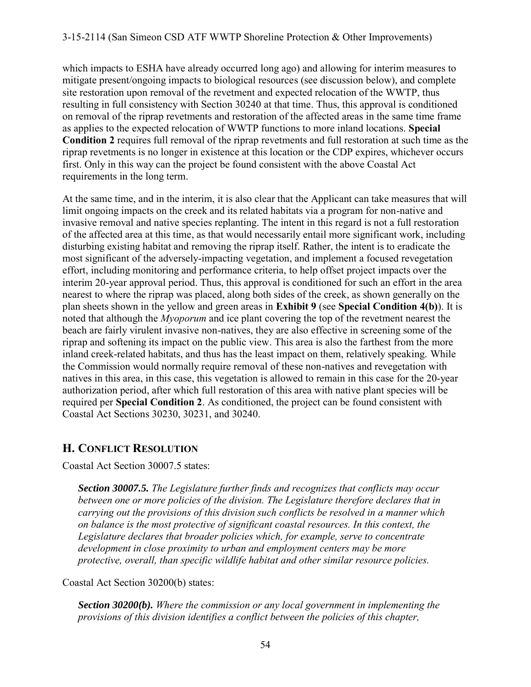which impacts to ESHA have already occurred long ago) and allowing for interim measures to mitigate present/ongoing impacts to biological resources (see discussion below), and complete site restoration upon removal of the revetment and expected relocation of the WWTP, thus resulting in full consistency with Section 30240 at that time. Thus, this approval is conditioned on removal of the riprap revetments and restoration of the affected areas in the same time frame as applies to the expected relocation of WWTP functions to more inland locations. **Special Condition 2** requires full removal of the riprap revetments and full restoration at such time as the riprap revetments is no longer in existence at this location or the CDP expires, whichever occurs first. Only in this way can the project be found consistent with the above Coastal Act requirements in the long term.

At the same time, and in the interim, it is also clear that the Applicant can take measures that will limit ongoing impacts on the creek and its related habitats via a program for non-native and invasive removal and native species replanting. The intent in this regard is not a full restoration of the affected area at this time, as that would necessarily entail more significant work, including disturbing existing habitat and removing the riprap itself. Rather, the intent is to eradicate the most significant of the adversely-impacting vegetation, and implement a focused revegetation effort, including monitoring and performance criteria, to help offset project impacts over the interim 20-year approval period. Thus, this approval is conditioned for such an effort in the area nearest to where the riprap was placed, along both sides of the creek, as shown generally on the plan sheets shown in the yellow and green areas in **Exhibit 9** (see **Special Condition 4(b)**). It is noted that although the *Myoporum* and ice plant covering the top of the revetment nearest the beach are fairly virulent invasive non-natives, they are also effective in screening some of the riprap and softening its impact on the public view. This area is also the farthest from the more inland creek-related habitats, and thus has the least impact on them, relatively speaking. While the Commission would normally require removal of these non-natives and revegetation with natives in this area, in this case, this vegetation is allowed to remain in this case for the 20-year authorization period, after which full restoration of this area with native plant species will be required per **Special Condition 2**. As conditioned, the project can be found consistent with Coastal Act Sections 30230, 30231, and 30240.

## **H. CONFLICT RESOLUTION**

Coastal Act Section 30007.5 states:

*Section 30007.5. The Legislature further finds and recognizes that conflicts may occur between one or more policies of the division. The Legislature therefore declares that in carrying out the provisions of this division such conflicts be resolved in a manner which on balance is the most protective of significant coastal resources. In this context, the Legislature declares that broader policies which, for example, serve to concentrate development in close proximity to urban and employment centers may be more protective, overall, than specific wildlife habitat and other similar resource policies.* 

Coastal Act Section 30200(b) states:

*Section 30200(b). Where the commission or any local government in implementing the provisions of this division identifies a conflict between the policies of this chapter,*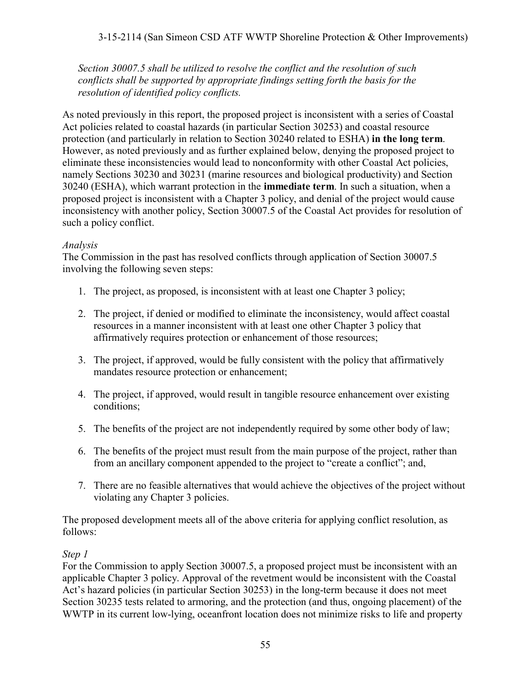3-15-2114 (San Simeon CSD ATF WWTP Shoreline Protection & Other Improvements)

*Section 30007.5 shall be utilized to resolve the conflict and the resolution of such conflicts shall be supported by appropriate findings setting forth the basis for the resolution of identified policy conflicts.* 

As noted previously in this report, the proposed project is inconsistent with a series of Coastal Act policies related to coastal hazards (in particular Section 30253) and coastal resource protection (and particularly in relation to Section 30240 related to ESHA) **in the long term**. However, as noted previously and as further explained below, denying the proposed project to eliminate these inconsistencies would lead to nonconformity with other Coastal Act policies, namely Sections 30230 and 30231 (marine resources and biological productivity) and Section 30240 (ESHA), which warrant protection in the **immediate term**. In such a situation, when a proposed project is inconsistent with a Chapter 3 policy, and denial of the project would cause inconsistency with another policy, Section 30007.5 of the Coastal Act provides for resolution of such a policy conflict.

#### *Analysis*

The Commission in the past has resolved conflicts through application of Section 30007.5 involving the following seven steps:

- 1. The project, as proposed, is inconsistent with at least one Chapter 3 policy;
- 2. The project, if denied or modified to eliminate the inconsistency, would affect coastal resources in a manner inconsistent with at least one other Chapter 3 policy that affirmatively requires protection or enhancement of those resources;
- 3. The project, if approved, would be fully consistent with the policy that affirmatively mandates resource protection or enhancement;
- 4. The project, if approved, would result in tangible resource enhancement over existing conditions;
- 5. The benefits of the project are not independently required by some other body of law;
- 6. The benefits of the project must result from the main purpose of the project, rather than from an ancillary component appended to the project to "create a conflict"; and,
- 7. There are no feasible alternatives that would achieve the objectives of the project without violating any Chapter 3 policies.

The proposed development meets all of the above criteria for applying conflict resolution, as follows:

#### *Step 1*

For the Commission to apply Section 30007.5, a proposed project must be inconsistent with an applicable Chapter 3 policy. Approval of the revetment would be inconsistent with the Coastal Act's hazard policies (in particular Section 30253) in the long-term because it does not meet Section 30235 tests related to armoring, and the protection (and thus, ongoing placement) of the WWTP in its current low-lying, oceanfront location does not minimize risks to life and property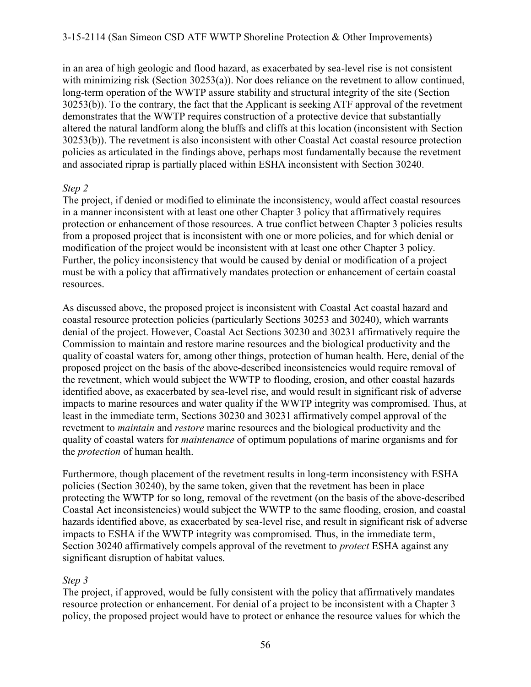in an area of high geologic and flood hazard, as exacerbated by sea-level rise is not consistent with minimizing risk (Section 30253(a)). Nor does reliance on the revetment to allow continued, long-term operation of the WWTP assure stability and structural integrity of the site (Section 30253(b)). To the contrary, the fact that the Applicant is seeking ATF approval of the revetment demonstrates that the WWTP requires construction of a protective device that substantially altered the natural landform along the bluffs and cliffs at this location (inconsistent with Section 30253(b)). The revetment is also inconsistent with other Coastal Act coastal resource protection policies as articulated in the findings above, perhaps most fundamentally because the revetment and associated riprap is partially placed within ESHA inconsistent with Section 30240.

#### *Step 2*

The project, if denied or modified to eliminate the inconsistency, would affect coastal resources in a manner inconsistent with at least one other Chapter 3 policy that affirmatively requires protection or enhancement of those resources. A true conflict between Chapter 3 policies results from a proposed project that is inconsistent with one or more policies, and for which denial or modification of the project would be inconsistent with at least one other Chapter 3 policy. Further, the policy inconsistency that would be caused by denial or modification of a project must be with a policy that affirmatively mandates protection or enhancement of certain coastal resources.

As discussed above, the proposed project is inconsistent with Coastal Act coastal hazard and coastal resource protection policies (particularly Sections 30253 and 30240), which warrants denial of the project. However, Coastal Act Sections 30230 and 30231 affirmatively require the Commission to maintain and restore marine resources and the biological productivity and the quality of coastal waters for, among other things, protection of human health. Here, denial of the proposed project on the basis of the above-described inconsistencies would require removal of the revetment, which would subject the WWTP to flooding, erosion, and other coastal hazards identified above, as exacerbated by sea-level rise, and would result in significant risk of adverse impacts to marine resources and water quality if the WWTP integrity was compromised. Thus, at least in the immediate term, Sections 30230 and 30231 affirmatively compel approval of the revetment to *maintain* and *restore* marine resources and the biological productivity and the quality of coastal waters for *maintenance* of optimum populations of marine organisms and for the *protection* of human health.

Furthermore, though placement of the revetment results in long-term inconsistency with ESHA policies (Section 30240), by the same token, given that the revetment has been in place protecting the WWTP for so long, removal of the revetment (on the basis of the above-described Coastal Act inconsistencies) would subject the WWTP to the same flooding, erosion, and coastal hazards identified above, as exacerbated by sea-level rise, and result in significant risk of adverse impacts to ESHA if the WWTP integrity was compromised. Thus, in the immediate term, Section 30240 affirmatively compels approval of the revetment to *protect* ESHA against any significant disruption of habitat values.

#### *Step 3*

The project, if approved, would be fully consistent with the policy that affirmatively mandates resource protection or enhancement. For denial of a project to be inconsistent with a Chapter 3 policy, the proposed project would have to protect or enhance the resource values for which the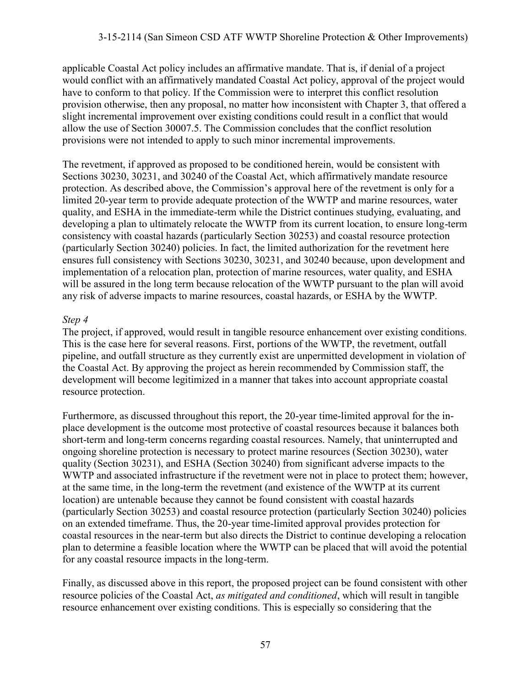applicable Coastal Act policy includes an affirmative mandate. That is, if denial of a project would conflict with an affirmatively mandated Coastal Act policy, approval of the project would have to conform to that policy. If the Commission were to interpret this conflict resolution provision otherwise, then any proposal, no matter how inconsistent with Chapter 3, that offered a slight incremental improvement over existing conditions could result in a conflict that would allow the use of Section 30007.5. The Commission concludes that the conflict resolution provisions were not intended to apply to such minor incremental improvements.

The revetment, if approved as proposed to be conditioned herein, would be consistent with Sections 30230, 30231, and 30240 of the Coastal Act, which affirmatively mandate resource protection. As described above, the Commission's approval here of the revetment is only for a limited 20-year term to provide adequate protection of the WWTP and marine resources, water quality, and ESHA in the immediate-term while the District continues studying, evaluating, and developing a plan to ultimately relocate the WWTP from its current location, to ensure long-term consistency with coastal hazards (particularly Section 30253) and coastal resource protection (particularly Section 30240) policies. In fact, the limited authorization for the revetment here ensures full consistency with Sections 30230, 30231, and 30240 because, upon development and implementation of a relocation plan, protection of marine resources, water quality, and ESHA will be assured in the long term because relocation of the WWTP pursuant to the plan will avoid any risk of adverse impacts to marine resources, coastal hazards, or ESHA by the WWTP.

#### *Step 4*

The project, if approved, would result in tangible resource enhancement over existing conditions. This is the case here for several reasons. First, portions of the WWTP, the revetment, outfall pipeline, and outfall structure as they currently exist are unpermitted development in violation of the Coastal Act. By approving the project as herein recommended by Commission staff, the development will become legitimized in a manner that takes into account appropriate coastal resource protection.

Furthermore, as discussed throughout this report, the 20-year time-limited approval for the inplace development is the outcome most protective of coastal resources because it balances both short-term and long-term concerns regarding coastal resources. Namely, that uninterrupted and ongoing shoreline protection is necessary to protect marine resources (Section 30230), water quality (Section 30231), and ESHA (Section 30240) from significant adverse impacts to the WWTP and associated infrastructure if the revetment were not in place to protect them; however, at the same time, in the long-term the revetment (and existence of the WWTP at its current location) are untenable because they cannot be found consistent with coastal hazards (particularly Section 30253) and coastal resource protection (particularly Section 30240) policies on an extended timeframe. Thus, the 20-year time-limited approval provides protection for coastal resources in the near-term but also directs the District to continue developing a relocation plan to determine a feasible location where the WWTP can be placed that will avoid the potential for any coastal resource impacts in the long-term.

Finally, as discussed above in this report, the proposed project can be found consistent with other resource policies of the Coastal Act, *as mitigated and conditioned*, which will result in tangible resource enhancement over existing conditions. This is especially so considering that the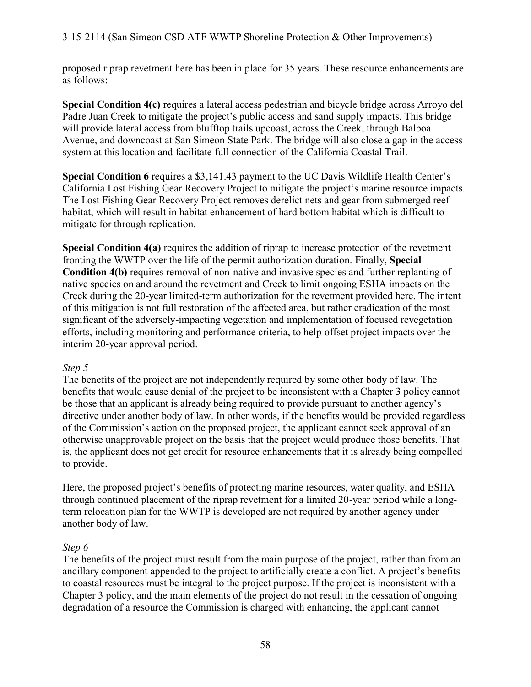proposed riprap revetment here has been in place for 35 years. These resource enhancements are as follows:

**Special Condition 4(c)** requires a lateral access pedestrian and bicycle bridge across Arroyo del Padre Juan Creek to mitigate the project's public access and sand supply impacts. This bridge will provide lateral access from blufftop trails upcoast, across the Creek, through Balboa Avenue, and downcoast at San Simeon State Park. The bridge will also close a gap in the access system at this location and facilitate full connection of the California Coastal Trail.

**Special Condition 6** requires a \$3,141.43 payment to the UC Davis Wildlife Health Center's California Lost Fishing Gear Recovery Project to mitigate the project's marine resource impacts. The Lost Fishing Gear Recovery Project removes derelict nets and gear from submerged reef habitat, which will result in habitat enhancement of hard bottom habitat which is difficult to mitigate for through replication.

**Special Condition 4(a)** requires the addition of riprap to increase protection of the revetment fronting the WWTP over the life of the permit authorization duration. Finally, **Special Condition 4(b)** requires removal of non-native and invasive species and further replanting of native species on and around the revetment and Creek to limit ongoing ESHA impacts on the Creek during the 20-year limited-term authorization for the revetment provided here. The intent of this mitigation is not full restoration of the affected area, but rather eradication of the most significant of the adversely-impacting vegetation and implementation of focused revegetation efforts, including monitoring and performance criteria, to help offset project impacts over the interim 20-year approval period.

#### *Step 5*

The benefits of the project are not independently required by some other body of law. The benefits that would cause denial of the project to be inconsistent with a Chapter 3 policy cannot be those that an applicant is already being required to provide pursuant to another agency's directive under another body of law. In other words, if the benefits would be provided regardless of the Commission's action on the proposed project, the applicant cannot seek approval of an otherwise unapprovable project on the basis that the project would produce those benefits. That is, the applicant does not get credit for resource enhancements that it is already being compelled to provide.

Here, the proposed project's benefits of protecting marine resources, water quality, and ESHA through continued placement of the riprap revetment for a limited 20-year period while a longterm relocation plan for the WWTP is developed are not required by another agency under another body of law.

#### *Step 6*

The benefits of the project must result from the main purpose of the project, rather than from an ancillary component appended to the project to artificially create a conflict. A project's benefits to coastal resources must be integral to the project purpose. If the project is inconsistent with a Chapter 3 policy, and the main elements of the project do not result in the cessation of ongoing degradation of a resource the Commission is charged with enhancing, the applicant cannot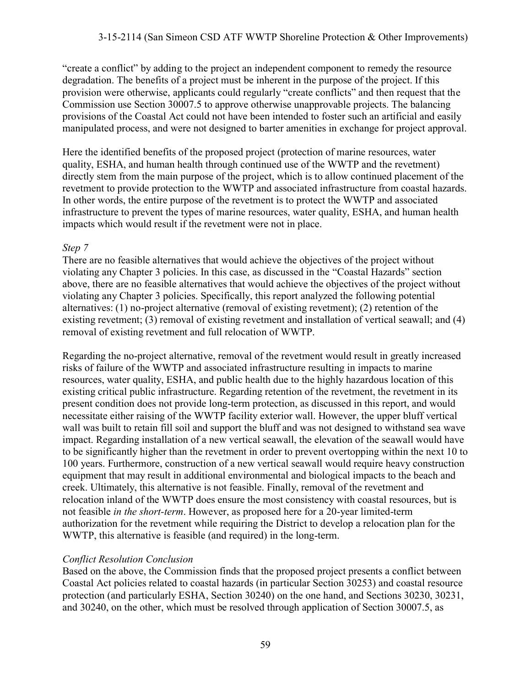"create a conflict" by adding to the project an independent component to remedy the resource degradation. The benefits of a project must be inherent in the purpose of the project. If this provision were otherwise, applicants could regularly "create conflicts" and then request that the Commission use Section 30007.5 to approve otherwise unapprovable projects. The balancing provisions of the Coastal Act could not have been intended to foster such an artificial and easily manipulated process, and were not designed to barter amenities in exchange for project approval.

Here the identified benefits of the proposed project (protection of marine resources, water quality, ESHA, and human health through continued use of the WWTP and the revetment) directly stem from the main purpose of the project, which is to allow continued placement of the revetment to provide protection to the WWTP and associated infrastructure from coastal hazards. In other words, the entire purpose of the revetment is to protect the WWTP and associated infrastructure to prevent the types of marine resources, water quality, ESHA, and human health impacts which would result if the revetment were not in place.

#### *Step 7*

There are no feasible alternatives that would achieve the objectives of the project without violating any Chapter 3 policies. In this case, as discussed in the "Coastal Hazards" section above, there are no feasible alternatives that would achieve the objectives of the project without violating any Chapter 3 policies. Specifically, this report analyzed the following potential alternatives: (1) no-project alternative (removal of existing revetment); (2) retention of the existing revetment; (3) removal of existing revetment and installation of vertical seawall; and (4) removal of existing revetment and full relocation of WWTP.

Regarding the no-project alternative, removal of the revetment would result in greatly increased risks of failure of the WWTP and associated infrastructure resulting in impacts to marine resources, water quality, ESHA, and public health due to the highly hazardous location of this existing critical public infrastructure. Regarding retention of the revetment, the revetment in its present condition does not provide long-term protection, as discussed in this report, and would necessitate either raising of the WWTP facility exterior wall. However, the upper bluff vertical wall was built to retain fill soil and support the bluff and was not designed to withstand sea wave impact. Regarding installation of a new vertical seawall, the elevation of the seawall would have to be significantly higher than the revetment in order to prevent overtopping within the next 10 to 100 years. Furthermore, construction of a new vertical seawall would require heavy construction equipment that may result in additional environmental and biological impacts to the beach and creek. Ultimately, this alternative is not feasible. Finally, removal of the revetment and relocation inland of the WWTP does ensure the most consistency with coastal resources, but is not feasible *in the short-term*. However, as proposed here for a 20-year limited-term authorization for the revetment while requiring the District to develop a relocation plan for the WWTP, this alternative is feasible (and required) in the long-term.

#### *Conflict Resolution Conclusion*

Based on the above, the Commission finds that the proposed project presents a conflict between Coastal Act policies related to coastal hazards (in particular Section 30253) and coastal resource protection (and particularly ESHA, Section 30240) on the one hand, and Sections 30230, 30231, and 30240, on the other, which must be resolved through application of Section 30007.5, as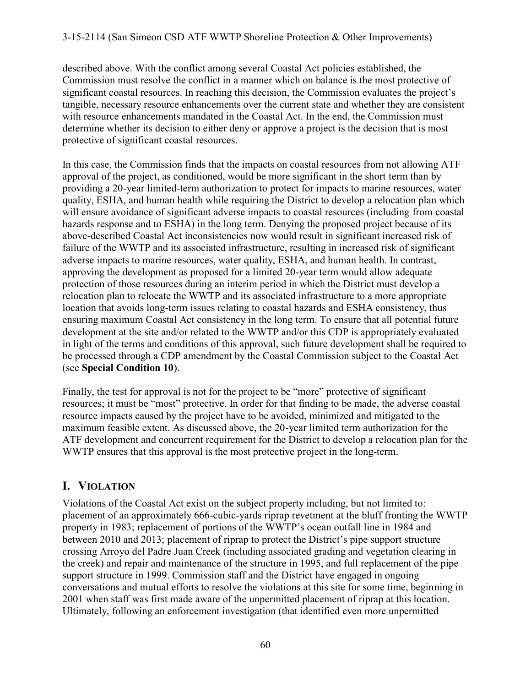described above. With the conflict among several Coastal Act policies established, the Commission must resolve the conflict in a manner which on balance is the most protective of significant coastal resources. In reaching this decision, the Commission evaluates the project's tangible, necessary resource enhancements over the current state and whether they are consistent with resource enhancements mandated in the Coastal Act. In the end, the Commission must determine whether its decision to either deny or approve a project is the decision that is most protective of significant coastal resources.

In this case, the Commission finds that the impacts on coastal resources from not allowing ATF approval of the project, as conditioned, would be more significant in the short term than by providing a 20-year limited-term authorization to protect for impacts to marine resources, water quality, ESHA, and human health while requiring the District to develop a relocation plan which will ensure avoidance of significant adverse impacts to coastal resources (including from coastal hazards response and to ESHA) in the long term. Denying the proposed project because of its above-described Coastal Act inconsistencies now would result in significant increased risk of failure of the WWTP and its associated infrastructure, resulting in increased risk of significant adverse impacts to marine resources, water quality, ESHA, and human health. In contrast, approving the development as proposed for a limited 20-year term would allow adequate protection of those resources during an interim period in which the District must develop a relocation plan to relocate the WWTP and its associated infrastructure to a more appropriate location that avoids long-term issues relating to coastal hazards and ESHA consistency, thus ensuring maximum Coastal Act consistency in the long term. To ensure that all potential future development at the site and/or related to the WWTP and/or this CDP is appropriately evaluated in light of the terms and conditions of this approval, such future development shall be required to be processed through a CDP amendment by the Coastal Commission subject to the Coastal Act (see **Special Condition 10**).

Finally, the test for approval is not for the project to be "more" protective of significant resources; it must be "most" protective. In order for that finding to be made, the adverse coastal resource impacts caused by the project have to be avoided, minimized and mitigated to the maximum feasible extent. As discussed above, the 20-year limited term authorization for the ATF development and concurrent requirement for the District to develop a relocation plan for the WWTP ensures that this approval is the most protective project in the long-term.

## **I. VIOLATION**

Violations of the Coastal Act exist on the subject property including, but not limited to: placement of an approximately 666-cubic-yards riprap revetment at the bluff fronting the WWTP property in 1983; replacement of portions of the WWTP's ocean outfall line in 1984 and between 2010 and 2013; placement of riprap to protect the District's pipe support structure crossing Arroyo del Padre Juan Creek (including associated grading and vegetation clearing in the creek) and repair and maintenance of the structure in 1995, and full replacement of the pipe support structure in 1999. Commission staff and the District have engaged in ongoing conversations and mutual efforts to resolve the violations at this site for some time, beginning in 2001 when staff was first made aware of the unpermitted placement of riprap at this location. Ultimately, following an enforcement investigation (that identified even more unpermitted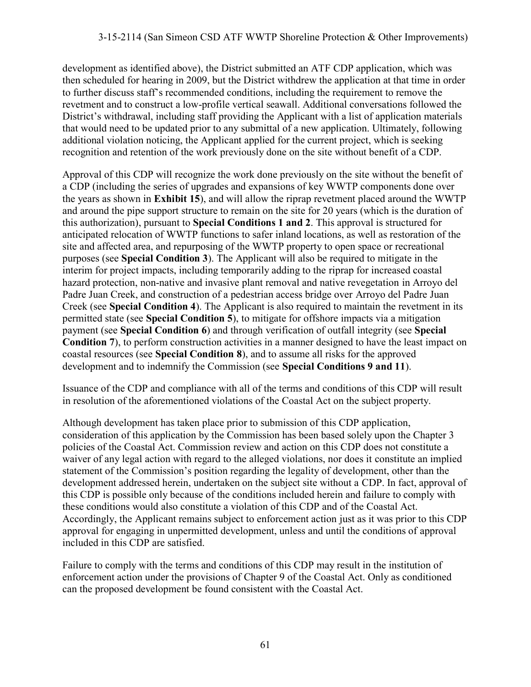development as identified above), the District submitted an ATF CDP application, which was then scheduled for hearing in 2009, but the District withdrew the application at that time in order to further discuss staff's recommended conditions, including the requirement to remove the revetment and to construct a low-profile vertical seawall. Additional conversations followed the District's withdrawal, including staff providing the Applicant with a list of application materials that would need to be updated prior to any submittal of a new application. Ultimately, following additional violation noticing, the Applicant applied for the current project, which is seeking recognition and retention of the work previously done on the site without benefit of a CDP.

Approval of this CDP will recognize the work done previously on the site without the benefit of a CDP (including the series of upgrades and expansions of key WWTP components done over the years as shown in **Exhibit 15**), and will allow the riprap revetment placed around the WWTP and around the pipe support structure to remain on the site for 20 years (which is the duration of this authorization), pursuant to **Special Conditions 1 and 2**. This approval is structured for anticipated relocation of WWTP functions to safer inland locations, as well as restoration of the site and affected area, and repurposing of the WWTP property to open space or recreational purposes (see **Special Condition 3**). The Applicant will also be required to mitigate in the interim for project impacts, including temporarily adding to the riprap for increased coastal hazard protection, non-native and invasive plant removal and native revegetation in Arroyo del Padre Juan Creek, and construction of a pedestrian access bridge over Arroyo del Padre Juan Creek (see **Special Condition 4**). The Applicant is also required to maintain the revetment in its permitted state (see **Special Condition 5**), to mitigate for offshore impacts via a mitigation payment (see **Special Condition 6**) and through verification of outfall integrity (see **Special Condition 7**), to perform construction activities in a manner designed to have the least impact on coastal resources (see **Special Condition 8**), and to assume all risks for the approved development and to indemnify the Commission (see **Special Conditions 9 and 11**).

Issuance of the CDP and compliance with all of the terms and conditions of this CDP will result in resolution of the aforementioned violations of the Coastal Act on the subject property.

Although development has taken place prior to submission of this CDP application, consideration of this application by the Commission has been based solely upon the Chapter 3 policies of the Coastal Act. Commission review and action on this CDP does not constitute a waiver of any legal action with regard to the alleged violations, nor does it constitute an implied statement of the Commission's position regarding the legality of development, other than the development addressed herein, undertaken on the subject site without a CDP. In fact, approval of this CDP is possible only because of the conditions included herein and failure to comply with these conditions would also constitute a violation of this CDP and of the Coastal Act. Accordingly, the Applicant remains subject to enforcement action just as it was prior to this CDP approval for engaging in unpermitted development, unless and until the conditions of approval included in this CDP are satisfied.

Failure to comply with the terms and conditions of this CDP may result in the institution of enforcement action under the provisions of Chapter 9 of the Coastal Act. Only as conditioned can the proposed development be found consistent with the Coastal Act.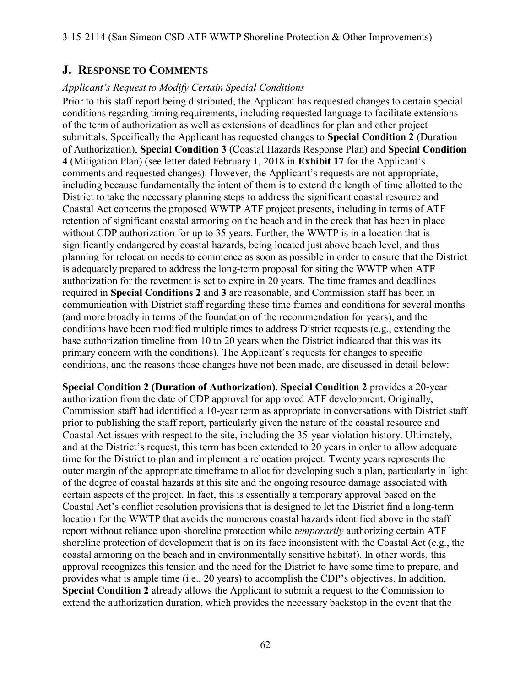### **J. RESPONSE TO COMMENTS**

#### *Applicant's Request to Modify Certain Special Conditions*

Prior to this staff report being distributed, the Applicant has requested changes to certain special conditions regarding timing requirements, including requested language to facilitate extensions of the term of authorization as well as extensions of deadlines for plan and other project submittals. Specifically the Applicant has requested changes to **Special Condition 2** (Duration of Authorization), **Special Condition 3** (Coastal Hazards Response Plan) and **Special Condition 4** (Mitigation Plan) (see letter dated February 1, 2018 in **Exhibit 17** for the Applicant's comments and requested changes). However, the Applicant's requests are not appropriate, including because fundamentally the intent of them is to extend the length of time allotted to the District to take the necessary planning steps to address the significant coastal resource and Coastal Act concerns the proposed WWTP ATF project presents, including in terms of ATF retention of significant coastal armoring on the beach and in the creek that has been in place without CDP authorization for up to 35 years. Further, the WWTP is in a location that is significantly endangered by coastal hazards, being located just above beach level, and thus planning for relocation needs to commence as soon as possible in order to ensure that the District is adequately prepared to address the long-term proposal for siting the WWTP when ATF authorization for the revetment is set to expire in 20 years. The time frames and deadlines required in **Special Conditions 2** and **3** are reasonable, and Commission staff has been in communication with District staff regarding these time frames and conditions for several months (and more broadly in terms of the foundation of the recommendation for years), and the conditions have been modified multiple times to address District requests (e.g., extending the base authorization timeline from 10 to 20 years when the District indicated that this was its primary concern with the conditions). The Applicant's requests for changes to specific conditions, and the reasons those changes have not been made, are discussed in detail below:

**Special Condition 2 (Duration of Authorization)**. **Special Condition 2** provides a 20-year authorization from the date of CDP approval for approved ATF development. Originally, Commission staff had identified a 10-year term as appropriate in conversations with District staff prior to publishing the staff report, particularly given the nature of the coastal resource and Coastal Act issues with respect to the site, including the 35-year violation history. Ultimately, and at the District's request, this term has been extended to 20 years in order to allow adequate time for the District to plan and implement a relocation project. Twenty years represents the outer margin of the appropriate timeframe to allot for developing such a plan, particularly in light of the degree of coastal hazards at this site and the ongoing resource damage associated with certain aspects of the project. In fact, this is essentially a temporary approval based on the Coastal Act's conflict resolution provisions that is designed to let the District find a long-term location for the WWTP that avoids the numerous coastal hazards identified above in the staff report without reliance upon shoreline protection while *temporarily* authorizing certain ATF shoreline protection of development that is on its face inconsistent with the Coastal Act (e.g., the coastal armoring on the beach and in environmentally sensitive habitat). In other words, this approval recognizes this tension and the need for the District to have some time to prepare, and provides what is ample time (i.e., 20 years) to accomplish the CDP's objectives. In addition, **Special Condition 2** already allows the Applicant to submit a request to the Commission to extend the authorization duration, which provides the necessary backstop in the event that the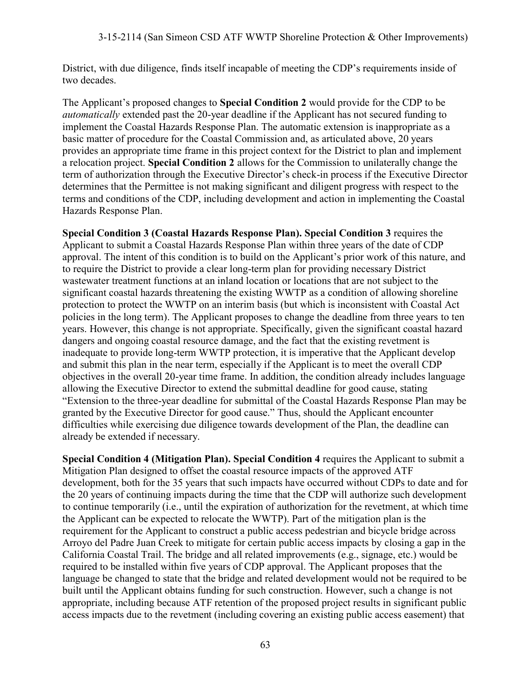District, with due diligence, finds itself incapable of meeting the CDP's requirements inside of two decades.

The Applicant's proposed changes to **Special Condition 2** would provide for the CDP to be *automatically* extended past the 20-year deadline if the Applicant has not secured funding to implement the Coastal Hazards Response Plan. The automatic extension is inappropriate as a basic matter of procedure for the Coastal Commission and, as articulated above, 20 years provides an appropriate time frame in this project context for the District to plan and implement a relocation project. **Special Condition 2** allows for the Commission to unilaterally change the term of authorization through the Executive Director's check-in process if the Executive Director determines that the Permittee is not making significant and diligent progress with respect to the terms and conditions of the CDP, including development and action in implementing the Coastal Hazards Response Plan.

**Special Condition 3 (Coastal Hazards Response Plan). Special Condition 3** requires the Applicant to submit a Coastal Hazards Response Plan within three years of the date of CDP approval. The intent of this condition is to build on the Applicant's prior work of this nature, and to require the District to provide a clear long-term plan for providing necessary District wastewater treatment functions at an inland location or locations that are not subject to the significant coastal hazards threatening the existing WWTP as a condition of allowing shoreline protection to protect the WWTP on an interim basis (but which is inconsistent with Coastal Act policies in the long term). The Applicant proposes to change the deadline from three years to ten years. However, this change is not appropriate. Specifically, given the significant coastal hazard dangers and ongoing coastal resource damage, and the fact that the existing revetment is inadequate to provide long-term WWTP protection, it is imperative that the Applicant develop and submit this plan in the near term, especially if the Applicant is to meet the overall CDP objectives in the overall 20-year time frame. In addition, the condition already includes language allowing the Executive Director to extend the submittal deadline for good cause, stating "Extension to the three-year deadline for submittal of the Coastal Hazards Response Plan may be granted by the Executive Director for good cause." Thus, should the Applicant encounter difficulties while exercising due diligence towards development of the Plan, the deadline can already be extended if necessary.

**Special Condition 4 (Mitigation Plan). Special Condition 4** requires the Applicant to submit a Mitigation Plan designed to offset the coastal resource impacts of the approved ATF development, both for the 35 years that such impacts have occurred without CDPs to date and for the 20 years of continuing impacts during the time that the CDP will authorize such development to continue temporarily (i.e., until the expiration of authorization for the revetment, at which time the Applicant can be expected to relocate the WWTP). Part of the mitigation plan is the requirement for the Applicant to construct a public access pedestrian and bicycle bridge across Arroyo del Padre Juan Creek to mitigate for certain public access impacts by closing a gap in the California Coastal Trail. The bridge and all related improvements (e.g., signage, etc.) would be required to be installed within five years of CDP approval. The Applicant proposes that the language be changed to state that the bridge and related development would not be required to be built until the Applicant obtains funding for such construction. However, such a change is not appropriate, including because ATF retention of the proposed project results in significant public access impacts due to the revetment (including covering an existing public access easement) that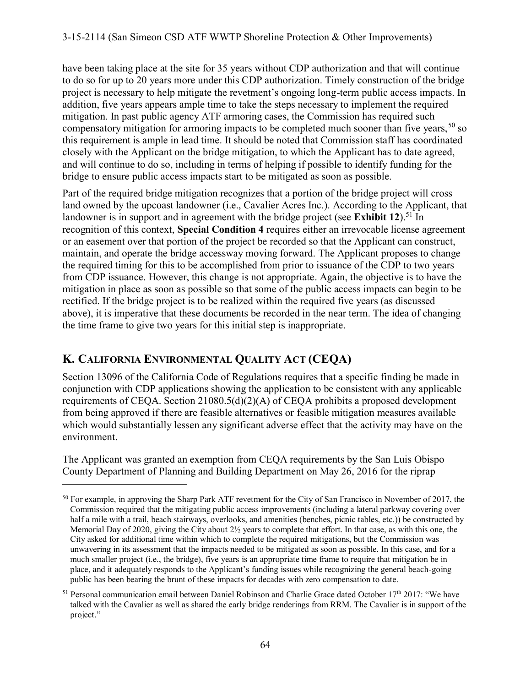have been taking place at the site for 35 years without CDP authorization and that will continue to do so for up to 20 years more under this CDP authorization. Timely construction of the bridge project is necessary to help mitigate the revetment's ongoing long-term public access impacts. In addition, five years appears ample time to take the steps necessary to implement the required mitigation. In past public agency ATF armoring cases, the Commission has required such compensatory mitigation for armoring impacts to be completed much sooner than five years,  $50$  so this requirement is ample in lead time. It should be noted that Commission staff has coordinated closely with the Applicant on the bridge mitigation, to which the Applicant has to date agreed, and will continue to do so, including in terms of helping if possible to identify funding for the bridge to ensure public access impacts start to be mitigated as soon as possible.

Part of the required bridge mitigation recognizes that a portion of the bridge project will cross land owned by the upcoast landowner (i.e., Cavalier Acres Inc.). According to the Applicant, that landowner is in support and in agreement with the bridge project (see **Exhibit 12**).<sup>51</sup> In recognition of this context, **Special Condition 4** requires either an irrevocable license agreement or an easement over that portion of the project be recorded so that the Applicant can construct, maintain, and operate the bridge accessway moving forward. The Applicant proposes to change the required timing for this to be accomplished from prior to issuance of the CDP to two years from CDP issuance. However, this change is not appropriate. Again, the objective is to have the mitigation in place as soon as possible so that some of the public access impacts can begin to be rectified. If the bridge project is to be realized within the required five years (as discussed above), it is imperative that these documents be recorded in the near term. The idea of changing the time frame to give two years for this initial step is inappropriate.

## **K. CALIFORNIA ENVIRONMENTAL QUALITY ACT (CEQA)**

 $\overline{a}$ 

Section 13096 of the California Code of Regulations requires that a specific finding be made in conjunction with CDP applications showing the application to be consistent with any applicable requirements of CEQA. Section 21080.5(d)(2)(A) of CEQA prohibits a proposed development from being approved if there are feasible alternatives or feasible mitigation measures available which would substantially lessen any significant adverse effect that the activity may have on the environment.

The Applicant was granted an exemption from CEQA requirements by the San Luis Obispo County Department of Planning and Building Department on May 26, 2016 for the riprap

<sup>&</sup>lt;sup>50</sup> For example, in approving the Sharp Park ATF revetment for the City of San Francisco in November of 2017, the Commission required that the mitigating public access improvements (including a lateral parkway covering over half a mile with a trail, beach stairways, overlooks, and amenities (benches, picnic tables, etc.)) be constructed by Memorial Day of 2020, giving the City about 2½ years to complete that effort. In that case, as with this one, the City asked for additional time within which to complete the required mitigations, but the Commission was unwavering in its assessment that the impacts needed to be mitigated as soon as possible. In this case, and for a much smaller project (i.e., the bridge), five years is an appropriate time frame to require that mitigation be in place, and it adequately responds to the Applicant's funding issues while recognizing the general beach-going public has been bearing the brunt of these impacts for decades with zero compensation to date.

<sup>&</sup>lt;sup>51</sup> Personal communication email between Daniel Robinson and Charlie Grace dated October 17<sup>th</sup> 2017: "We have talked with the Cavalier as well as shared the early bridge renderings from RRM. The Cavalier is in support of the project."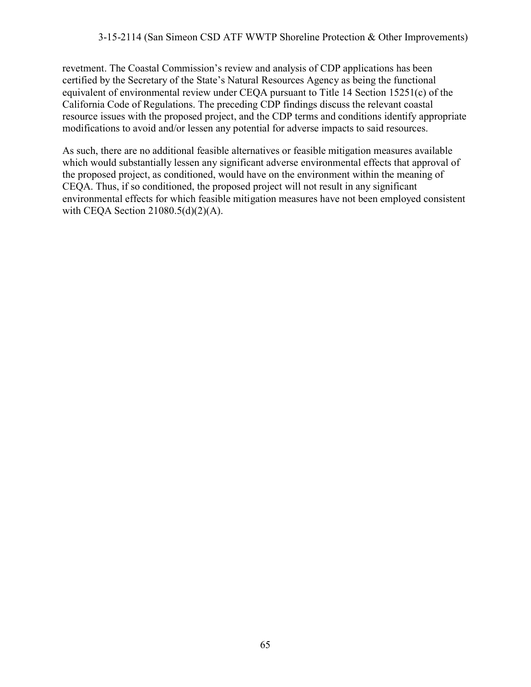revetment. The Coastal Commission's review and analysis of CDP applications has been certified by the Secretary of the State's Natural Resources Agency as being the functional equivalent of environmental review under CEQA pursuant to Title 14 Section 15251(c) of the California Code of Regulations. The preceding CDP findings discuss the relevant coastal resource issues with the proposed project, and the CDP terms and conditions identify appropriate modifications to avoid and/or lessen any potential for adverse impacts to said resources.

As such, there are no additional feasible alternatives or feasible mitigation measures available which would substantially lessen any significant adverse environmental effects that approval of the proposed project, as conditioned, would have on the environment within the meaning of CEQA. Thus, if so conditioned, the proposed project will not result in any significant environmental effects for which feasible mitigation measures have not been employed consistent with CEQA Section 21080.5(d)(2)(A).